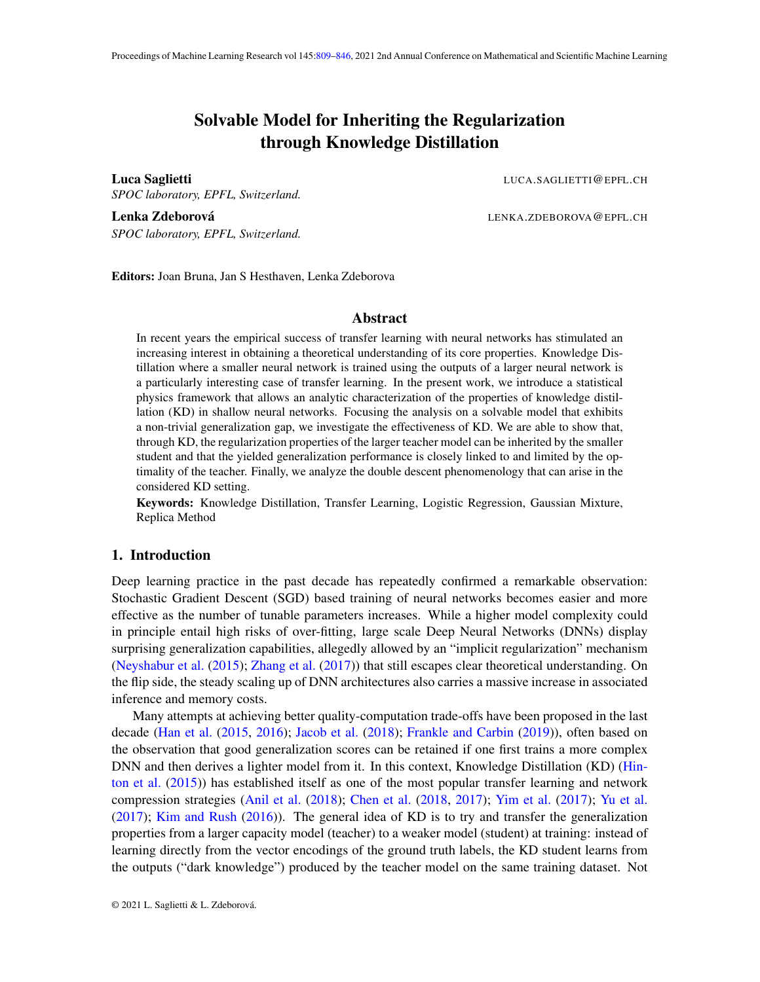# Solvable Model for Inheriting the Regularization through Knowledge Distillation

<span id="page-0-0"></span>**Luca Saglietti** Luca Saglietti Luca Saglietti Luca Saglietti Luca Saglietti Luca Saglietti Luca Saglietti Luca Sa *SPOC laboratory, EPFL, Switzerland.*

Lenka Zdeborová hosta intervencie a la province de la province de la province de la province de la province de *SPOC laboratory, EPFL, Switzerland.*

Editors: Joan Bruna, Jan S Hesthaven, Lenka Zdeborova

## Abstract

In recent years the empirical success of transfer learning with neural networks has stimulated an increasing interest in obtaining a theoretical understanding of its core properties. Knowledge Distillation where a smaller neural network is trained using the outputs of a larger neural network is a particularly interesting case of transfer learning. In the present work, we introduce a statistical physics framework that allows an analytic characterization of the properties of knowledge distillation (KD) in shallow neural networks. Focusing the analysis on a solvable model that exhibits a non-trivial generalization gap, we investigate the effectiveness of KD. We are able to show that, through KD, the regularization properties of the larger teacher model can be inherited by the smaller student and that the yielded generalization performance is closely linked to and limited by the optimality of the teacher. Finally, we analyze the double descent phenomenology that can arise in the considered KD setting.

Keywords: Knowledge Distillation, Transfer Learning, Logistic Regression, Gaussian Mixture, Replica Method

# 1. Introduction

Deep learning practice in the past decade has repeatedly confirmed a remarkable observation: Stochastic Gradient Descent (SGD) based training of neural networks becomes easier and more effective as the number of tunable parameters increases. While a higher model complexity could in principle entail high risks of over-fitting, large scale Deep Neural Networks (DNNs) display surprising generalization capabilities, allegedly allowed by an "implicit regularization" mechanism [\(Neyshabur et al.](#page-17-0) [\(2015\)](#page-17-0); [Zhang et al.](#page-18-0) [\(2017\)](#page-18-0)) that still escapes clear theoretical understanding. On the flip side, the steady scaling up of DNN architectures also carries a massive increase in associated inference and memory costs.

Many attempts at achieving better quality-computation trade-offs have been proposed in the last decade [\(Han et al.](#page-16-0) [\(2015,](#page-16-0) [2016\)](#page-16-1); [Jacob et al.](#page-17-1) [\(2018\)](#page-17-1); [Frankle and Carbin](#page-16-2) [\(2019\)](#page-16-2)), often based on the observation that good generalization scores can be retained if one first trains a more complex DNN and then derives a lighter model from it. In this context, Knowledge Distillation (KD) [\(Hin](#page-16-3)[ton et al.](#page-16-3) [\(2015\)](#page-16-3)) has established itself as one of the most popular transfer learning and network compression strategies [\(Anil et al.](#page-15-0) [\(2018\)](#page-15-0); [Chen et al.](#page-16-4) [\(2018,](#page-16-4) [2017\)](#page-16-5); [Yim et al.](#page-18-1) [\(2017\)](#page-18-1); [Yu et al.](#page-18-2) [\(2017\)](#page-18-2); [Kim and Rush](#page-17-2) [\(2016\)](#page-17-2)). The general idea of KD is to try and transfer the generalization properties from a larger capacity model (teacher) to a weaker model (student) at training: instead of learning directly from the vector encodings of the ground truth labels, the KD student learns from the outputs ("dark knowledge") produced by the teacher model on the same training dataset. Not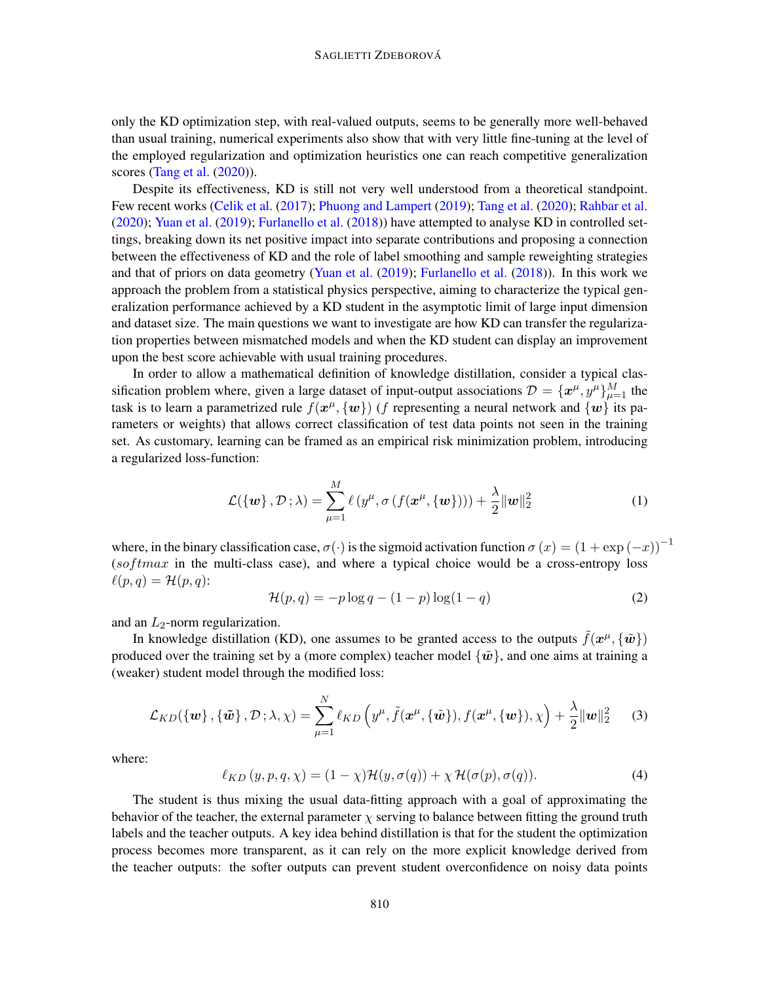only the KD optimization step, with real-valued outputs, seems to be generally more well-behaved than usual training, numerical experiments also show that with very little fine-tuning at the level of the employed regularization and optimization heuristics one can reach competitive generalization scores [\(Tang et al.](#page-18-3) [\(2020\)](#page-18-3)).

Despite its effectiveness, KD is still not very well understood from a theoretical standpoint. Few recent works [\(Celik et al.](#page-15-1) [\(2017\)](#page-15-1); [Phuong and Lampert](#page-17-3) [\(2019\)](#page-17-3); [Tang et al.](#page-18-3) [\(2020\)](#page-18-3); [Rahbar et al.](#page-17-4) [\(2020\)](#page-17-4); [Yuan et al.](#page-18-4) [\(2019\)](#page-18-4); [Furlanello et al.](#page-16-6) [\(2018\)](#page-16-6)) have attempted to analyse KD in controlled settings, breaking down its net positive impact into separate contributions and proposing a connection between the effectiveness of KD and the role of label smoothing and sample reweighting strategies and that of priors on data geometry [\(Yuan et al.](#page-18-4) [\(2019\)](#page-18-4); [Furlanello et al.](#page-16-6) [\(2018\)](#page-16-6)). In this work we approach the problem from a statistical physics perspective, aiming to characterize the typical generalization performance achieved by a KD student in the asymptotic limit of large input dimension and dataset size. The main questions we want to investigate are how KD can transfer the regularization properties between mismatched models and when the KD student can display an improvement upon the best score achievable with usual training procedures.

In order to allow a mathematical definition of knowledge distillation, consider a typical classification problem where, given a large dataset of input-output associations  $\mathcal{D} = \{x^{\mu}, y^{\mu}\}_{\mu=1}^{M}$  the task is to learn a parametrized rule  $f(x^{\mu}, \{w\})$  (f representing a neural network and  $\{w\}$  its parameters or weights) that allows correct classification of test data points not seen in the training set. As customary, learning can be framed as an empirical risk minimization problem, introducing a regularized loss-function:

$$
\mathcal{L}(\{\mathbf{w}\}, \mathcal{D}; \lambda) = \sum_{\mu=1}^{M} \ell(y^{\mu}, \sigma(f(\mathbf{x}^{\mu}, \{\mathbf{w}\}))) + \frac{\lambda}{2} ||\mathbf{w}||_2^2
$$
 (1)

where, in the binary classification case,  $\sigma(\cdot)$  is the sigmoid activation function  $\sigma(x) = (1 + \exp(-x))^{-1}$  $(sof tmax$  in the multi-class case), and where a typical choice would be a cross-entropy loss  $\ell(p, q) = \mathcal{H}(p, q)$ :

$$
\mathcal{H}(p,q) = -p \log q - (1-p) \log(1-q) \tag{2}
$$

and an  $L_2$ -norm regularization.

In knowledge distillation (KD), one assumes to be granted access to the outputs  $\tilde{f}(x^{\mu}, {\tilde{w}})$ produced over the training set by a (more complex) teacher model  $\{\tilde{\mathbf{w}}\}$ , and one aims at training a (weaker) student model through the modified loss:

$$
\mathcal{L}_{KD}(\{\boldsymbol{w}\}, \{\tilde{\boldsymbol{w}}\}, \mathcal{D}; \lambda, \chi) = \sum_{\mu=1}^{N} \ell_{KD} \left( y^{\mu}, \tilde{f}(\boldsymbol{x}^{\mu}, \{\tilde{\boldsymbol{w}}\}), f(\boldsymbol{x}^{\mu}, \{\boldsymbol{w}\}), \chi \right) + \frac{\lambda}{2} {\|\boldsymbol{w}\|}_{2}^{2} \qquad (3)
$$

where:

<span id="page-1-0"></span>
$$
\ell_{KD}(y, p, q, \chi) = (1 - \chi) \mathcal{H}(y, \sigma(q)) + \chi \mathcal{H}(\sigma(p), \sigma(q)).
$$
\n(4)

The student is thus mixing the usual data-fitting approach with a goal of approximating the behavior of the teacher, the external parameter  $\chi$  serving to balance between fitting the ground truth labels and the teacher outputs. A key idea behind distillation is that for the student the optimization process becomes more transparent, as it can rely on the more explicit knowledge derived from the teacher outputs: the softer outputs can prevent student overconfidence on noisy data points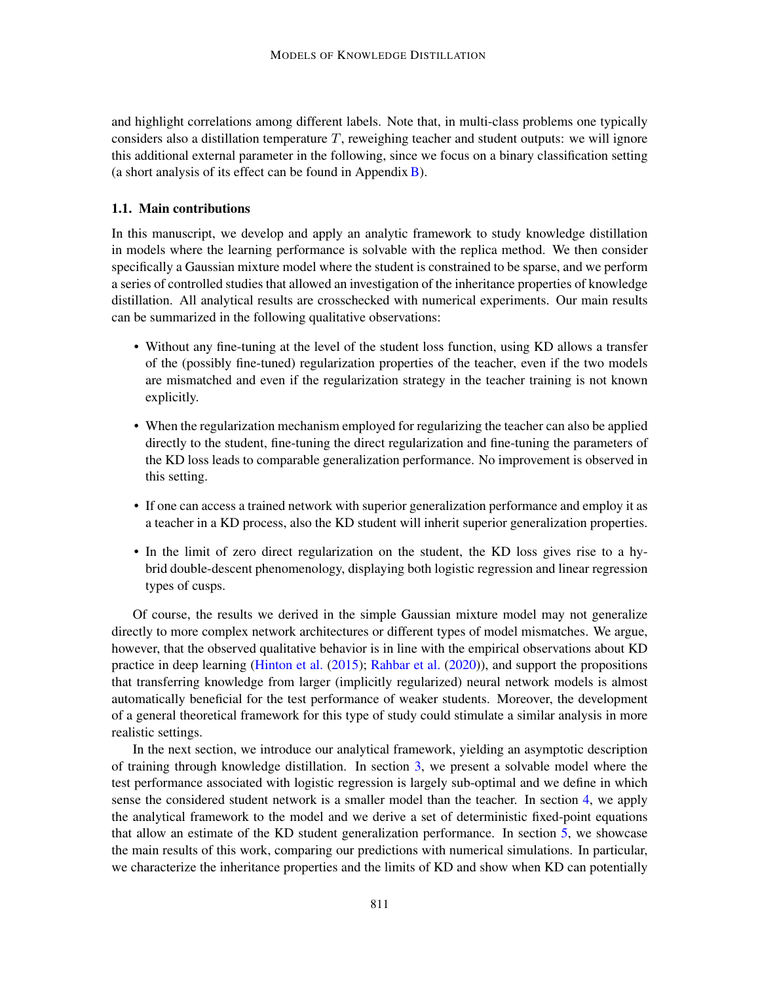and highlight correlations among different labels. Note that, in multi-class problems one typically considers also a distillation temperature  $T$ , reweighing teacher and student outputs: we will ignore this additional external parameter in the following, since we focus on a binary classification setting (a short analysis of its effect can be found in Appendix [B\)](#page-31-0).

#### 1.1. Main contributions

In this manuscript, we develop and apply an analytic framework to study knowledge distillation in models where the learning performance is solvable with the replica method. We then consider specifically a Gaussian mixture model where the student is constrained to be sparse, and we perform a series of controlled studies that allowed an investigation of the inheritance properties of knowledge distillation. All analytical results are crosschecked with numerical experiments. Our main results can be summarized in the following qualitative observations:

- Without any fine-tuning at the level of the student loss function, using KD allows a transfer of the (possibly fine-tuned) regularization properties of the teacher, even if the two models are mismatched and even if the regularization strategy in the teacher training is not known explicitly.
- When the regularization mechanism employed for regularizing the teacher can also be applied directly to the student, fine-tuning the direct regularization and fine-tuning the parameters of the KD loss leads to comparable generalization performance. No improvement is observed in this setting.
- If one can access a trained network with superior generalization performance and employ it as a teacher in a KD process, also the KD student will inherit superior generalization properties.
- In the limit of zero direct regularization on the student, the KD loss gives rise to a hybrid double-descent phenomenology, displaying both logistic regression and linear regression types of cusps.

Of course, the results we derived in the simple Gaussian mixture model may not generalize directly to more complex network architectures or different types of model mismatches. We argue, however, that the observed qualitative behavior is in line with the empirical observations about KD practice in deep learning [\(Hinton et al.](#page-16-3) [\(2015\)](#page-16-3); [Rahbar et al.](#page-17-4) [\(2020\)](#page-17-4)), and support the propositions that transferring knowledge from larger (implicitly regularized) neural network models is almost automatically beneficial for the test performance of weaker students. Moreover, the development of a general theoretical framework for this type of study could stimulate a similar analysis in more realistic settings.

In the next section, we introduce our analytical framework, yielding an asymptotic description of training through knowledge distillation. In section [3,](#page-4-0) we present a solvable model where the test performance associated with logistic regression is largely sub-optimal and we define in which sense the considered student network is a smaller model than the teacher. In section [4,](#page-6-0) we apply the analytical framework to the model and we derive a set of deterministic fixed-point equations that allow an estimate of the KD student generalization performance. In section [5,](#page-8-0) we showcase the main results of this work, comparing our predictions with numerical simulations. In particular, we characterize the inheritance properties and the limits of KD and show when KD can potentially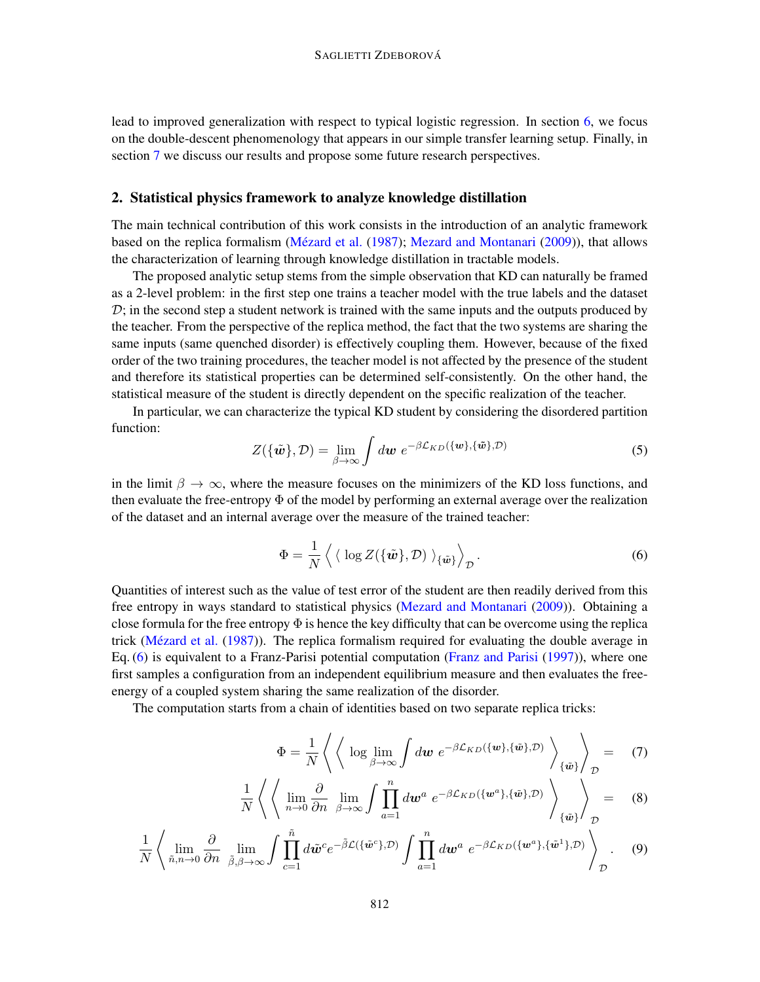lead to improved generalization with respect to typical logistic regression. In section [6,](#page-13-0) we focus on the double-descent phenomenology that appears in our simple transfer learning setup. Finally, in section [7](#page-14-0) we discuss our results and propose some future research perspectives.

# <span id="page-3-1"></span>2. Statistical physics framework to analyze knowledge distillation

The main technical contribution of this work consists in the introduction of an analytic framework based on the replica formalism (Mézard et al.  $(1987)$ ; [Mezard and Montanari](#page-17-6) [\(2009\)](#page-17-6)), that allows the characterization of learning through knowledge distillation in tractable models.

The proposed analytic setup stems from the simple observation that KD can naturally be framed as a 2-level problem: in the first step one trains a teacher model with the true labels and the dataset  $\mathcal{D}$ ; in the second step a student network is trained with the same inputs and the outputs produced by the teacher. From the perspective of the replica method, the fact that the two systems are sharing the same inputs (same quenched disorder) is effectively coupling them. However, because of the fixed order of the two training procedures, the teacher model is not affected by the presence of the student and therefore its statistical properties can be determined self-consistently. On the other hand, the statistical measure of the student is directly dependent on the specific realization of the teacher.

In particular, we can characterize the typical KD student by considering the disordered partition function:

$$
Z(\{\tilde{\boldsymbol{w}}\},\mathcal{D}) = \lim_{\beta \to \infty} \int d\boldsymbol{w} \ e^{-\beta \mathcal{L}_{KD}(\{\boldsymbol{w}\},\{\tilde{\boldsymbol{w}}\},\mathcal{D})} \tag{5}
$$

in the limit  $\beta \to \infty$ , where the measure focuses on the minimizers of the KD loss functions, and then evaluate the free-entropy  $\Phi$  of the model by performing an external average over the realization of the dataset and an internal average over the measure of the trained teacher:

<span id="page-3-0"></span>
$$
\Phi = \frac{1}{N} \left\langle \langle \log Z(\{\tilde{\boldsymbol{w}}\}, \mathcal{D}) \rangle_{\{\tilde{\boldsymbol{w}}\}} \right\rangle_{\mathcal{D}}.
$$
\n(6)

Quantities of interest such as the value of test error of the student are then readily derived from this free entropy in ways standard to statistical physics [\(Mezard and Montanari](#page-17-6) [\(2009\)](#page-17-6)). Obtaining a close formula for the free entropy  $\Phi$  is hence the key difficulty that can be overcome using the replica trick (Mézard et al. [\(1987\)](#page-17-5)). The replica formalism required for evaluating the double average in Eq. [\(6\)](#page-3-0) is equivalent to a Franz-Parisi potential computation [\(Franz and Parisi](#page-16-7) [\(1997\)](#page-16-7)), where one first samples a configuration from an independent equilibrium measure and then evaluates the freeenergy of a coupled system sharing the same realization of the disorder.

The computation starts from a chain of identities based on two separate replica tricks:

<span id="page-3-2"></span>
$$
\Phi = \frac{1}{N} \left\langle \left\langle \log \lim_{\beta \to \infty} \int dw \ e^{-\beta \mathcal{L}_{KD}(\{w\}, \{\tilde{w}\}, \mathcal{D})} \right\rangle_{\{\tilde{w}\}} \right\rangle_{\mathcal{D}} = \quad (7)
$$

$$
\frac{1}{N} \left\langle \left\langle \lim_{n \to 0} \frac{\partial}{\partial n} \lim_{\beta \to \infty} \int \prod_{a=1}^{n} d\mathbf{w}^{a} e^{-\beta \mathcal{L}_{KD}(\{\mathbf{w}^{a}\}, \{\tilde{\mathbf{w}}\}, \mathcal{D})} \right\rangle_{\{\tilde{\mathbf{w}}\}} \right\rangle_{\mathcal{D}} = (8)
$$

$$
\frac{1}{N} \left\langle \lim_{\tilde{n}, n \to 0} \frac{\partial}{\partial n} \lim_{\tilde{\beta}, \beta \to \infty} \int \prod_{c=1}^{\tilde{n}} d\tilde{\boldsymbol{w}}^c e^{-\tilde{\beta} \mathcal{L}(\{\tilde{\boldsymbol{w}}^c\}, \mathcal{D})} \int \prod_{a=1}^n d\boldsymbol{w}^a e^{-\beta \mathcal{L}_{KD}(\{\boldsymbol{w}^a\}, \{\tilde{\boldsymbol{w}}^1\}, \mathcal{D})} \right\rangle_{\mathcal{D}}.
$$
 (9)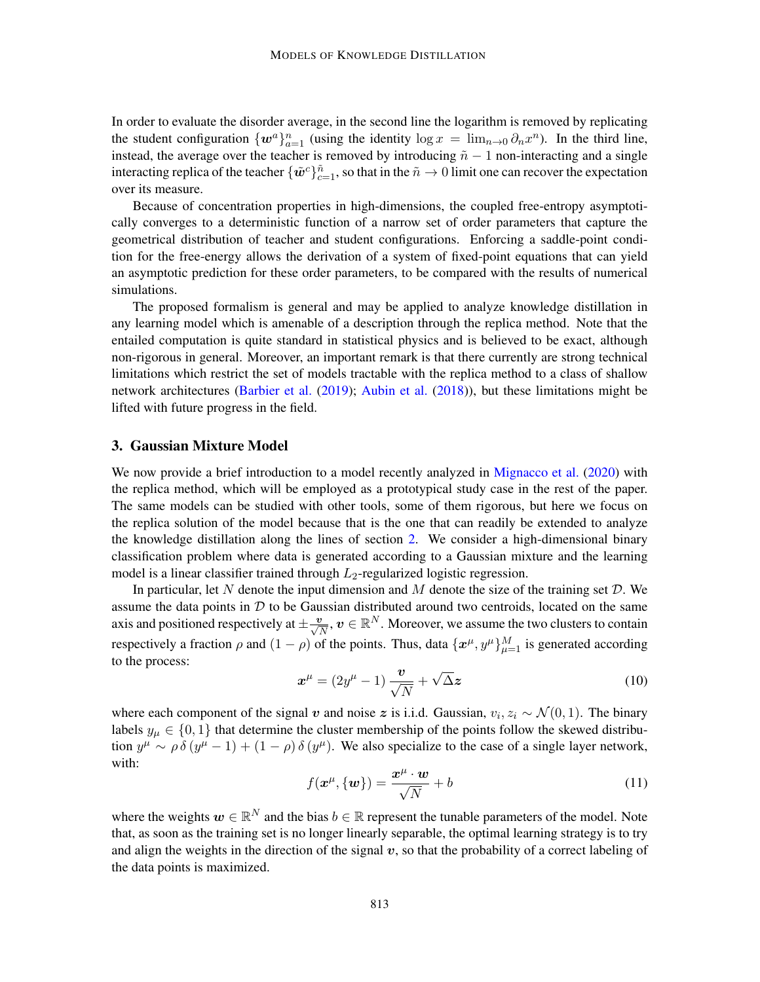In order to evaluate the disorder average, in the second line the logarithm is removed by replicating the student configuration  $\{w^a\}_{a=1}^n$  (using the identity  $\log x = \lim_{n\to 0} \partial_n x^n$ ). In the third line, instead, the average over the teacher is removed by introducing  $\tilde{n} - 1$  non-interacting and a single interacting replica of the teacher  $\{\tilde{w}^c\}_{c=1}^{\tilde{n}}$ , so that in the  $\tilde{n}\to 0$  limit one can recover the expectation over its measure.

Because of concentration properties in high-dimensions, the coupled free-entropy asymptotically converges to a deterministic function of a narrow set of order parameters that capture the geometrical distribution of teacher and student configurations. Enforcing a saddle-point condition for the free-energy allows the derivation of a system of fixed-point equations that can yield an asymptotic prediction for these order parameters, to be compared with the results of numerical simulations.

The proposed formalism is general and may be applied to analyze knowledge distillation in any learning model which is amenable of a description through the replica method. Note that the entailed computation is quite standard in statistical physics and is believed to be exact, although non-rigorous in general. Moreover, an important remark is that there currently are strong technical limitations which restrict the set of models tractable with the replica method to a class of shallow network architectures [\(Barbier et al.](#page-15-2) [\(2019\)](#page-15-2); [Aubin et al.](#page-15-3) [\(2018\)](#page-15-3)), but these limitations might be lifted with future progress in the field.

#### <span id="page-4-0"></span>3. Gaussian Mixture Model

We now provide a brief introduction to a model recently analyzed in [Mignacco et al.](#page-17-7) [\(2020\)](#page-17-7) with the replica method, which will be employed as a prototypical study case in the rest of the paper. The same models can be studied with other tools, some of them rigorous, but here we focus on the replica solution of the model because that is the one that can readily be extended to analyze the knowledge distillation along the lines of section [2.](#page-3-1) We consider a high-dimensional binary classification problem where data is generated according to a Gaussian mixture and the learning model is a linear classifier trained through  $L_2$ -regularized logistic regression.

In particular, let N denote the input dimension and  $M$  denote the size of the training set  $D$ . We assume the data points in  $D$  to be Gaussian distributed around two centroids, located on the same axis and positioned respectively at  $\pm\frac{v}{\sqrt{N}}, v\in\mathbb{R}^N.$  Moreover, we assume the two clusters to contain respectively a fraction  $\rho$  and  $(1 - \rho)$  of the points. Thus, data  $\{x^{\mu}, y^{\mu}\}_{\mu=1}^{M}$  is generated according to the process:

$$
\boldsymbol{x}^{\mu} = (2y^{\mu} - 1) \frac{\boldsymbol{v}}{\sqrt{N}} + \sqrt{\Delta z}
$$
 (10)

where each component of the signal v and noise z is i.i.d. Gaussian,  $v_i, z_i \sim \mathcal{N}(0, 1)$ . The binary labels  $y_{\mu} \in \{0, 1\}$  that determine the cluster membership of the points follow the skewed distribution  $y^{\mu} \sim \rho \delta (y^{\mu} - 1) + (1 - \rho) \delta (y^{\mu})$ . We also specialize to the case of a single layer network, with:

$$
f(\mathbf{x}^{\mu}, \{\mathbf{w}\}) = \frac{\mathbf{x}^{\mu} \cdot \mathbf{w}}{\sqrt{N}} + b \tag{11}
$$

where the weights  $w \in \mathbb{R}^N$  and the bias  $b \in \mathbb{R}$  represent the tunable parameters of the model. Note that, as soon as the training set is no longer linearly separable, the optimal learning strategy is to try and align the weights in the direction of the signal  $v$ , so that the probability of a correct labeling of the data points is maximized.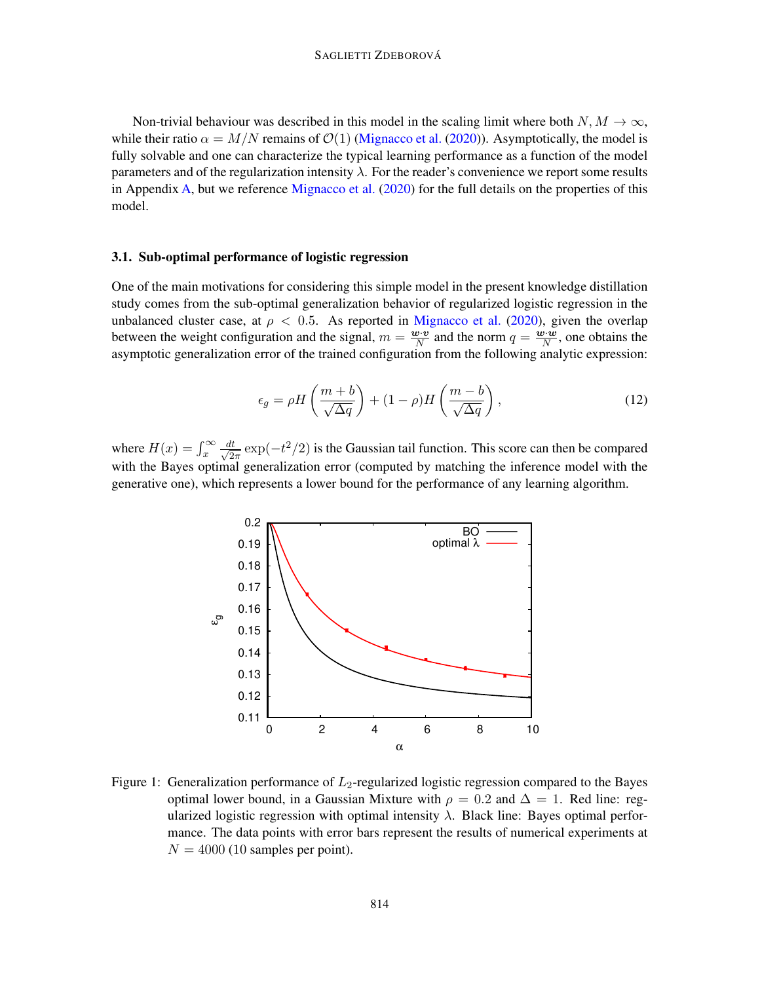Non-trivial behaviour was described in this model in the scaling limit where both  $N, M \to \infty$ , while their ratio  $\alpha = M/N$  remains of  $\mathcal{O}(1)$  [\(Mignacco et al.](#page-17-7) [\(2020\)](#page-17-7)). Asymptotically, the model is fully solvable and one can characterize the typical learning performance as a function of the model parameters and of the regularization intensity  $\lambda$ . For the reader's convenience we report some results in Appendix [A,](#page-19-0) but we reference [Mignacco et al.](#page-17-7) [\(2020\)](#page-17-7) for the full details on the properties of this model.

### 3.1. Sub-optimal performance of logistic regression

One of the main motivations for considering this simple model in the present knowledge distillation study comes from the sub-optimal generalization behavior of regularized logistic regression in the unbalanced cluster case, at  $\rho < 0.5$ . As reported in [Mignacco et al.](#page-17-7) [\(2020\)](#page-17-7), given the overlap between the weight configuration and the signal,  $m = \frac{\mathbf{w} \cdot \mathbf{v}}{N}$  $\frac{\mathbf{v} \cdot \mathbf{v}}{N}$  and the norm  $q = \frac{\mathbf{w} \cdot \mathbf{w}}{N}$  $\frac{\partial \cdot \boldsymbol{w}}{N}$ , one obtains the asymptotic generalization error of the trained configuration from the following analytic expression:

<span id="page-5-1"></span>
$$
\epsilon_g = \rho H \left( \frac{m+b}{\sqrt{\Delta q}} \right) + (1-\rho) H \left( \frac{m-b}{\sqrt{\Delta q}} \right),\tag{12}
$$

where  $H(x) = \int_x^{\infty} \frac{dt}{\sqrt{2}}$  $\frac{dt}{2\pi}$  exp( $-t^2/2$ ) is the Gaussian tail function. This score can then be compared with the Bayes optimal generalization error (computed by matching the inference model with the generative one), which represents a lower bound for the performance of any learning algorithm.

<span id="page-5-0"></span>

Figure 1: Generalization performance of  $L_2$ -regularized logistic regression compared to the Bayes optimal lower bound, in a Gaussian Mixture with  $\rho = 0.2$  and  $\Delta = 1$ . Red line: regularized logistic regression with optimal intensity  $\lambda$ . Black line: Bayes optimal performance. The data points with error bars represent the results of numerical experiments at  $N = 4000$  (10 samples per point).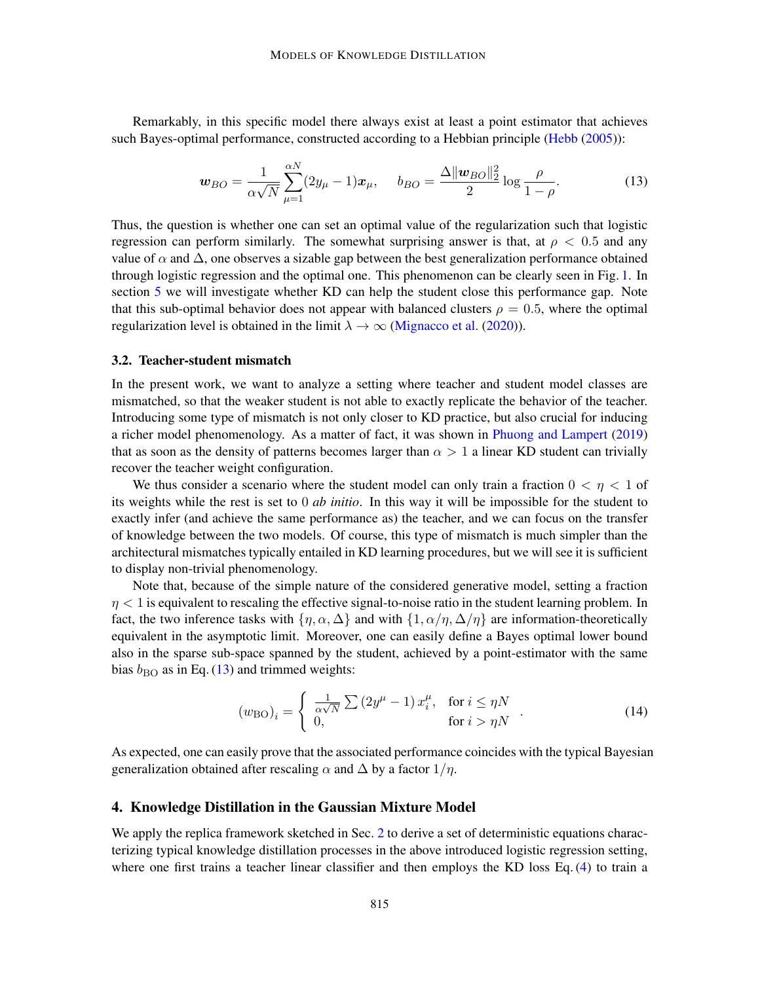Remarkably, in this specific model there always exist at least a point estimator that achieves such Bayes-optimal performance, constructed according to a Hebbian principle [\(Hebb](#page-16-8) [\(2005\)](#page-16-8)):

<span id="page-6-1"></span>
$$
\boldsymbol{w}_{BO} = \frac{1}{\alpha\sqrt{N}} \sum_{\mu=1}^{\alpha N} (2y_{\mu} - 1)\boldsymbol{x}_{\mu}, \quad b_{BO} = \frac{\Delta \|\boldsymbol{w}_{BO}\|_{2}^{2}}{2} \log \frac{\rho}{1 - \rho}.
$$
 (13)

Thus, the question is whether one can set an optimal value of the regularization such that logistic regression can perform similarly. The somewhat surprising answer is that, at  $\rho < 0.5$  and any value of  $\alpha$  and  $\Delta$ , one observes a sizable gap between the best generalization performance obtained through logistic regression and the optimal one. This phenomenon can be clearly seen in Fig. [1.](#page-5-0) In section [5](#page-8-0) we will investigate whether KD can help the student close this performance gap. Note that this sub-optimal behavior does not appear with balanced clusters  $\rho = 0.5$ , where the optimal regularization level is obtained in the limit  $\lambda \to \infty$  [\(Mignacco et al.](#page-17-7) [\(2020\)](#page-17-7)).

#### 3.2. Teacher-student mismatch

In the present work, we want to analyze a setting where teacher and student model classes are mismatched, so that the weaker student is not able to exactly replicate the behavior of the teacher. Introducing some type of mismatch is not only closer to KD practice, but also crucial for inducing a richer model phenomenology. As a matter of fact, it was shown in [Phuong and Lampert](#page-17-3) [\(2019\)](#page-17-3) that as soon as the density of patterns becomes larger than  $\alpha > 1$  a linear KD student can trivially recover the teacher weight configuration.

We thus consider a scenario where the student model can only train a fraction  $0 < \eta < 1$  of its weights while the rest is set to 0 *ab initio*. In this way it will be impossible for the student to exactly infer (and achieve the same performance as) the teacher, and we can focus on the transfer of knowledge between the two models. Of course, this type of mismatch is much simpler than the architectural mismatches typically entailed in KD learning procedures, but we will see it is sufficient to display non-trivial phenomenology.

Note that, because of the simple nature of the considered generative model, setting a fraction  $\eta$  < 1 is equivalent to rescaling the effective signal-to-noise ratio in the student learning problem. In fact, the two inference tasks with  $\{\eta, \alpha, \Delta\}$  and with  $\{1, \alpha/\eta, \Delta/\eta\}$  are information-theoretically equivalent in the asymptotic limit. Moreover, one can easily define a Bayes optimal lower bound also in the sparse sub-space spanned by the student, achieved by a point-estimator with the same bias  $b_{\rm BO}$  as in Eq. [\(13\)](#page-6-1) and trimmed weights:

$$
\left(w_{\text{BO}}\right)_i = \begin{cases} \frac{1}{\alpha\sqrt{N}} \sum \left(2y^{\mu} - 1\right) x_i^{\mu}, & \text{for } i \leq \eta N \\ 0, & \text{for } i > \eta N \end{cases} . \tag{14}
$$

As expected, one can easily prove that the associated performance coincides with the typical Bayesian generalization obtained after rescaling  $\alpha$  and  $\Delta$  by a factor  $1/\eta$ .

### <span id="page-6-0"></span>4. Knowledge Distillation in the Gaussian Mixture Model

We apply the replica framework sketched in Sec. [2](#page-3-1) to derive a set of deterministic equations characterizing typical knowledge distillation processes in the above introduced logistic regression setting, where one first trains a teacher linear classifier and then employs the KD loss Eq. [\(4\)](#page-1-0) to train a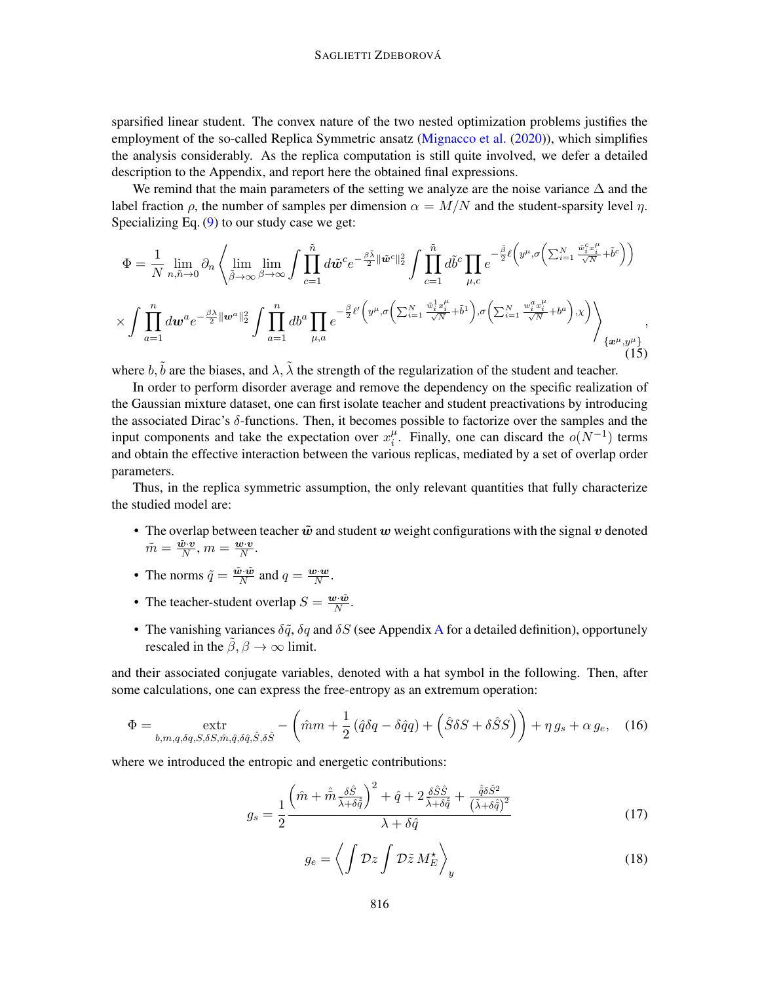sparsified linear student. The convex nature of the two nested optimization problems justifies the employment of the so-called Replica Symmetric ansatz [\(Mignacco et al.](#page-17-7) [\(2020\)](#page-17-7)), which simplifies the analysis considerably. As the replica computation is still quite involved, we defer a detailed description to the Appendix, and report here the obtained final expressions.

We remind that the main parameters of the setting we analyze are the noise variance  $\Delta$  and the label fraction  $\rho$ , the number of samples per dimension  $\alpha = M/N$  and the student-sparsity level  $\eta$ . Specializing Eq.  $(9)$  to our study case we get:

$$
\Phi = \frac{1}{N} \lim_{n,\tilde{n}\to 0} \partial_n \left\langle \lim_{\tilde{\beta}\to\infty} \lim_{\beta\to\infty} \int \prod_{c=1}^{\tilde{n}} d\tilde{w}^c e^{-\frac{\beta \tilde{\lambda}}{2} ||\tilde{w}^c||_2^2} \int \prod_{c=1}^{\tilde{n}} d\tilde{b}^c \prod_{\mu,c} e^{-\frac{\tilde{\beta}}{2} \ell \left(y^{\mu},\sigma \left(\sum_{i=1}^N \frac{\tilde{w}_i^c x_i^{\mu}}{\sqrt{N}}+\tilde{b}^c\right)\right)}\right. \\
\times \int \prod_{a=1}^n d\mathbf{w}^a e^{-\frac{\beta \lambda}{2} ||\mathbf{w}^a||_2^2} \int \prod_{a=1}^n d\mathbf{b}^a \prod_{\mu,a} e^{-\frac{\beta}{2} \ell \left(y^{\mu},\sigma \left(\sum_{i=1}^N \frac{\tilde{w}_i^1 x_i^{\mu}}{\sqrt{N}}+\tilde{b}^1\right),\sigma \left(\sum_{i=1}^N \frac{w_i^a x_i^{\mu}}{\sqrt{N}}+\tilde{b}^a\right),\chi\right)} \right\} _{\{x^{\mu},y^{\mu}\}} ,
$$
\n(15)

where  $b, \tilde{b}$  are the biases, and  $\lambda$ ,  $\tilde{\lambda}$  the strength of the regularization of the student and teacher.

In order to perform disorder average and remove the dependency on the specific realization of the Gaussian mixture dataset, one can first isolate teacher and student preactivations by introducing the associated Dirac's δ-functions. Then, it becomes possible to factorize over the samples and the input components and take the expectation over  $x_i^{\mu}$  $i<sup>\mu</sup>$ . Finally, one can discard the  $o(N^{-1})$  terms and obtain the effective interaction between the various replicas, mediated by a set of overlap order parameters.

Thus, in the replica symmetric assumption, the only relevant quantities that fully characterize the studied model are:

- The overlap between teacher  $\tilde{w}$  and student w weight configurations with the signal v denoted  $\tilde{m}=\frac{\tilde{\boldsymbol{w}}\cdot\boldsymbol{v}}{N}$  $\frac{\tilde{\bm{v}}\cdot\bm{v}}{N}, m = \frac{\bm{w}\cdot\bm{v}}{N}$  $\frac{\bm{v}\cdot\bm{v}}{N}$  .
- The norms  $\tilde{q} = \frac{\tilde{w} \cdot \tilde{w}}{N}$  $\frac{\tilde{v} \cdot \tilde{w}}{N}$  and  $q = \frac{\boldsymbol{w} \cdot \boldsymbol{w}}{N}$  $\frac{y\cdot w}{N}$ .
- The teacher-student overlap  $S = \frac{\boldsymbol{w} \cdot \tilde{\boldsymbol{w}}}{N}$  $\frac{\partial \cdot \boldsymbol{w}}{N}$  .
- The vanishing variances  $\delta \tilde{q}$ ,  $\delta q$  and  $\delta S$  (see [A](#page-19-0)ppendix A for a detailed definition), opportunely rescaled in the  $\hat{\beta}, \beta \rightarrow \infty$  limit.

and their associated conjugate variables, denoted with a hat symbol in the following. Then, after some calculations, one can express the free-entropy as an extremum operation:

<span id="page-7-1"></span>
$$
\Phi = \underset{b,m,q,\delta q,S,\delta S,\hat{m},\hat{q},\delta \hat{q},\hat{S},\delta \hat{S}}{\text{extr}} - \left(\hat{m}m + \frac{1}{2}\left(\hat{q}\delta q - \delta \hat{q}q\right) + \left(\hat{S}\delta S + \delta \hat{S}S\right)\right) + \eta g_s + \alpha g_e, \quad (16)
$$

where we introduced the entropic and energetic contributions:

$$
g_s = \frac{1}{2} \frac{\left(\hat{m} + \hat{\tilde{m}} \frac{\delta \hat{S}}{\tilde{\lambda} + \delta \hat{\tilde{q}}}\right)^2 + \hat{q} + 2 \frac{\delta \hat{S} \hat{S}}{\tilde{\lambda} + \delta \hat{\tilde{q}}} + \frac{\hat{\tilde{q}} \delta \hat{S}^2}{\left(\tilde{\lambda} + \delta \hat{\tilde{q}}\right)^2}}{\lambda + \delta \hat{q}}
$$
(17)

<span id="page-7-0"></span>
$$
g_e = \left\langle \int \mathcal{D}z \int \mathcal{D}\tilde{z} M_E^{\star} \right\rangle_y \tag{18}
$$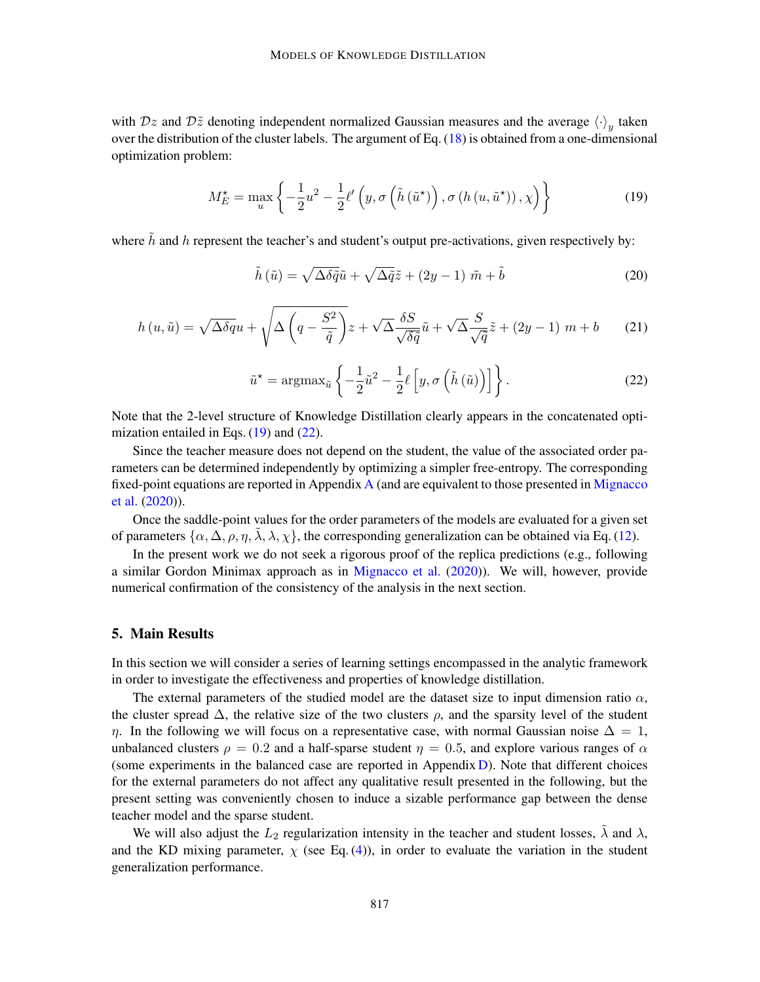with  $Dz$  and  $D\tilde{z}$  denoting independent normalized Gaussian measures and the average  $\langle \cdot \rangle_y$  taken over the distribution of the cluster labels. The argument of Eq.  $(18)$  is obtained from a one-dimensional optimization problem:

<span id="page-8-1"></span>
$$
M_{E}^{\star} = \max_{u} \left\{ -\frac{1}{2}u^{2} - \frac{1}{2}\ell'\left(y, \sigma\left(\tilde{h}\left(\tilde{u}^{\star}\right)\right), \sigma\left(h\left(u, \tilde{u}^{\star}\right)\right), \chi\right) \right\}
$$
(19)

where  $\tilde{h}$  and h represent the teacher's and student's output pre-activations, given respectively by:

$$
\tilde{h}(\tilde{u}) = \sqrt{\Delta \delta \tilde{q}} \tilde{u} + \sqrt{\Delta \tilde{q}} \tilde{z} + (2y - 1) \tilde{m} + \tilde{b}
$$
\n(20)

$$
h(u, \tilde{u}) = \sqrt{\Delta \delta q} u + \sqrt{\Delta \left( q - \frac{S^2}{\tilde{q}} \right)} z + \sqrt{\Delta} \frac{\delta S}{\sqrt{\delta \tilde{q}}} \tilde{u} + \sqrt{\Delta} \frac{S}{\sqrt{\tilde{q}}} \tilde{z} + (2y - 1) m + b \tag{21}
$$

<span id="page-8-2"></span>
$$
\tilde{u}^* = \operatorname{argmax}_{\tilde{u}} \left\{ -\frac{1}{2} \tilde{u}^2 - \frac{1}{2} \ell \left[ y, \sigma \left( \tilde{h} \left( \tilde{u} \right) \right) \right] \right\}.
$$
 (22)

Note that the 2-level structure of Knowledge Distillation clearly appears in the concatenated optimization entailed in Eqs.  $(19)$  and  $(22)$ .

Since the teacher measure does not depend on the student, the value of the associated order parameters can be determined independently by optimizing a simpler free-entropy. The corresponding fixed-point equations are reported in [A](#page-19-0)ppendix A (and are equivalent to those presented in [Mignacco](#page-17-7) [et al.](#page-17-7) [\(2020\)](#page-17-7)).

Once the saddle-point values for the order parameters of the models are evaluated for a given set of parameters  $\{\alpha, \Delta, \rho, \eta, \tilde{\lambda}, \lambda, \chi\}$ , the corresponding generalization can be obtained via Eq. [\(12\)](#page-5-1).

In the present work we do not seek a rigorous proof of the replica predictions (e.g., following a similar Gordon Minimax approach as in [Mignacco et al.](#page-17-7) [\(2020\)](#page-17-7)). We will, however, provide numerical confirmation of the consistency of the analysis in the next section.

# <span id="page-8-0"></span>5. Main Results

In this section we will consider a series of learning settings encompassed in the analytic framework in order to investigate the effectiveness and properties of knowledge distillation.

The external parameters of the studied model are the dataset size to input dimension ratio  $\alpha$ , the cluster spread  $\Delta$ , the relative size of the two clusters  $\rho$ , and the sparsity level of the student η. In the following we will focus on a representative case, with normal Gaussian noise  $\Delta = 1$ , unbalanced clusters  $\rho = 0.2$  and a half-sparse student  $\eta = 0.5$ , and explore various ranges of  $\alpha$ (some experiments in the balanced case are reported in Appendix [D\)](#page-37-1). Note that different choices for the external parameters do not affect any qualitative result presented in the following, but the present setting was conveniently chosen to induce a sizable performance gap between the dense teacher model and the sparse student.

We will also adjust the  $L_2$  regularization intensity in the teacher and student losses,  $\lambda$  and  $\lambda$ , and the KD mixing parameter,  $\chi$  (see Eq. [\(4\)](#page-1-0)), in order to evaluate the variation in the student generalization performance.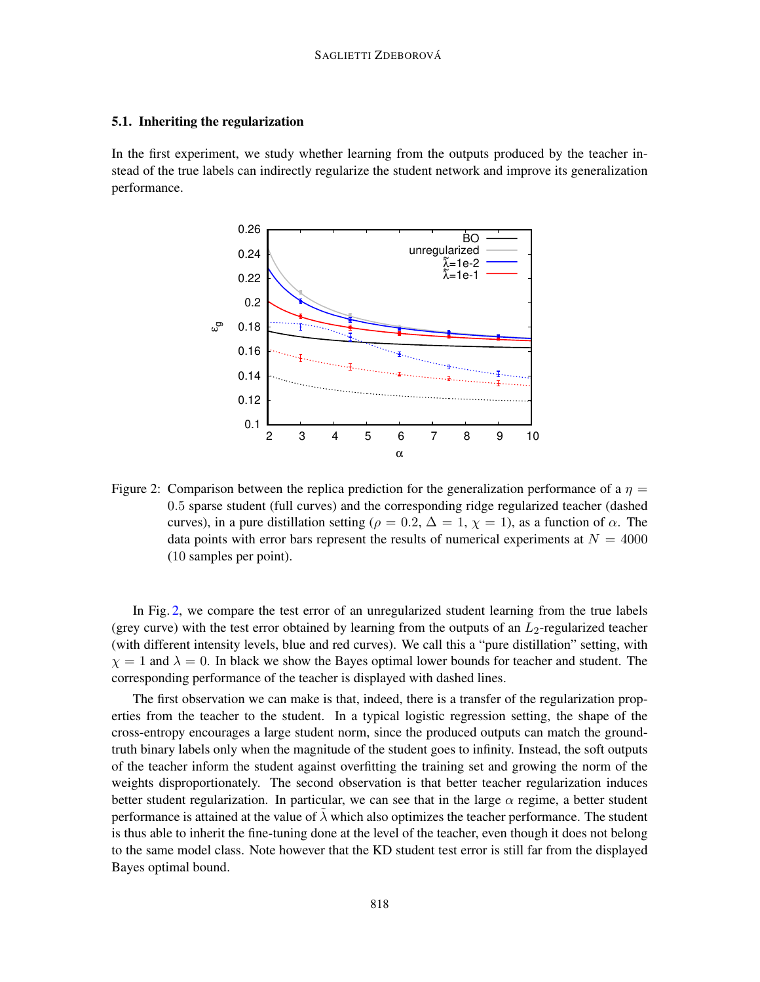#### 5.1. Inheriting the regularization

In the first experiment, we study whether learning from the outputs produced by the teacher instead of the true labels can indirectly regularize the student network and improve its generalization performance.

<span id="page-9-0"></span>

Figure 2: Comparison between the replica prediction for the generalization performance of a  $\eta$  = 0.5 sparse student (full curves) and the corresponding ridge regularized teacher (dashed curves), in a pure distillation setting ( $\rho = 0.2$ ,  $\Delta = 1$ ,  $\chi = 1$ ), as a function of  $\alpha$ . The data points with error bars represent the results of numerical experiments at  $N = 4000$ (10 samples per point).

In Fig. [2,](#page-9-0) we compare the test error of an unregularized student learning from the true labels (grey curve) with the test error obtained by learning from the outputs of an  $L_2$ -regularized teacher (with different intensity levels, blue and red curves). We call this a "pure distillation" setting, with  $\chi = 1$  and  $\lambda = 0$ . In black we show the Bayes optimal lower bounds for teacher and student. The corresponding performance of the teacher is displayed with dashed lines.

The first observation we can make is that, indeed, there is a transfer of the regularization properties from the teacher to the student. In a typical logistic regression setting, the shape of the cross-entropy encourages a large student norm, since the produced outputs can match the groundtruth binary labels only when the magnitude of the student goes to infinity. Instead, the soft outputs of the teacher inform the student against overfitting the training set and growing the norm of the weights disproportionately. The second observation is that better teacher regularization induces better student regularization. In particular, we can see that in the large  $\alpha$  regime, a better student performance is attained at the value of  $\lambda$  which also optimizes the teacher performance. The student is thus able to inherit the fine-tuning done at the level of the teacher, even though it does not belong to the same model class. Note however that the KD student test error is still far from the displayed Bayes optimal bound.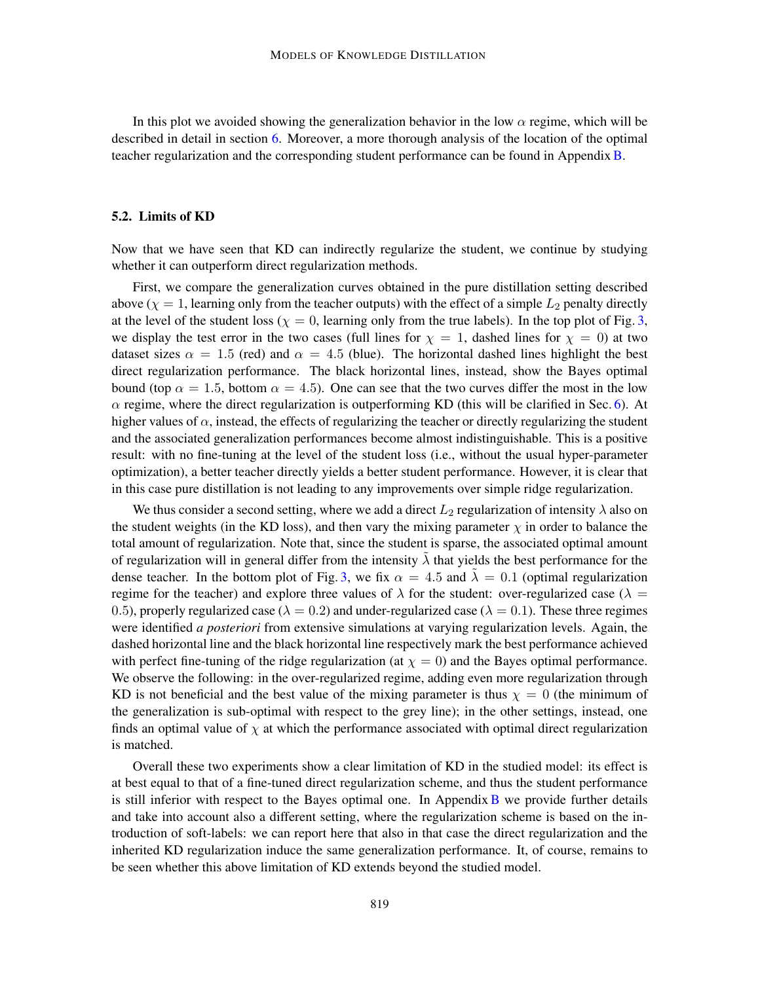In this plot we avoided showing the generalization behavior in the low  $\alpha$  regime, which will be described in detail in section [6.](#page-13-0) Moreover, a more thorough analysis of the location of the optimal teacher regularization and the corresponding student performance can be found in Appendix[B.](#page-31-0)

#### 5.2. Limits of KD

Now that we have seen that KD can indirectly regularize the student, we continue by studying whether it can outperform direct regularization methods.

First, we compare the generalization curves obtained in the pure distillation setting described above ( $\chi = 1$ , learning only from the teacher outputs) with the effect of a simple  $L_2$  penalty directly at the level of the student loss ( $\chi = 0$ , learning only from the true labels). In the top plot of Fig. [3,](#page-11-0) we display the test error in the two cases (full lines for  $\chi = 1$ , dashed lines for  $\chi = 0$ ) at two dataset sizes  $\alpha = 1.5$  (red) and  $\alpha = 4.5$  (blue). The horizontal dashed lines highlight the best direct regularization performance. The black horizontal lines, instead, show the Bayes optimal bound (top  $\alpha = 1.5$ , bottom  $\alpha = 4.5$ ). One can see that the two curves differ the most in the low  $\alpha$  regime, where the direct regularization is outperforming KD (this will be clarified in Sec. [6\)](#page-13-0). At higher values of  $\alpha$ , instead, the effects of regularizing the teacher or directly regularizing the student and the associated generalization performances become almost indistinguishable. This is a positive result: with no fine-tuning at the level of the student loss (i.e., without the usual hyper-parameter optimization), a better teacher directly yields a better student performance. However, it is clear that in this case pure distillation is not leading to any improvements over simple ridge regularization.

We thus consider a second setting, where we add a direct  $L_2$  regularization of intensity  $\lambda$  also on the student weights (in the KD loss), and then vary the mixing parameter  $\chi$  in order to balance the total amount of regularization. Note that, since the student is sparse, the associated optimal amount of regularization will in general differ from the intensity  $\lambda$  that yields the best performance for the dense teacher. In the bottom plot of Fig. [3,](#page-11-0) we fix  $\alpha = 4.5$  and  $\lambda = 0.1$  (optimal regularization regime for the teacher) and explore three values of  $\lambda$  for the student: over-regularized case ( $\lambda =$ 0.5), properly regularized case ( $\lambda = 0.2$ ) and under-regularized case ( $\lambda = 0.1$ ). These three regimes were identified *a posteriori* from extensive simulations at varying regularization levels. Again, the dashed horizontal line and the black horizontal line respectively mark the best performance achieved with perfect fine-tuning of the ridge regularization (at  $\chi = 0$ ) and the Bayes optimal performance. We observe the following: in the over-regularized regime, adding even more regularization through KD is not beneficial and the best value of the mixing parameter is thus  $\chi = 0$  (the minimum of the generalization is sub-optimal with respect to the grey line); in the other settings, instead, one finds an optimal value of  $\chi$  at which the performance associated with optimal direct regularization is matched.

Overall these two experiments show a clear limitation of KD in the studied model: its effect is at best equal to that of a fine-tuned direct regularization scheme, and thus the student performance is still inferior with respect to the [B](#page-31-0)ayes optimal one. In Appendix  $\overline{B}$  we provide further details and take into account also a different setting, where the regularization scheme is based on the introduction of soft-labels: we can report here that also in that case the direct regularization and the inherited KD regularization induce the same generalization performance. It, of course, remains to be seen whether this above limitation of KD extends beyond the studied model.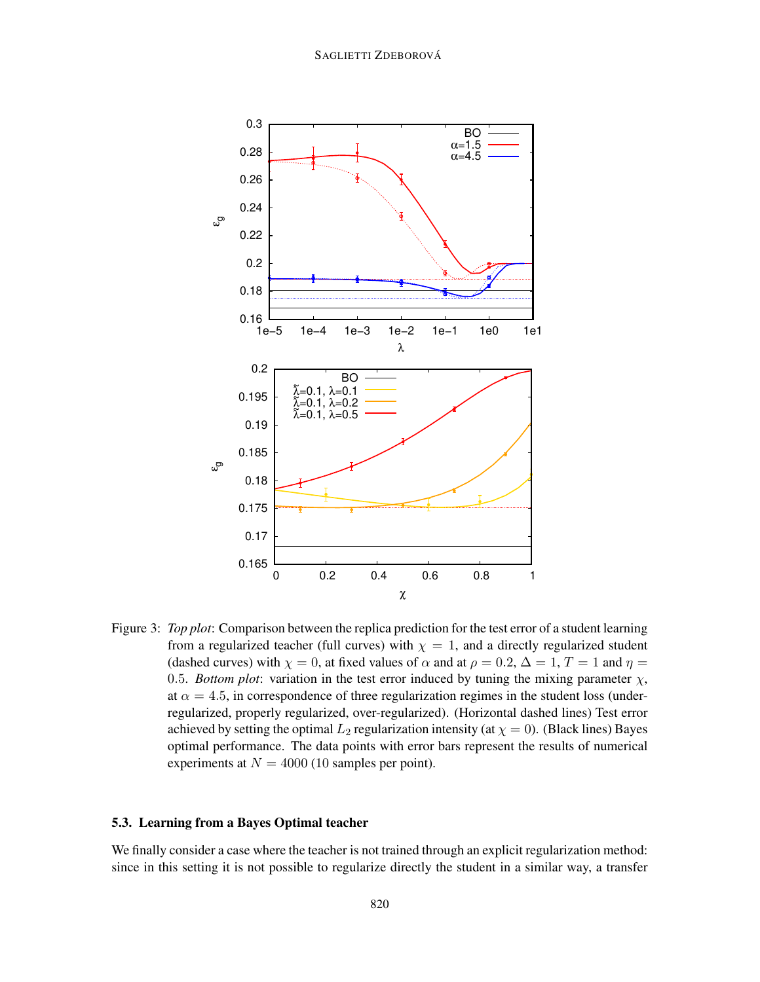

<span id="page-11-0"></span>Figure 3: *Top plot*: Comparison between the replica prediction for the test error of a student learning from a regularized teacher (full curves) with  $\chi = 1$ , and a directly regularized student (dashed curves) with  $\chi = 0$ , at fixed values of  $\alpha$  and at  $\rho = 0.2$ ,  $\Delta = 1$ ,  $T = 1$  and  $\eta =$ 0.5. *Bottom plot*: variation in the test error induced by tuning the mixing parameter  $\chi$ , at  $\alpha = 4.5$ , in correspondence of three regularization regimes in the student loss (underregularized, properly regularized, over-regularized). (Horizontal dashed lines) Test error achieved by setting the optimal  $L_2$  regularization intensity (at  $\chi = 0$ ). (Black lines) Bayes optimal performance. The data points with error bars represent the results of numerical experiments at  $N = 4000$  (10 samples per point).

## 5.3. Learning from a Bayes Optimal teacher

We finally consider a case where the teacher is not trained through an explicit regularization method: since in this setting it is not possible to regularize directly the student in a similar way, a transfer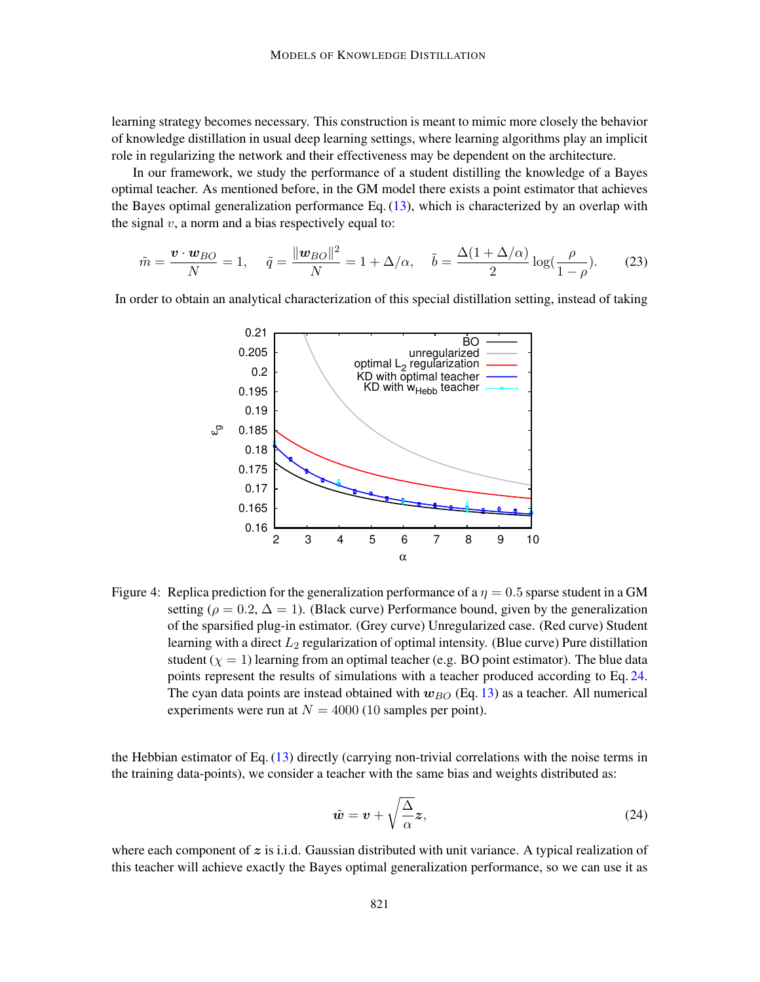learning strategy becomes necessary. This construction is meant to mimic more closely the behavior of knowledge distillation in usual deep learning settings, where learning algorithms play an implicit role in regularizing the network and their effectiveness may be dependent on the architecture.

In our framework, we study the performance of a student distilling the knowledge of a Bayes optimal teacher. As mentioned before, in the GM model there exists a point estimator that achieves the Bayes optimal generalization performance Eq.  $(13)$ , which is characterized by an overlap with the signal  $v$ , a norm and a bias respectively equal to:

$$
\tilde{m} = \frac{\boldsymbol{v} \cdot \boldsymbol{w}_{BO}}{N} = 1, \quad \tilde{q} = \frac{\|\boldsymbol{w}_{BO}\|^2}{N} = 1 + \Delta/\alpha, \quad \tilde{b} = \frac{\Delta(1 + \Delta/\alpha)}{2} \log(\frac{\rho}{1 - \rho}).\tag{23}
$$

In order to obtain an analytical characterization of this special distillation setting, instead of taking



Figure 4: Replica prediction for the generalization performance of a  $\eta = 0.5$  sparse student in a GM setting ( $\rho = 0.2$ ,  $\Delta = 1$ ). (Black curve) Performance bound, given by the generalization of the sparsified plug-in estimator. (Grey curve) Unregularized case. (Red curve) Student learning with a direct  $L_2$  regularization of optimal intensity. (Blue curve) Pure distillation student  $(\chi = 1)$  learning from an optimal teacher (e.g. BO point estimator). The blue data points represent the results of simulations with a teacher produced according to Eq. [24.](#page-12-0) The cyan data points are instead obtained with  $w_{BO}$  (Eq. [13\)](#page-6-1) as a teacher. All numerical experiments were run at  $N = 4000$  (10 samples per point).

the Hebbian estimator of Eq. [\(13\)](#page-6-1) directly (carrying non-trivial correlations with the noise terms in the training data-points), we consider a teacher with the same bias and weights distributed as:

<span id="page-12-1"></span><span id="page-12-0"></span>
$$
\tilde{\boldsymbol{w}} = \boldsymbol{v} + \sqrt{\frac{\Delta}{\alpha}} \boldsymbol{z},\tag{24}
$$

where each component of  $z$  is i.i.d. Gaussian distributed with unit variance. A typical realization of this teacher will achieve exactly the Bayes optimal generalization performance, so we can use it as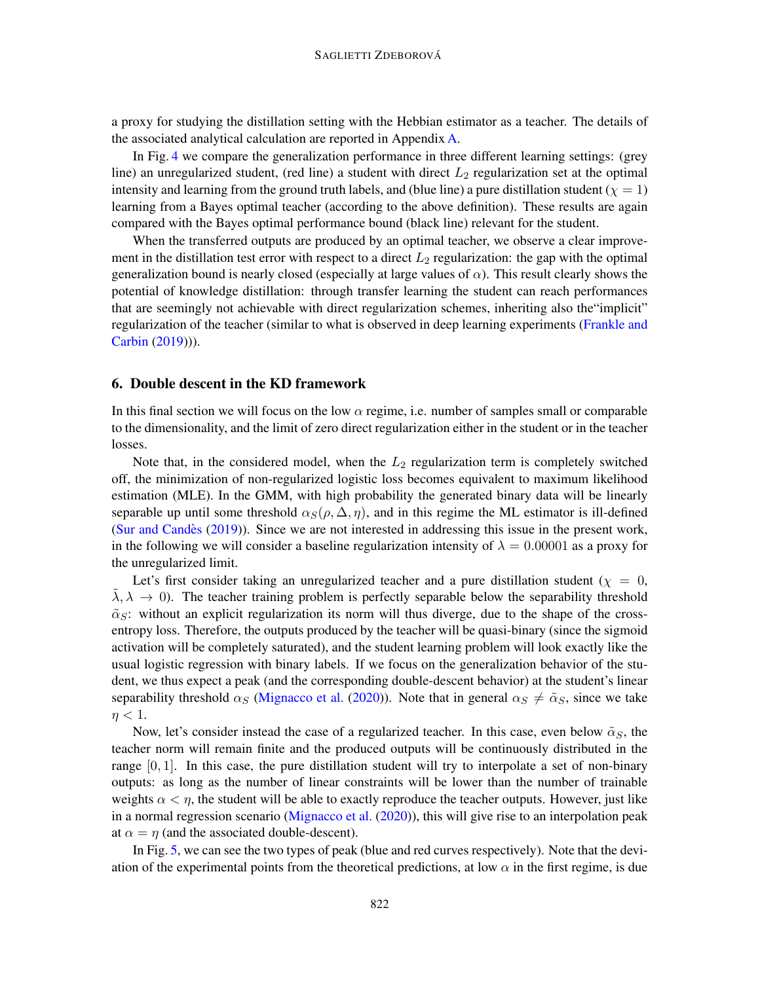a proxy for studying the distillation setting with the Hebbian estimator as a teacher. The details of the associated analytical calculation are reported in Appendix [A.](#page-19-0)

In Fig. [4](#page-12-1) we compare the generalization performance in three different learning settings: (grey line) an unregularized student, (red line) a student with direct  $L_2$  regularization set at the optimal intensity and learning from the ground truth labels, and (blue line) a pure distillation student ( $\chi = 1$ ) learning from a Bayes optimal teacher (according to the above definition). These results are again compared with the Bayes optimal performance bound (black line) relevant for the student.

When the transferred outputs are produced by an optimal teacher, we observe a clear improvement in the distillation test error with respect to a direct  $L_2$  regularization: the gap with the optimal generalization bound is nearly closed (especially at large values of  $\alpha$ ). This result clearly shows the potential of knowledge distillation: through transfer learning the student can reach performances that are seemingly not achievable with direct regularization schemes, inheriting also the"implicit" regularization of the teacher (similar to what is observed in deep learning experiments [\(Frankle and](#page-16-2) [Carbin](#page-16-2) [\(2019\)](#page-16-2))).

# <span id="page-13-0"></span>6. Double descent in the KD framework

In this final section we will focus on the low  $\alpha$  regime, i.e. number of samples small or comparable to the dimensionality, and the limit of zero direct regularization either in the student or in the teacher losses.

Note that, in the considered model, when the  $L_2$  regularization term is completely switched off, the minimization of non-regularized logistic loss becomes equivalent to maximum likelihood estimation (MLE). In the GMM, with high probability the generated binary data will be linearly separable up until some threshold  $\alpha_S(\rho, \Delta, \eta)$ , and in this regime the ML estimator is ill-defined (Sur and Candès  $(2019)$ ). Since we are not interested in addressing this issue in the present work, in the following we will consider a baseline regularization intensity of  $\lambda = 0.00001$  as a proxy for the unregularized limit.

Let's first consider taking an unregularized teacher and a pure distillation student ( $\chi = 0$ ,  $\lambda, \lambda \rightarrow 0$ ). The teacher training problem is perfectly separable below the separability threshold  $\tilde{\alpha}_S$ : without an explicit regularization its norm will thus diverge, due to the shape of the crossentropy loss. Therefore, the outputs produced by the teacher will be quasi-binary (since the sigmoid activation will be completely saturated), and the student learning problem will look exactly like the usual logistic regression with binary labels. If we focus on the generalization behavior of the student, we thus expect a peak (and the corresponding double-descent behavior) at the student's linear separability threshold  $\alpha_S$  [\(Mignacco et al.](#page-17-7) [\(2020\)](#page-17-7)). Note that in general  $\alpha_S \neq \tilde{\alpha}_S$ , since we take  $\eta < 1$ .

Now, let's consider instead the case of a regularized teacher. In this case, even below  $\tilde{\alpha}_S$ , the teacher norm will remain finite and the produced outputs will be continuously distributed in the range  $[0, 1]$ . In this case, the pure distillation student will try to interpolate a set of non-binary outputs: as long as the number of linear constraints will be lower than the number of trainable weights  $\alpha < \eta$ , the student will be able to exactly reproduce the teacher outputs. However, just like in a normal regression scenario [\(Mignacco et al.](#page-17-7) [\(2020\)](#page-17-7)), this will give rise to an interpolation peak at  $\alpha = \eta$  (and the associated double-descent).

In Fig. [5,](#page-14-1) we can see the two types of peak (blue and red curves respectively). Note that the deviation of the experimental points from the theoretical predictions, at low  $\alpha$  in the first regime, is due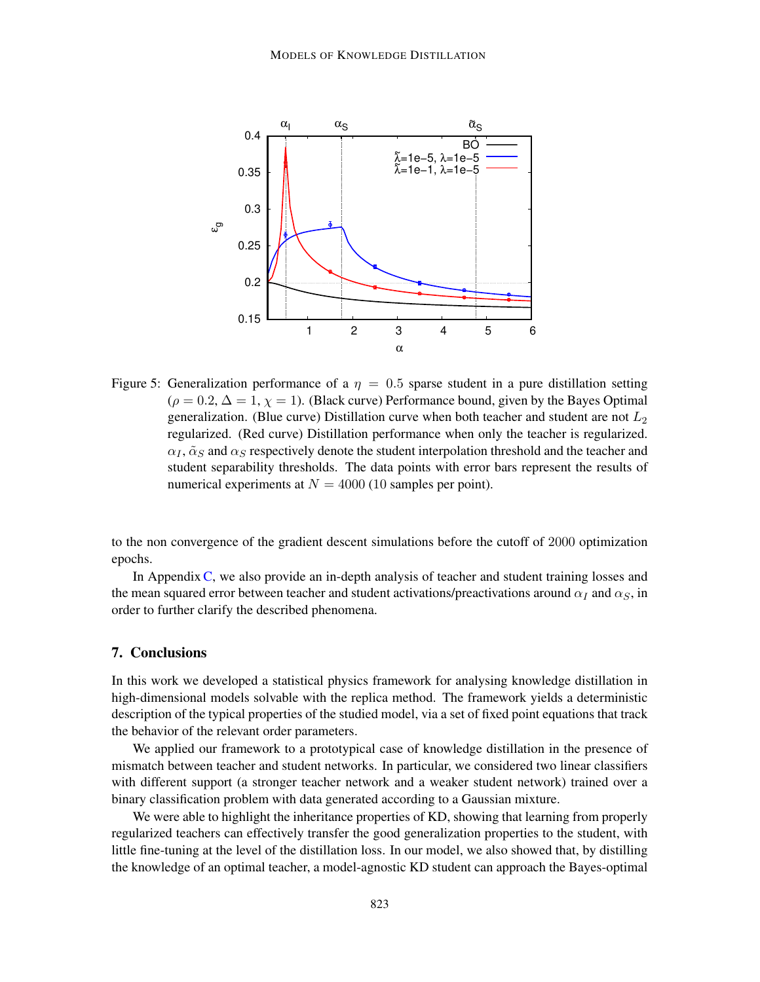<span id="page-14-1"></span>

Figure 5: Generalization performance of a  $\eta = 0.5$  sparse student in a pure distillation setting  $(\rho = 0.2, \Delta = 1, \chi = 1)$ . (Black curve) Performance bound, given by the Bayes Optimal generalization. (Blue curve) Distillation curve when both teacher and student are not  $L_2$ regularized. (Red curve) Distillation performance when only the teacher is regularized.  $\alpha_I$ ,  $\tilde{\alpha}_S$  and  $\alpha_S$  respectively denote the student interpolation threshold and the teacher and student separability thresholds. The data points with error bars represent the results of numerical experiments at  $N = 4000$  (10 samples per point).

to the non convergence of the gradient descent simulations before the cutoff of 2000 optimization epochs.

In Appendix [C,](#page-34-0) we also provide an in-depth analysis of teacher and student training losses and the mean squared error between teacher and student activations/preactivations around  $\alpha_I$  and  $\alpha_S$ , in order to further clarify the described phenomena.

## <span id="page-14-0"></span>7. Conclusions

In this work we developed a statistical physics framework for analysing knowledge distillation in high-dimensional models solvable with the replica method. The framework yields a deterministic description of the typical properties of the studied model, via a set of fixed point equations that track the behavior of the relevant order parameters.

We applied our framework to a prototypical case of knowledge distillation in the presence of mismatch between teacher and student networks. In particular, we considered two linear classifiers with different support (a stronger teacher network and a weaker student network) trained over a binary classification problem with data generated according to a Gaussian mixture.

We were able to highlight the inheritance properties of KD, showing that learning from properly regularized teachers can effectively transfer the good generalization properties to the student, with little fine-tuning at the level of the distillation loss. In our model, we also showed that, by distilling the knowledge of an optimal teacher, a model-agnostic KD student can approach the Bayes-optimal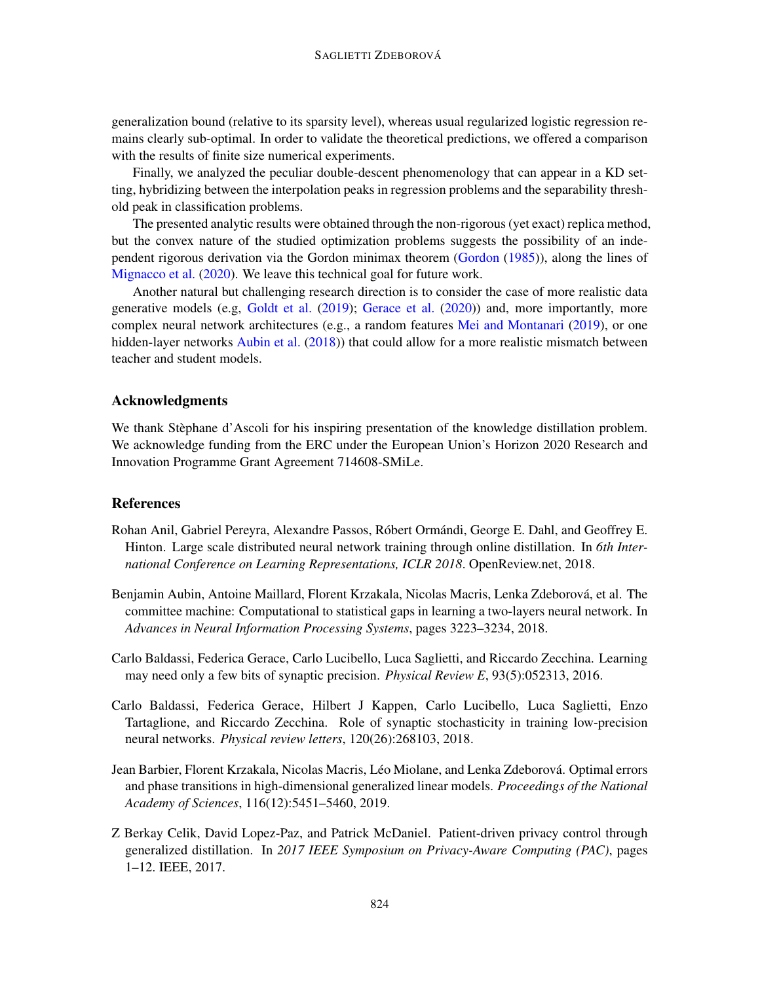generalization bound (relative to its sparsity level), whereas usual regularized logistic regression remains clearly sub-optimal. In order to validate the theoretical predictions, we offered a comparison with the results of finite size numerical experiments.

Finally, we analyzed the peculiar double-descent phenomenology that can appear in a KD setting, hybridizing between the interpolation peaks in regression problems and the separability threshold peak in classification problems.

The presented analytic results were obtained through the non-rigorous (yet exact) replica method, but the convex nature of the studied optimization problems suggests the possibility of an independent rigorous derivation via the Gordon minimax theorem [\(Gordon](#page-16-9) [\(1985\)](#page-16-9)), along the lines of [Mignacco et al.](#page-17-7) [\(2020\)](#page-17-7). We leave this technical goal for future work.

Another natural but challenging research direction is to consider the case of more realistic data generative models (e.g, [Goldt et al.](#page-16-10) [\(2019\)](#page-16-10); [Gerace et al.](#page-16-11) [\(2020\)](#page-16-11)) and, more importantly, more complex neural network architectures (e.g., a random features [Mei and Montanari](#page-17-9) [\(2019\)](#page-17-9), or one hidden-layer networks [Aubin et al.](#page-15-3) [\(2018\)](#page-15-3)) that could allow for a more realistic mismatch between teacher and student models.

## Acknowledgments

We thank Stèphane d'Ascoli for his inspiring presentation of the knowledge distillation problem. We acknowledge funding from the ERC under the European Union's Horizon 2020 Research and Innovation Programme Grant Agreement 714608-SMiLe.

# References

- <span id="page-15-0"></span>Rohan Anil, Gabriel Pereyra, Alexandre Passos, Róbert Ormándi, George E. Dahl, and Geoffrey E. Hinton. Large scale distributed neural network training through online distillation. In *6th International Conference on Learning Representations, ICLR 2018*. OpenReview.net, 2018.
- <span id="page-15-3"></span>Benjamin Aubin, Antoine Maillard, Florent Krzakala, Nicolas Macris, Lenka Zdeborová, et al. The committee machine: Computational to statistical gaps in learning a two-layers neural network. In *Advances in Neural Information Processing Systems*, pages 3223–3234, 2018.
- <span id="page-15-4"></span>Carlo Baldassi, Federica Gerace, Carlo Lucibello, Luca Saglietti, and Riccardo Zecchina. Learning may need only a few bits of synaptic precision. *Physical Review E*, 93(5):052313, 2016.
- <span id="page-15-5"></span>Carlo Baldassi, Federica Gerace, Hilbert J Kappen, Carlo Lucibello, Luca Saglietti, Enzo Tartaglione, and Riccardo Zecchina. Role of synaptic stochasticity in training low-precision neural networks. *Physical review letters*, 120(26):268103, 2018.
- <span id="page-15-2"></span>Jean Barbier, Florent Krzakala, Nicolas Macris, Léo Miolane, and Lenka Zdeborová. Optimal errors and phase transitions in high-dimensional generalized linear models. *Proceedings of the National Academy of Sciences*, 116(12):5451–5460, 2019.
- <span id="page-15-1"></span>Z Berkay Celik, David Lopez-Paz, and Patrick McDaniel. Patient-driven privacy control through generalized distillation. In *2017 IEEE Symposium on Privacy-Aware Computing (PAC)*, pages 1–12. IEEE, 2017.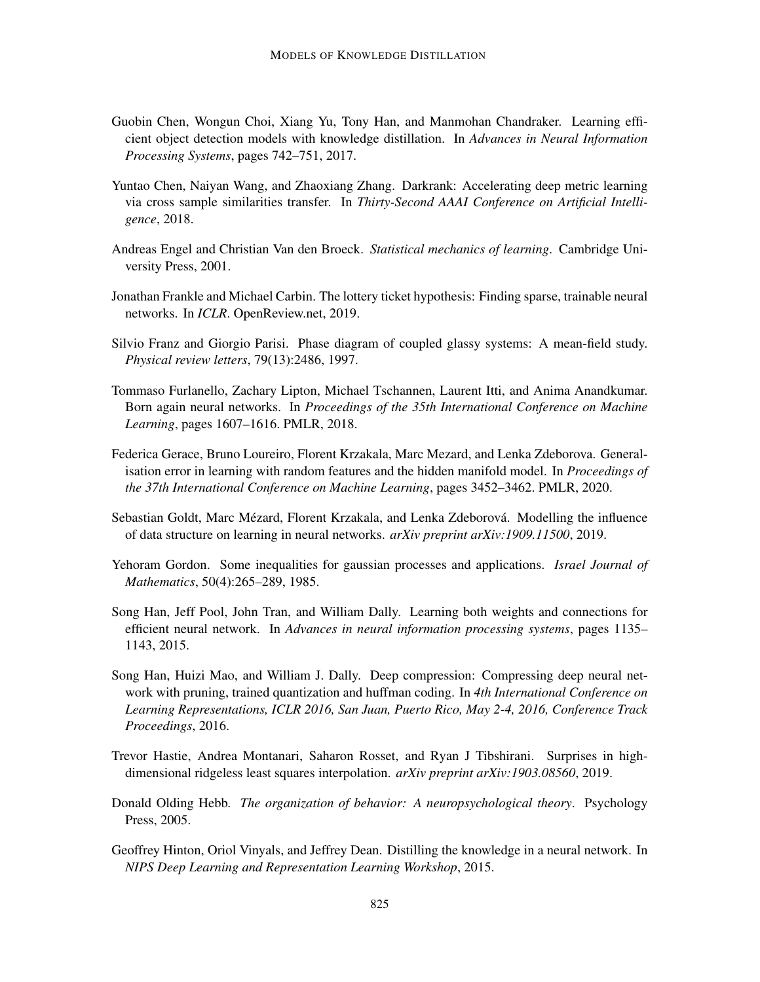- <span id="page-16-5"></span>Guobin Chen, Wongun Choi, Xiang Yu, Tony Han, and Manmohan Chandraker. Learning efficient object detection models with knowledge distillation. In *Advances in Neural Information Processing Systems*, pages 742–751, 2017.
- <span id="page-16-4"></span>Yuntao Chen, Naiyan Wang, and Zhaoxiang Zhang. Darkrank: Accelerating deep metric learning via cross sample similarities transfer. In *Thirty-Second AAAI Conference on Artificial Intelligence*, 2018.
- <span id="page-16-12"></span>Andreas Engel and Christian Van den Broeck. *Statistical mechanics of learning*. Cambridge University Press, 2001.
- <span id="page-16-2"></span>Jonathan Frankle and Michael Carbin. The lottery ticket hypothesis: Finding sparse, trainable neural networks. In *ICLR*. OpenReview.net, 2019.
- <span id="page-16-7"></span>Silvio Franz and Giorgio Parisi. Phase diagram of coupled glassy systems: A mean-field study. *Physical review letters*, 79(13):2486, 1997.
- <span id="page-16-6"></span>Tommaso Furlanello, Zachary Lipton, Michael Tschannen, Laurent Itti, and Anima Anandkumar. Born again neural networks. In *Proceedings of the 35th International Conference on Machine Learning*, pages 1607–1616. PMLR, 2018.
- <span id="page-16-11"></span>Federica Gerace, Bruno Loureiro, Florent Krzakala, Marc Mezard, and Lenka Zdeborova. Generalisation error in learning with random features and the hidden manifold model. In *Proceedings of the 37th International Conference on Machine Learning*, pages 3452–3462. PMLR, 2020.
- <span id="page-16-10"></span>Sebastian Goldt, Marc Mézard, Florent Krzakala, and Lenka Zdeborová. Modelling the influence of data structure on learning in neural networks. *arXiv preprint arXiv:1909.11500*, 2019.
- <span id="page-16-9"></span>Yehoram Gordon. Some inequalities for gaussian processes and applications. *Israel Journal of Mathematics*, 50(4):265–289, 1985.
- <span id="page-16-0"></span>Song Han, Jeff Pool, John Tran, and William Dally. Learning both weights and connections for efficient neural network. In *Advances in neural information processing systems*, pages 1135– 1143, 2015.
- <span id="page-16-1"></span>Song Han, Huizi Mao, and William J. Dally. Deep compression: Compressing deep neural network with pruning, trained quantization and huffman coding. In *4th International Conference on Learning Representations, ICLR 2016, San Juan, Puerto Rico, May 2-4, 2016, Conference Track Proceedings*, 2016.
- <span id="page-16-13"></span>Trevor Hastie, Andrea Montanari, Saharon Rosset, and Ryan J Tibshirani. Surprises in highdimensional ridgeless least squares interpolation. *arXiv preprint arXiv:1903.08560*, 2019.
- <span id="page-16-8"></span>Donald Olding Hebb. *The organization of behavior: A neuropsychological theory*. Psychology Press, 2005.
- <span id="page-16-3"></span>Geoffrey Hinton, Oriol Vinyals, and Jeffrey Dean. Distilling the knowledge in a neural network. In *NIPS Deep Learning and Representation Learning Workshop*, 2015.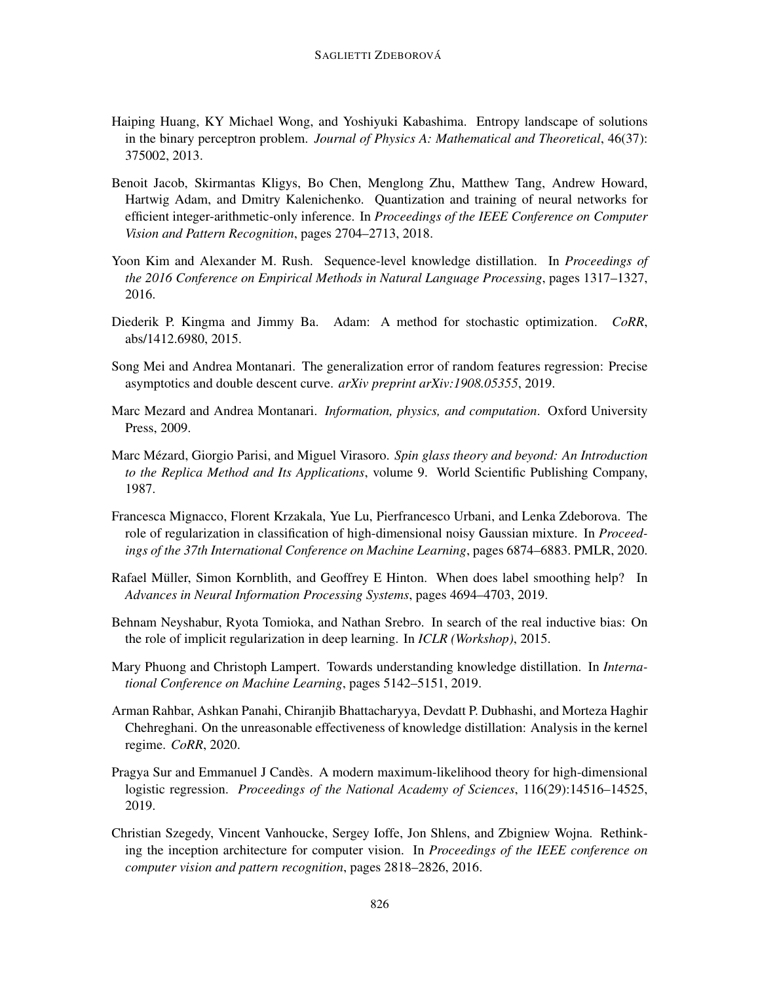- <span id="page-17-10"></span>Haiping Huang, KY Michael Wong, and Yoshiyuki Kabashima. Entropy landscape of solutions in the binary perceptron problem. *Journal of Physics A: Mathematical and Theoretical*, 46(37): 375002, 2013.
- <span id="page-17-1"></span>Benoit Jacob, Skirmantas Kligys, Bo Chen, Menglong Zhu, Matthew Tang, Andrew Howard, Hartwig Adam, and Dmitry Kalenichenko. Quantization and training of neural networks for efficient integer-arithmetic-only inference. In *Proceedings of the IEEE Conference on Computer Vision and Pattern Recognition*, pages 2704–2713, 2018.
- <span id="page-17-2"></span>Yoon Kim and Alexander M. Rush. Sequence-level knowledge distillation. In *Proceedings of the 2016 Conference on Empirical Methods in Natural Language Processing*, pages 1317–1327, 2016.
- <span id="page-17-13"></span>Diederik P. Kingma and Jimmy Ba. Adam: A method for stochastic optimization. *CoRR*, abs/1412.6980, 2015.
- <span id="page-17-9"></span>Song Mei and Andrea Montanari. The generalization error of random features regression: Precise asymptotics and double descent curve. *arXiv preprint arXiv:1908.05355*, 2019.
- <span id="page-17-6"></span>Marc Mezard and Andrea Montanari. *Information, physics, and computation*. Oxford University Press, 2009.
- <span id="page-17-5"></span>Marc Mézard, Giorgio Parisi, and Miguel Virasoro. Spin glass theory and beyond: An Introduction *to the Replica Method and Its Applications*, volume 9. World Scientific Publishing Company, 1987.
- <span id="page-17-7"></span>Francesca Mignacco, Florent Krzakala, Yue Lu, Pierfrancesco Urbani, and Lenka Zdeborova. The role of regularization in classification of high-dimensional noisy Gaussian mixture. In *Proceedings of the 37th International Conference on Machine Learning*, pages 6874–6883. PMLR, 2020.
- <span id="page-17-12"></span>Rafael Müller, Simon Kornblith, and Geoffrey E Hinton. When does label smoothing help? In *Advances in Neural Information Processing Systems*, pages 4694–4703, 2019.
- <span id="page-17-0"></span>Behnam Neyshabur, Ryota Tomioka, and Nathan Srebro. In search of the real inductive bias: On the role of implicit regularization in deep learning. In *ICLR (Workshop)*, 2015.
- <span id="page-17-3"></span>Mary Phuong and Christoph Lampert. Towards understanding knowledge distillation. In *International Conference on Machine Learning*, pages 5142–5151, 2019.
- <span id="page-17-4"></span>Arman Rahbar, Ashkan Panahi, Chiranjib Bhattacharyya, Devdatt P. Dubhashi, and Morteza Haghir Chehreghani. On the unreasonable effectiveness of knowledge distillation: Analysis in the kernel regime. *CoRR*, 2020.
- <span id="page-17-8"></span>Pragya Sur and Emmanuel J Candès. A modern maximum-likelihood theory for high-dimensional logistic regression. *Proceedings of the National Academy of Sciences*, 116(29):14516–14525, 2019.
- <span id="page-17-11"></span>Christian Szegedy, Vincent Vanhoucke, Sergey Ioffe, Jon Shlens, and Zbigniew Wojna. Rethinking the inception architecture for computer vision. In *Proceedings of the IEEE conference on computer vision and pattern recognition*, pages 2818–2826, 2016.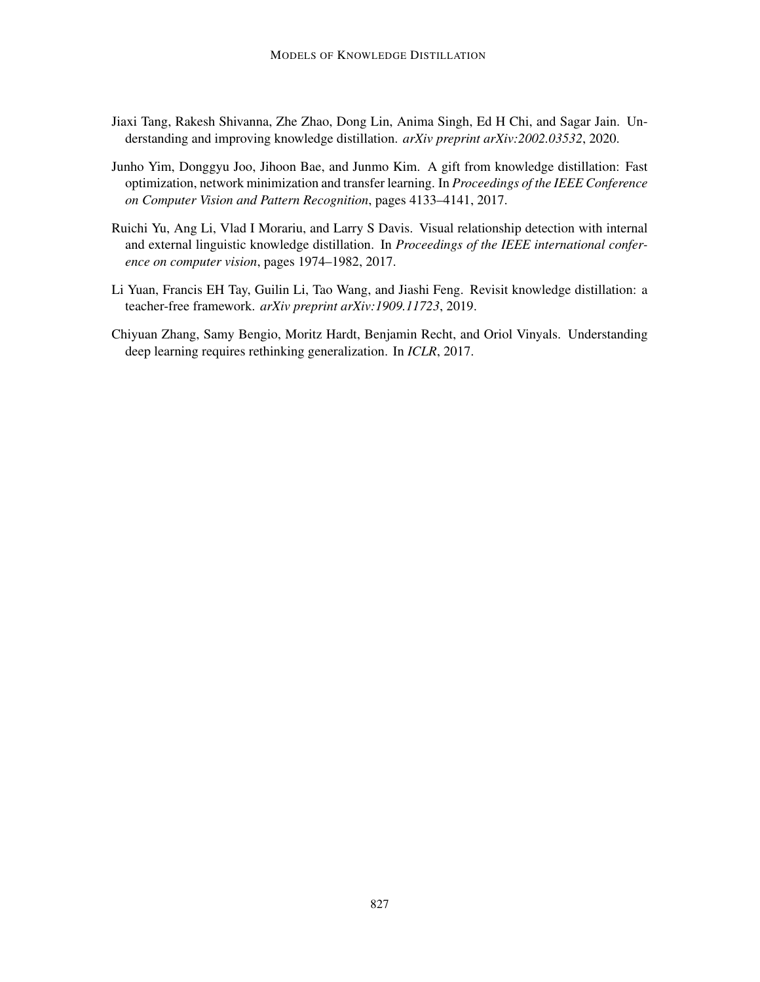- <span id="page-18-3"></span>Jiaxi Tang, Rakesh Shivanna, Zhe Zhao, Dong Lin, Anima Singh, Ed H Chi, and Sagar Jain. Understanding and improving knowledge distillation. *arXiv preprint arXiv:2002.03532*, 2020.
- <span id="page-18-1"></span>Junho Yim, Donggyu Joo, Jihoon Bae, and Junmo Kim. A gift from knowledge distillation: Fast optimization, network minimization and transfer learning. In *Proceedings of the IEEE Conference on Computer Vision and Pattern Recognition*, pages 4133–4141, 2017.
- <span id="page-18-2"></span>Ruichi Yu, Ang Li, Vlad I Morariu, and Larry S Davis. Visual relationship detection with internal and external linguistic knowledge distillation. In *Proceedings of the IEEE international conference on computer vision*, pages 1974–1982, 2017.
- <span id="page-18-4"></span>Li Yuan, Francis EH Tay, Guilin Li, Tao Wang, and Jiashi Feng. Revisit knowledge distillation: a teacher-free framework. *arXiv preprint arXiv:1909.11723*, 2019.
- <span id="page-18-0"></span>Chiyuan Zhang, Samy Bengio, Moritz Hardt, Benjamin Recht, and Oriol Vinyals. Understanding deep learning requires rethinking generalization. In *ICLR*, 2017.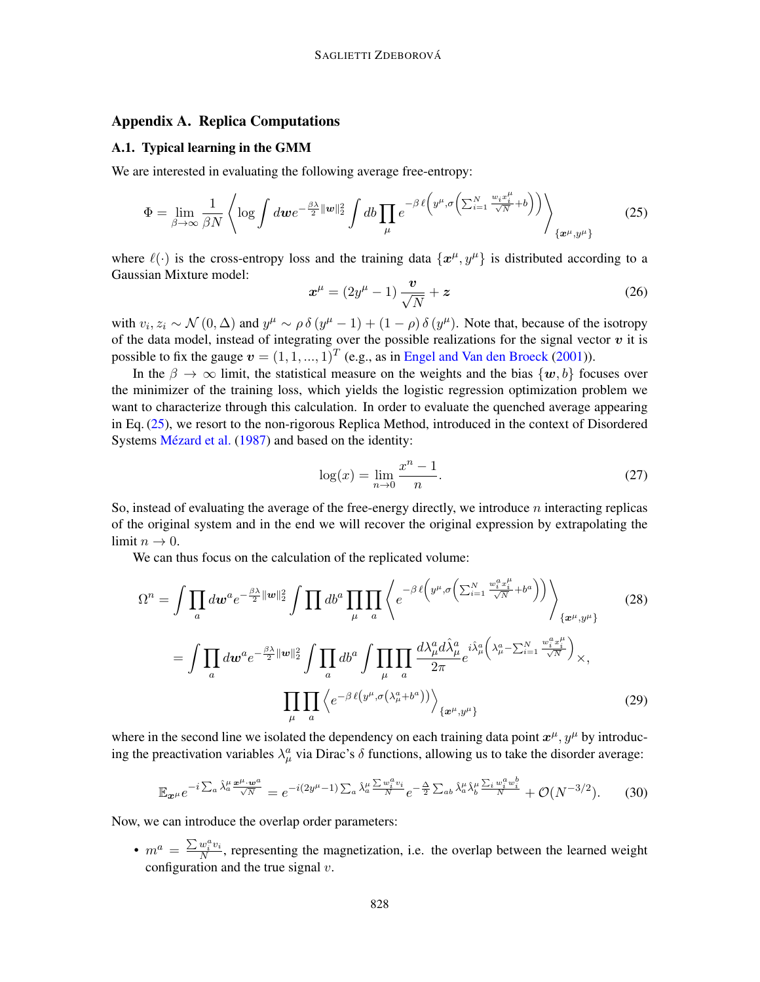# <span id="page-19-0"></span>Appendix A. Replica Computations

# A.1. Typical learning in the GMM

We are interested in evaluating the following average free-entropy:

<span id="page-19-1"></span>
$$
\Phi = \lim_{\beta \to \infty} \frac{1}{\beta N} \left\langle \log \int dw e^{-\frac{\beta \lambda}{2} ||w||_2^2} \int db \prod_{\mu} e^{-\beta \ell \left(y^{\mu}, \sigma \left(\sum_{i=1}^N \frac{w_i x_i^{\mu}}{\sqrt{N}} + b\right)\right)} \right\rangle_{\left\{x^{\mu}, y^{\mu}\right\}} \tag{25}
$$

where  $\ell(\cdot)$  is the cross-entropy loss and the training data  $\{x^{\mu}, y^{\mu}\}\$ is distributed according to a Gaussian Mixture model:

$$
\boldsymbol{x}^{\mu} = (2y^{\mu} - 1) \frac{\boldsymbol{v}}{\sqrt{N}} + \boldsymbol{z}
$$
 (26)

with  $v_i, z_i \sim \mathcal{N}(0, \Delta)$  and  $y^{\mu} \sim \rho \delta(y^{\mu} - 1) + (1 - \rho) \delta(y^{\mu})$ . Note that, because of the isotropy of the data model, instead of integrating over the possible realizations for the signal vector  $v$  it is possible to fix the gauge  $v = (1, 1, ..., 1)^T$  (e.g., as in [Engel and Van den Broeck](#page-16-12) [\(2001\)](#page-16-12)).

In the  $\beta \to \infty$  limit, the statistical measure on the weights and the bias  $\{w, b\}$  focuses over the minimizer of the training loss, which yields the logistic regression optimization problem we want to characterize through this calculation. In order to evaluate the quenched average appearing in Eq. [\(25\)](#page-19-1), we resort to the non-rigorous Replica Method, introduced in the context of Disordered Systems Mézard et al. [\(1987\)](#page-17-5) and based on the identity:

$$
\log(x) = \lim_{n \to 0} \frac{x^n - 1}{n}.
$$
 (27)

So, instead of evaluating the average of the free-energy directly, we introduce  $n$  interacting replicas of the original system and in the end we will recover the original expression by extrapolating the limit  $n \to 0$ .

We can thus focus on the calculation of the replicated volume:

$$
\Omega^{n} = \int \prod_{a} dw^{a} e^{-\frac{\beta \lambda}{2} ||\boldsymbol{w}||_{2}^{2}} \int \prod_{\mu} db^{a} \prod_{a} \left\langle e^{-\beta \ell \left(y^{\mu}, \sigma \left(\sum_{i=1}^{N} \frac{w_{i}^{a} x_{i}^{\mu}}{\sqrt{N}} + b^{a} \right) \right)} \right\rangle_{\left\{x^{\mu}, y^{\mu}\right\}} \tag{28}
$$
\n
$$
= \int \prod_{a} dw^{a} e^{-\frac{\beta \lambda}{2} ||\boldsymbol{w}||_{2}^{2}} \int \prod_{a} db^{a} \int \prod_{\mu} \prod_{a} \frac{d\lambda_{\mu}^{a} d\hat{\lambda}_{\mu}^{a}}{2\pi} e^{i \hat{\lambda}_{\mu}^{a} \left(\lambda_{\mu}^{a} - \sum_{i=1}^{N} \frac{w_{i}^{a} x_{i}^{\mu}}{\sqrt{N}}\right)} \times,
$$
\n
$$
\prod_{\mu} \prod_{a} \left\langle e^{-\beta \ell \left(y^{\mu}, \sigma \left(\lambda_{\mu}^{a} + b^{a} \right)\right)} \right\rangle_{\left\{x^{\mu}, y^{\mu}\right\}} \tag{29}
$$

where in the second line we isolated the dependency on each training data point  $x^{\mu}$ ,  $y^{\mu}$  by introducing the preactivation variables  $\lambda^a_\mu$  via Dirac's  $\delta$  functions, allowing us to take the disorder average:

$$
\mathbb{E}_{\mathbf{x}^{\mu}} e^{-i \sum_{a} \hat{\lambda}_{a}^{\mu} \frac{\mathbf{x}^{\mu} \cdot \mathbf{w}^{a}}{\sqrt{N}}}=e^{-i(2y^{\mu}-1)\sum_{a} \hat{\lambda}_{a}^{\mu} \frac{\sum w_{i}^{a} v_{i}}{N}}e^{-\frac{\Delta}{2} \sum_{ab} \hat{\lambda}_{a}^{\mu} \hat{\lambda}_{b}^{\mu} \frac{\sum_{i} w_{i}^{a} w_{i}^{b}}{N}}+\mathcal{O}(N^{-3/2}).
$$
 (30)

Now, we can introduce the overlap order parameters:

•  $m^a = \frac{\sum w_i^a v_i}{N}$  $\frac{w_i v_i}{N}$ , representing the magnetization, i.e. the overlap between the learned weight configuration and the true signal  $v$ .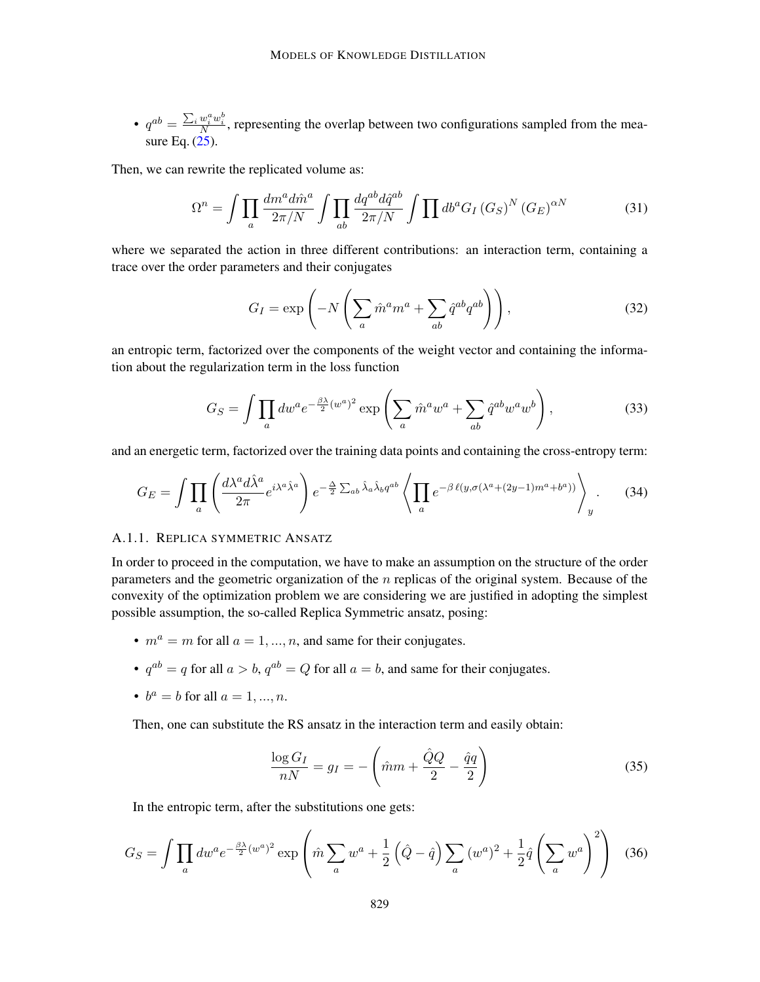•  $q^{ab} = \frac{\sum_i w_i^a w_i^b}{N}$ , representing the overlap between two configurations sampled from the measure Eq.  $(25)$ .

Then, we can rewrite the replicated volume as:

$$
\Omega^{n} = \int \prod_{a} \frac{dm^{a} d\hat{m}^{a}}{2\pi/N} \int \prod_{ab} \frac{dq^{ab} d\hat{q}^{ab}}{2\pi/N} \int \prod db^{a} G_{I} (G_{S})^{N} (G_{E})^{\alpha N} \tag{31}
$$

where we separated the action in three different contributions: an interaction term, containing a trace over the order parameters and their conjugates

$$
G_I = \exp\left(-N\left(\sum_a \hat{m}^a m^a + \sum_{ab} \hat{q}^{ab} q^{ab}\right)\right),\tag{32}
$$

an entropic term, factorized over the components of the weight vector and containing the information about the regularization term in the loss function

$$
G_S = \int \prod_a dw^a e^{-\frac{\beta \lambda}{2}(w^a)^2} \exp\left(\sum_a \hat{m}^a w^a + \sum_{ab} \hat{q}^{ab} w^a w^b\right),\tag{33}
$$

and an energetic term, factorized over the training data points and containing the cross-entropy term:

$$
G_E = \int \prod_a \left( \frac{d\lambda^a d\hat{\lambda}^a}{2\pi} e^{i\lambda^a \hat{\lambda}^a} \right) e^{-\frac{\Delta}{2} \sum_{ab} \hat{\lambda}_a \hat{\lambda}_b q^{ab}} \left\langle \prod_a e^{-\beta \ell(y, \sigma(\lambda^a + (2y-1)m^a + b^a))} \right\rangle_y.
$$
 (34)

# A.1.1. REPLICA SYMMETRIC ANSATZ

In order to proceed in the computation, we have to make an assumption on the structure of the order parameters and the geometric organization of the  $n$  replicas of the original system. Because of the convexity of the optimization problem we are considering we are justified in adopting the simplest possible assumption, the so-called Replica Symmetric ansatz, posing:

- $m^a = m$  for all  $a = 1, ..., n$ , and same for their conjugates.
- $q^{ab} = q$  for all  $a > b$ ,  $q^{ab} = Q$  for all  $a = b$ , and same for their conjugates.
- $b^a = b$  for all  $a = 1, ..., n$ .

Then, one can substitute the RS ansatz in the interaction term and easily obtain:

$$
\frac{\log G_I}{nN} = g_I = -\left(\hat{m}m + \frac{\hat{Q}Q}{2} - \frac{\hat{q}q}{2}\right) \tag{35}
$$

In the entropic term, after the substitutions one gets:

$$
G_S = \int \prod_a dw^a e^{-\frac{\beta \lambda}{2}(w^a)^2} \exp\left(\hat{m} \sum_a w^a + \frac{1}{2} \left(\hat{Q} - \hat{q}\right) \sum_a \left(w^a\right)^2 + \frac{1}{2} \hat{q} \left(\sum_a w^a\right)^2\right) \tag{36}
$$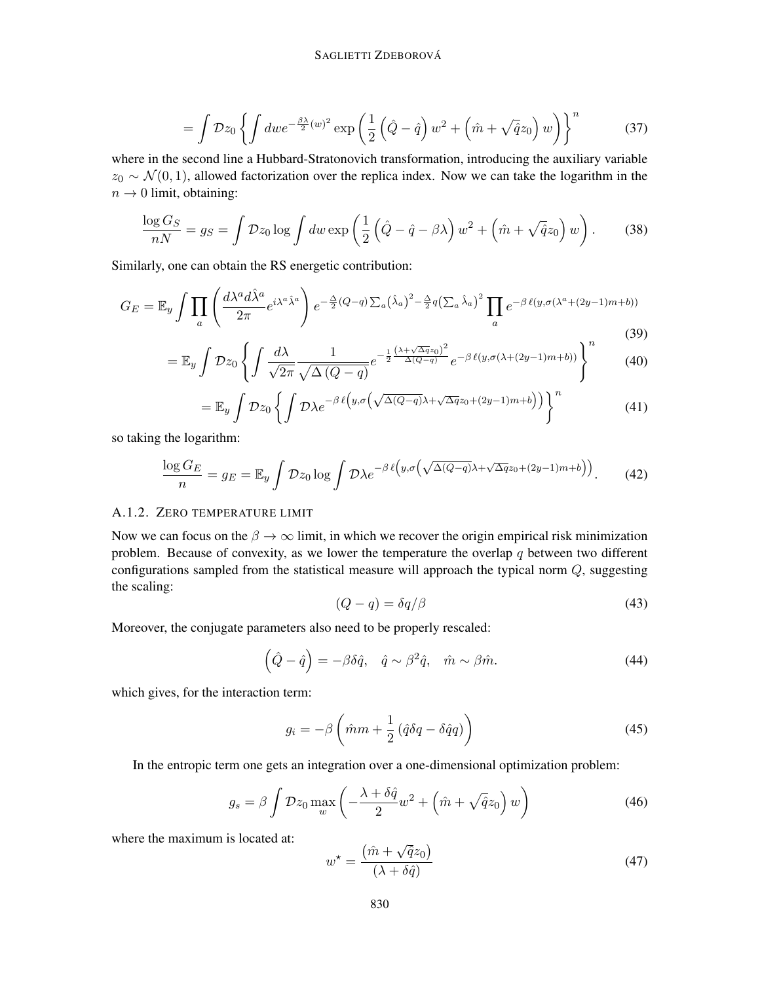$$
= \int \mathcal{D}z_0 \left\{ \int dw e^{-\frac{\beta \lambda}{2}(w)^2} \exp\left(\frac{1}{2}\left(\hat{Q} - \hat{q}\right)w^2 + \left(\hat{m} + \sqrt{\hat{q}}z_0\right)w\right) \right\}^n \tag{37}
$$

where in the second line a Hubbard-Stratonovich transformation, introducing the auxiliary variable  $z_0 \sim \mathcal{N}(0, 1)$ , allowed factorization over the replica index. Now we can take the logarithm in the  $n \rightarrow 0$  limit, obtaining:

$$
\frac{\log G_S}{nN} = g_S = \int \mathcal{D}z_0 \log \int dw \exp\left(\frac{1}{2}\left(\hat{Q} - \hat{q} - \beta\lambda\right)w^2 + \left(\hat{m} + \sqrt{\hat{q}}z_0\right)w\right). \tag{38}
$$

Similarly, one can obtain the RS energetic contribution:

$$
G_E = \mathbb{E}_y \int \prod_a \left( \frac{d\lambda^a d\hat{\lambda}^a}{2\pi} e^{i\lambda^a \hat{\lambda}^a} \right) e^{-\frac{\Delta}{2}(Q-q) \sum_a \left(\hat{\lambda}_a\right)^2 - \frac{\Delta}{2}q \left(\sum_a \hat{\lambda}_a\right)^2} \prod_a e^{-\beta \ell(y, \sigma(\lambda^a + (2y-1)m + b))}
$$
\n(39)

$$
= \mathbb{E}_y \int \mathcal{D}z_0 \left\{ \int \frac{d\lambda}{\sqrt{2\pi}} \frac{1}{\sqrt{\Delta(Q-q)}} e^{-\frac{1}{2} \frac{(\lambda + \sqrt{\Delta q}z_0)^2}{\Delta(Q-q)}} e^{-\beta \ell(y, \sigma(\lambda + (2y-1)m + b))} \right\}^n \tag{40}
$$

$$
= \mathbb{E}_y \int \mathcal{D}z_0 \left\{ \int \mathcal{D}\lambda e^{-\beta \ell \left( y, \sigma \left( \sqrt{\Delta(Q-q)}\lambda + \sqrt{\Delta q}z_0 + (2y-1)m + b \right) \right) } \right\}^n \tag{41}
$$

so taking the logarithm:

$$
\frac{\log G_E}{n} = g_E = \mathbb{E}_y \int \mathcal{D}z_0 \log \int \mathcal{D}\lambda e^{-\beta \ell \left(y, \sigma \left(\sqrt{\Delta(Q-q)}\lambda + \sqrt{\Delta q}z_0 + (2y-1)m + b\right)\right)}.
$$
 (42)

# A.1.2. ZERO TEMPERATURE LIMIT

Now we can focus on the  $\beta \to \infty$  limit, in which we recover the origin empirical risk minimization problem. Because of convexity, as we lower the temperature the overlap  $q$  between two different configurations sampled from the statistical measure will approach the typical norm Q, suggesting the scaling:

$$
(Q - q) = \delta q / \beta \tag{43}
$$

Moreover, the conjugate parameters also need to be properly rescaled:

$$
(\hat{Q} - \hat{q}) = -\beta \delta \hat{q}, \quad \hat{q} \sim \beta^2 \hat{q}, \quad \hat{m} \sim \beta \hat{m}.
$$
 (44)

which gives, for the interaction term:

$$
g_i = -\beta \left(\hat{m}m + \frac{1}{2} \left(\hat{q}\delta q - \delta \hat{q}q\right)\right) \tag{45}
$$

In the entropic term one gets an integration over a one-dimensional optimization problem:

$$
g_s = \beta \int \mathcal{D}z_0 \max_w \left( -\frac{\lambda + \delta \hat{q}}{2} w^2 + \left( \hat{m} + \sqrt{\hat{q}} z_0 \right) w \right) \tag{46}
$$

where the maximum is located at:

<span id="page-21-0"></span>
$$
w^* = \frac{(\hat{m} + \sqrt{\hat{q}}z_0)}{(\lambda + \delta\hat{q})}
$$
(47)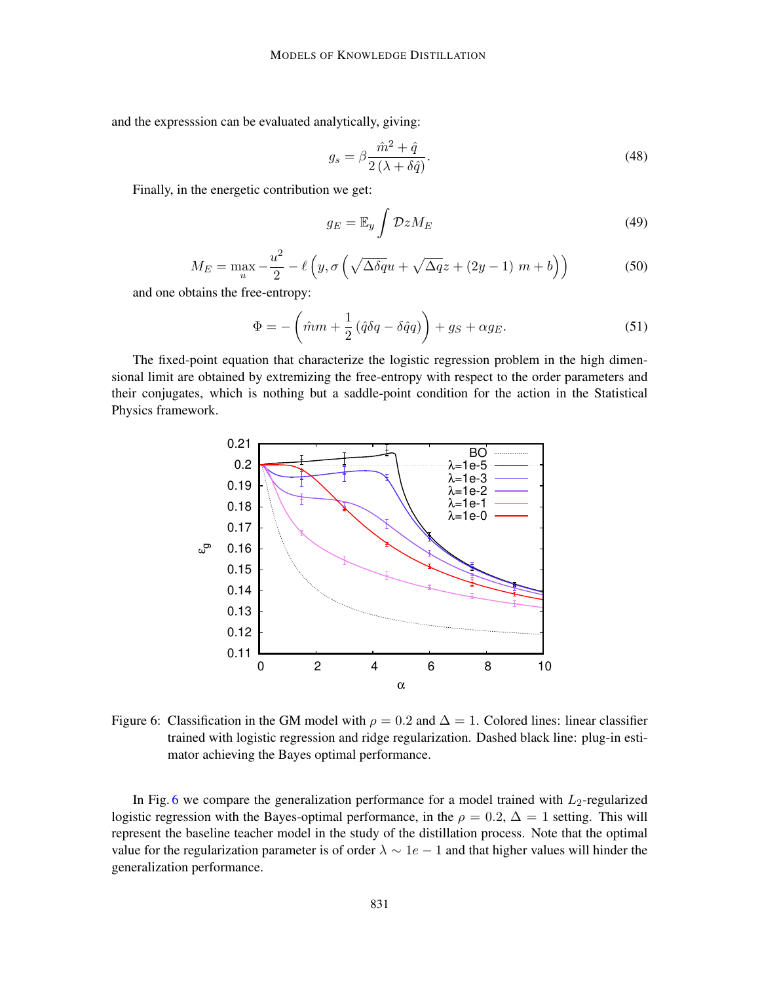and the expresssion can be evaluated analytically, giving:

$$
g_s = \beta \frac{\hat{m}^2 + \hat{q}}{2\left(\lambda + \delta\hat{q}\right)}.\tag{48}
$$

Finally, in the energetic contribution we get:

$$
g_E = \mathbb{E}_y \int \mathcal{D}z M_E \tag{49}
$$

$$
M_E = \max_{u} -\frac{u^2}{2} - \ell \left( y, \sigma \left( \sqrt{\Delta \delta q} u + \sqrt{\Delta q} z + (2y - 1) m + b \right) \right)
$$
(50)

and one obtains the free-entropy:

<span id="page-22-1"></span>
$$
\Phi = -\left(\hat{m}m + \frac{1}{2}\left(\hat{q}\delta q - \delta\hat{q}q\right)\right) + g_S + \alpha g_E. \tag{51}
$$

The fixed-point equation that characterize the logistic regression problem in the high dimensional limit are obtained by extremizing the free-entropy with respect to the order parameters and their conjugates, which is nothing but a saddle-point condition for the action in the Statistical Physics framework.



<span id="page-22-0"></span>Figure 6: Classification in the GM model with  $\rho = 0.2$  and  $\Delta = 1$ . Colored lines: linear classifier trained with logistic regression and ridge regularization. Dashed black line: plug-in estimator achieving the Bayes optimal performance.

In Fig. [6](#page-22-0) we compare the generalization performance for a model trained with  $L_2$ -regularized logistic regression with the Bayes-optimal performance, in the  $\rho = 0.2$ ,  $\Delta = 1$  setting. This will represent the baseline teacher model in the study of the distillation process. Note that the optimal value for the regularization parameter is of order  $\lambda \sim 1e - 1$  and that higher values will hinder the generalization performance.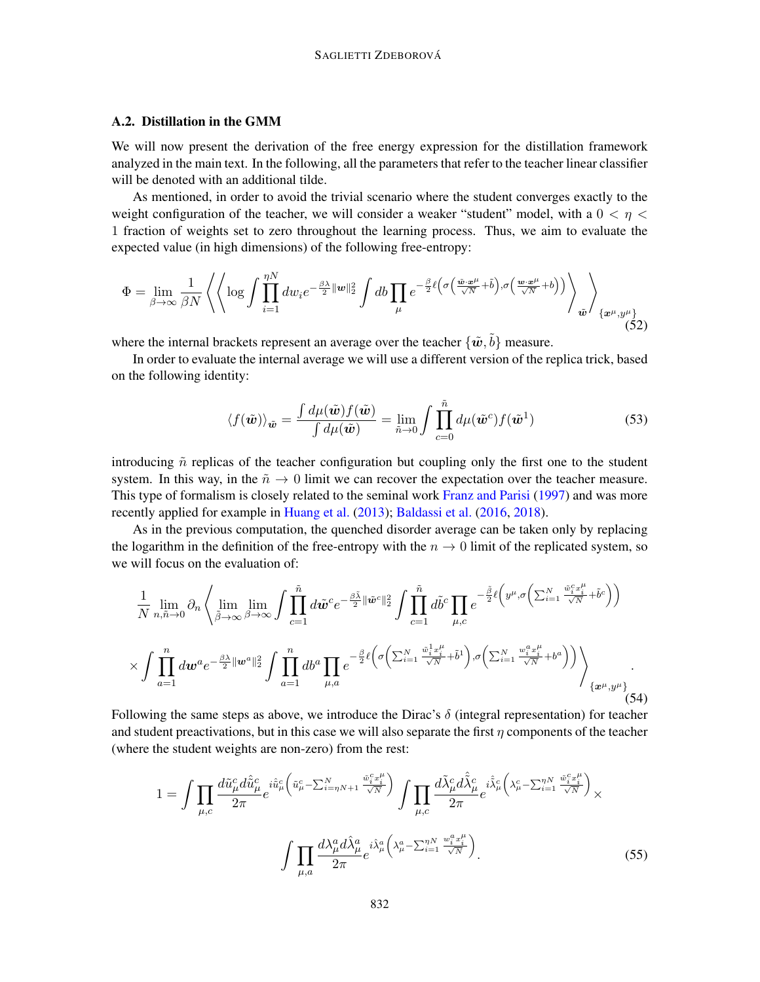# A.2. Distillation in the GMM

We will now present the derivation of the free energy expression for the distillation framework analyzed in the main text. In the following, all the parameters that refer to the teacher linear classifier will be denoted with an additional tilde.

As mentioned, in order to avoid the trivial scenario where the student converges exactly to the weight configuration of the teacher, we will consider a weaker "student" model, with a  $0 < \eta <$ 1 fraction of weights set to zero throughout the learning process. Thus, we aim to evaluate the expected value (in high dimensions) of the following free-entropy:

<span id="page-23-0"></span>
$$
\Phi = \lim_{\beta \to \infty} \frac{1}{\beta N} \left\langle \left\langle \log \int \prod_{i=1}^{\eta N} dw_i e^{-\frac{\beta \lambda}{2} ||w||_2^2} \int db \prod_{\mu} e^{-\frac{\beta}{2} \ell \left(\sigma \left(\frac{\tilde{w} \cdot \tilde{x}^{\mu}}{\sqrt{N}} + \tilde{b}\right), \sigma \left(\frac{w \cdot \tilde{x}^{\mu}}{\sqrt{N}} + b\right)\right)} \right\rangle_{\tilde{w}} \right\rangle_{\{\tilde{x}^{\mu}, y^{\mu}\}} \tag{52}
$$

where the internal brackets represent an average over the teacher  $\{\tilde{\boldsymbol{w}}, \tilde{b}\}$  measure.

In order to evaluate the internal average we will use a different version of the replica trick, based on the following identity:

$$
\langle f(\tilde{\boldsymbol{w}}) \rangle_{\tilde{\boldsymbol{w}}} = \frac{\int d\mu(\tilde{\boldsymbol{w}}) f(\tilde{\boldsymbol{w}})}{\int d\mu(\tilde{\boldsymbol{w}})} = \lim_{\tilde{n} \to 0} \int \prod_{c=0}^{\tilde{n}} d\mu(\tilde{\boldsymbol{w}}^c) f(\tilde{\boldsymbol{w}}^1)
$$
(53)

introducing  $\tilde{n}$  replicas of the teacher configuration but coupling only the first one to the student system. In this way, in the  $n \to 0$  limit we can recover the expectation over the teacher measure. This type of formalism is closely related to the seminal work [Franz and Parisi](#page-16-7) [\(1997\)](#page-16-7) and was more recently applied for example in [Huang et al.](#page-17-10) [\(2013\)](#page-17-10); [Baldassi et al.](#page-15-4) [\(2016,](#page-15-4) [2018\)](#page-15-5).

As in the previous computation, the quenched disorder average can be taken only by replacing the logarithm in the definition of the free-entropy with the  $n \to 0$  limit of the replicated system, so we will focus on the evaluation of:

$$
\frac{1}{N} \lim_{n,\tilde{n}\to 0} \partial_n \left\langle \lim_{\tilde{\beta}\to\infty} \lim_{\beta\to\infty} \int \prod_{c=1}^{\tilde{n}} d\tilde{w}^c e^{-\frac{\beta \tilde{\lambda}}{2} ||\tilde{w}^c||_2^2} \int \prod_{c=1}^{\tilde{n}} d\tilde{b}^c \prod_{c=1} e^{-\frac{\tilde{\beta}}{2} \ell \left(y^{\mu}, \sigma \left(\sum_{i=1}^N \frac{\tilde{w}_i^c x_i^{\mu}}{\sqrt{N}} + \tilde{b}^c\right)\right)} \times \int \prod_{a=1}^n d\omega^a e^{-\frac{\beta \lambda}{2} ||\tilde{w}^a||_2^2} \int \prod_{a=1}^n d\tilde{b}^a \prod_{\mu,a} e^{-\frac{\beta}{2} \ell \left(\sigma \left(\sum_{i=1}^N \frac{\tilde{w}_i^1 x_i^{\mu}}{\sqrt{N}} + \tilde{b}^1\right), \sigma \left(\sum_{i=1}^N \frac{w_i^a x_i^{\mu}}{\sqrt{N}} + b^a\right)\right)} \right\} \times \{x^{\mu}, y^{\mu}\}
$$
\n(54)

Following the same steps as above, we introduce the Dirac's  $\delta$  (integral representation) for teacher and student preactivations, but in this case we will also separate the first  $\eta$  components of the teacher (where the student weights are non-zero) from the rest:

$$
1 = \int \prod_{\mu,c} \frac{d\tilde{u}_{\mu}^{c} d\hat{\tilde{u}}_{\mu}^{c}}{2\pi} e^{i\hat{u}_{\mu}^{c} \left(\tilde{u}_{\mu}^{c} - \sum_{i=\eta N+1}^{N} \frac{\tilde{w}_{i}^{c} x_{i}^{\mu}}{\sqrt{N}}\right)} \int \prod_{\mu,c} \frac{d\tilde{\lambda}_{\mu}^{c} d\hat{\tilde{\lambda}}_{\mu}^{c}}{2\pi} e^{i\hat{\tilde{\lambda}}_{\mu}^{c} \left(\lambda_{\mu}^{c} - \sum_{i=1}^{N} \frac{\tilde{w}_{i}^{c} x_{i}^{\mu}}{\sqrt{N}}\right)} \times \int \prod_{\mu,a} \frac{d\lambda_{\mu}^{a} d\hat{\lambda}_{\mu}^{a}}{2\pi} e^{i\hat{\lambda}_{\mu}^{a} \left(\lambda_{\mu}^{a} - \sum_{i=1}^{N} \frac{w_{i}^{a} x_{i}^{\mu}}{\sqrt{N}}\right)}.
$$
\n
$$
(55)
$$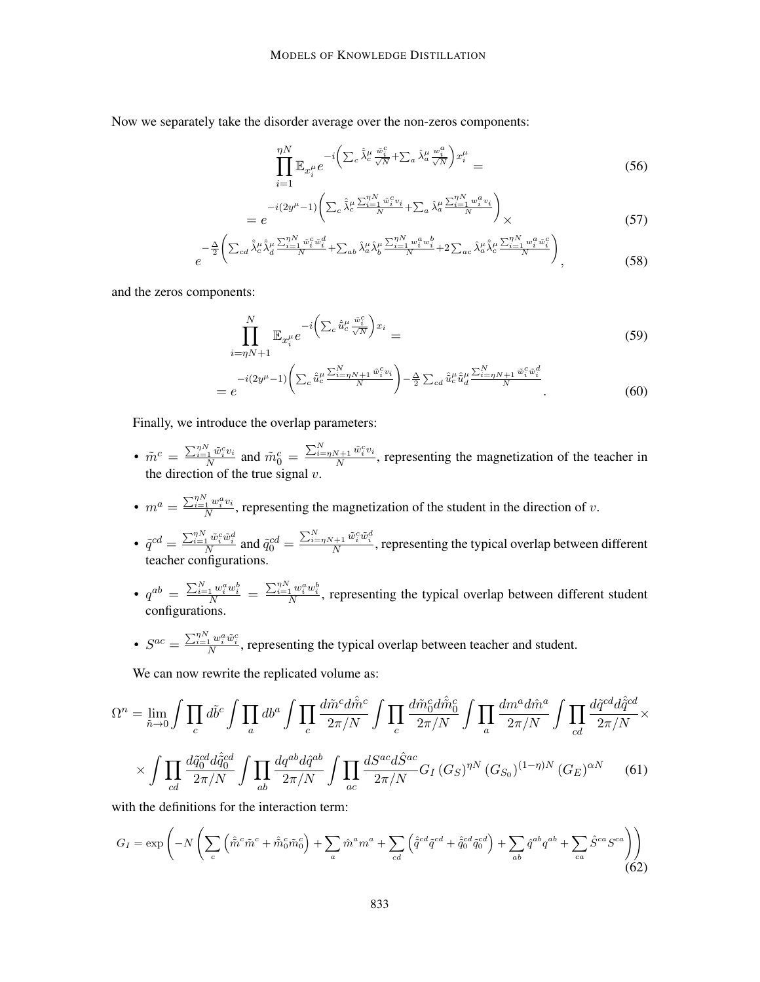Now we separately take the disorder average over the non-zeros components:

$$
\prod_{i=1}^{\eta N} \mathbb{E}_{x_i^{\mu}} e^{-i \left( \sum_c \hat{\lambda}_c^{\mu} \frac{\tilde{w}_i^c}{\sqrt{N}} + \sum_a \hat{\lambda}_a^{\mu} \frac{w_i^a}{\sqrt{N}} \right) x_i^{\mu}} = \tag{56}
$$

$$
= e^{-i(2y^{\mu}-1)\left(\sum_{c}\hat{\lambda}_{c}^{\mu}\frac{\sum_{i=1}^{N}\tilde{w}_{i}^{c}v_{i}}{N} + \sum_{a}\hat{\lambda}_{a}^{\mu}\frac{\sum_{i=1}^{N}w_{i}^{a}v_{i}}{N}\right)} \times
$$
\n(57)

$$
e^{-\frac{\Delta}{2}\left(\sum_{cd}\hat{\lambda}_{c}^{\mu}\hat{\lambda}_{d}^{\mu}\frac{\sum_{i=1}^{N} \tilde{w}_{i}^{c}\tilde{w}_{i}^{d}}{N}+\sum_{ab}\hat{\lambda}_{a}^{\mu}\hat{\lambda}_{b}^{\mu}\frac{\sum_{i=1}^{N} w_{i}^{a}w_{i}^{b}}{N}+2\sum_{ac}\hat{\lambda}_{a}^{\mu}\hat{\lambda}_{c}^{\mu}\frac{\sum_{i=1}^{N} w_{i}^{a}\tilde{w}_{i}^{c}}{N}\right)}{N}},
$$
(58)

and the zeros components:

$$
\prod_{i=\eta N+1}^{N} \mathbb{E}_{x_i^{\mu}} e^{-i \left( \sum_c \hat{\tilde{u}}_c^{\mu} \frac{\tilde{w}_i^c}{\sqrt{N}} \right) x_i} =
$$
\n(59)

$$
= e^{-i(2y^{\mu}-1)\left(\sum_{c}\hat{\tilde{u}}_{c}^{\mu}\frac{\sum_{i=\eta N+1}^{N}\tilde{w}_{i}^{c}v_{i}}{N}\right) - \frac{\Delta}{2}\sum_{cd}\hat{\tilde{u}}_{c}^{\mu}\hat{\tilde{u}}_{d}^{\mu}\frac{\sum_{i=\eta N+1}^{N}\tilde{w}_{i}^{c}\tilde{w}_{i}^{d}}{N}}.
$$
(60)

Finally, we introduce the overlap parameters:

- $\cdot$   $\tilde{m}^c = \frac{\sum_{i=1}^{ \eta N} \tilde{w}_i^c v_i}{N}$  $\frac{\tilde{w}_i^C v_i}{N}$  and  $\tilde{m}_0^c = \frac{\sum_{i=\eta N+1}^N \tilde{w}_i^c v_i}{N}$  $\frac{N+1}{N}$ , representing the magnetization of the teacher in the direction of the true signal  $v$ .
- $\bullet$   $m^a = \frac{\sum_{i=1}^{ \eta N} w^a_i v_i }{N}$  $\frac{1}{N}$ <sup> $\frac{u_i v_i}{N}$ </sup>, representing the magnetization of the student in the direction of v.
- $\tilde{q}^{cd} = \frac{\sum_{i=\eta}^{\eta} \tilde{w}_i^c \tilde{w}_i^d}{N}$  and  $\tilde{q}_0^{cd} = \frac{\sum_{i=\eta}^N N + 1}{N} \tilde{w}_i^c \tilde{w}_i^d$ , representing the typical overlap between different teacher configurations.
- $q^{ab} = \frac{\sum_{i=1}^{N} w_i^a w_i^b}{N} = \frac{\sum_{i=1}^{N} w_i^a w_i^b}{N}$ , representing the typical overlap between different student configurations.
- $S^{ac} = \frac{\sum_{i=1}^{n} w_i^a \tilde{w}_i^c}{N}$ , representing the typical overlap between teacher and student.

We can now rewrite the replicated volume as:

$$
\Omega^{n} = \lim_{\tilde{n}\to 0} \int \prod_{c} d\tilde{b}^{c} \int \prod_{a} db^{a} \int \prod_{c} \frac{d\tilde{m}^{c} d\hat{\tilde{m}}^{c}}{2\pi/N} \int \prod_{c} \frac{d\tilde{m}_{0}^{c} d\hat{\tilde{m}}_{0}^{c}}{2\pi/N} \int \prod_{a} \frac{dm^{a} d\hat{m}^{a}}{2\pi/N} \int \prod_{cd} \frac{d\tilde{q}^{cd} d\hat{q}^{cd}}{2\pi/N} \times \int \prod_{cd} \frac{d\tilde{q}^{cd} d\hat{q}^{cd}}{2\pi/N} \int \prod_{ab} \frac{d\tilde{q}^{cd}}{2\pi/N} \int \prod_{ac} \frac{dS^{ac} d\hat{S}^{ac}}{2\pi/N} G_{I}(G_{S})^{nN} (G_{S_{0}})^{(1-\eta)N} (G_{E})^{\alpha N} \tag{61}
$$

<span id="page-24-0"></span>with the definitions for the interaction term:

$$
G_{I} = \exp\left(-N\left(\sum_{c} \left(\hat{\tilde{m}}^{c}\tilde{m}^{c} + \hat{\tilde{m}}_{0}^{c}\tilde{m}_{0}^{c}\right) + \sum_{a} \hat{m}^{a}m^{a} + \sum_{cd} \left(\hat{\tilde{q}}^{cd}\tilde{q}^{cd} + \hat{\tilde{q}}_{0}^{cd}\tilde{q}_{0}^{cd}\right) + \sum_{ab} \hat{q}^{ab}q^{ab} + \sum_{ca} \hat{S}^{ca}S^{ca}\right)\right)
$$
(62)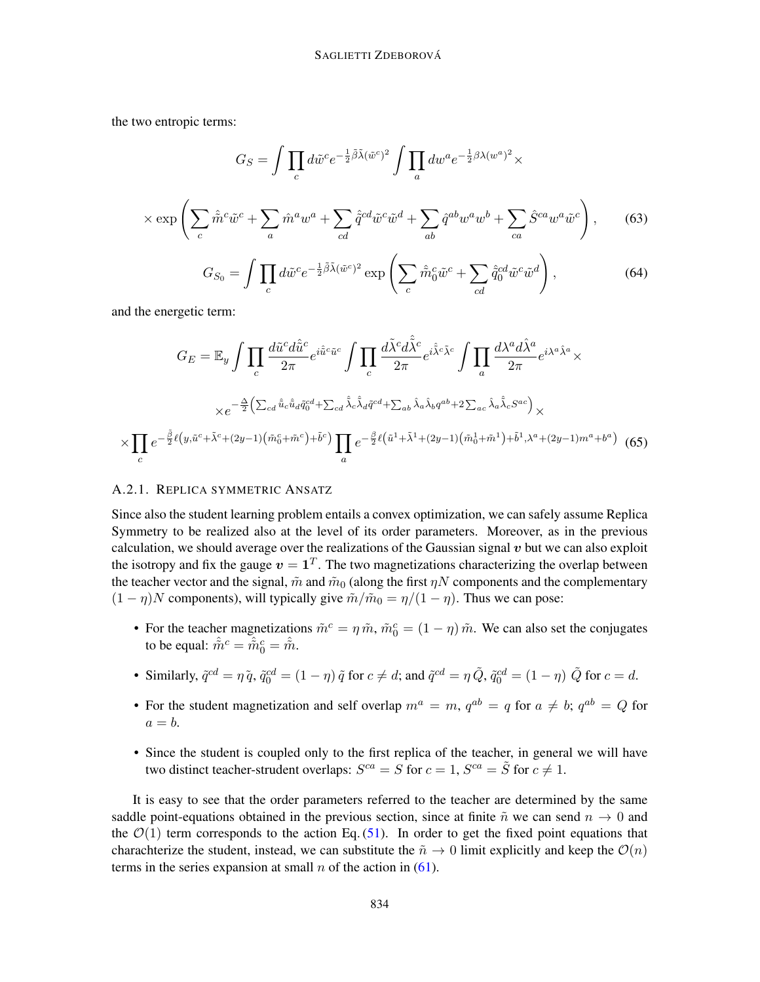the two entropic terms:

$$
G_S = \int \prod_c d\tilde{w}^c e^{-\frac{1}{2}\tilde{\beta}\tilde{\lambda}(\tilde{w}^c)^2} \int \prod_a dw^a e^{-\frac{1}{2}\beta\lambda(w^a)^2} \times
$$

$$
\times \exp\left(\sum_c \hat{\tilde{m}}^c \tilde{w}^c + \sum_a \hat{m}^a w^a + \sum_{cd} \hat{q}^{cd} \tilde{w}^c \tilde{w}^d + \sum_{ab} \hat{q}^{ab} w^a w^b + \sum_{ca} \hat{S}^{ca} w^a \tilde{w}^c\right), \qquad (63)
$$

$$
G_{S_0} = \int \prod_c d\tilde{w}^c e^{-\frac{1}{2}\tilde{\beta}\tilde{\lambda}(\tilde{w}^c)^2} \exp\left(\sum_c \hat{\tilde{m}}_0^c \tilde{w}^c + \sum_{cd} \hat{\tilde{q}}_0^{cd} \tilde{w}^c \tilde{w}^d\right),\tag{64}
$$

and the energetic term:

 $\times$ 

$$
G_E = \mathbb{E}_y \int \prod_c \frac{d\tilde{u}^c d\hat{u}^c}{2\pi} e^{i\hat{u}^c \tilde{u}^c} \int \prod_c \frac{d\tilde{\lambda}^c d\tilde{\tilde{\lambda}}^c}{2\pi} e^{i\hat{\tilde{\lambda}}^c \tilde{\lambda}^c} \int \prod_a \frac{d\lambda^a d\hat{\lambda}^a}{2\pi} e^{i\lambda^a \hat{\lambda}^a} \times
$$
  

$$
\times e^{-\frac{\Delta}{2} \left( \sum_{cd} \hat{u}_c \hat{u}_d \tilde{q}_0^{cd} + \sum_{cd} \hat{\tilde{\lambda}}_c \hat{\tilde{\lambda}}_d \tilde{q}^{cd} + \sum_{ab} \hat{\lambda}_a \hat{\lambda}_b q^{ab} + 2 \sum_{ac} \hat{\lambda}_a \hat{\tilde{\lambda}}_c S^{ac} \right)} \times
$$
  

$$
\prod_c e^{-\frac{\tilde{\beta}}{2} \ell \left( y, \tilde{u}^c + \tilde{\lambda}^c + (2y - 1) \left( \tilde{m}_0^c + \tilde{m}^c \right) + \tilde{b}^c \right)} \prod_a e^{-\frac{\beta}{2} \ell \left( \tilde{u}^1 + \tilde{\lambda}^1 + (2y - 1) \left( \tilde{m}_0^1 + \tilde{m}^1 \right) + \tilde{b}^1, \lambda^a + (2y - 1) m^a + b^a \right)} \tag{65}
$$

#### A.2.1. REPLICA SYMMETRIC ANSATZ

Since also the student learning problem entails a convex optimization, we can safely assume Replica Symmetry to be realized also at the level of its order parameters. Moreover, as in the previous calculation, we should average over the realizations of the Gaussian signal  $v$  but we can also exploit the isotropy and fix the gauge  $v = \mathbf{1}^T$ . The two magnetizations characterizing the overlap between the teacher vector and the signal,  $\tilde{m}$  and  $\tilde{m}_0$  (along the first  $\eta N$  components and the complementary  $(1 - \eta)N$  components), will typically give  $\tilde{m}/\tilde{m}_0 = \eta/(1 - \eta)$ . Thus we can pose:

- For the teacher magnetizations  $\tilde{m}^c = \eta \tilde{m}$ ,  $\tilde{m}_0^c = (1 \eta) \tilde{m}$ . We can also set the conjugates to be equal:  $\hat{\tilde{m}}^c = \hat{\tilde{m}}_0^c = \hat{\tilde{m}}$ .
- Similarly,  $\tilde{q}^{cd} = \eta \tilde{q}$ ,  $\tilde{q}_0^{cd} = (1 \eta) \tilde{q}$  for  $c \neq d$ ; and  $\tilde{q}^{cd} = \eta \tilde{Q}$ ,  $\tilde{q}_0^{cd} = (1 \eta) \tilde{Q}$  for  $c = d$ .
- For the student magnetization and self overlap  $m^a = m$ ,  $q^{ab} = q$  for  $a \neq b$ ;  $q^{ab} = Q$  for  $a = b$ .
- Since the student is coupled only to the first replica of the teacher, in general we will have two distinct teacher-strudent overlaps:  $S^{ca} = S$  for  $c = 1$ ,  $S^{ca} = \tilde{S}$  for  $c \neq 1$ .

It is easy to see that the order parameters referred to the teacher are determined by the same saddle point-equations obtained in the previous section, since at finite  $\tilde{n}$  we can send  $n \to 0$  and the  $\mathcal{O}(1)$  term corresponds to the action Eq. [\(51\)](#page-22-1). In order to get the fixed point equations that charachterize the student, instead, we can substitute the  $\tilde{n} \to 0$  limit explicitly and keep the  $\mathcal{O}(n)$ terms in the series expansion at small n of the action in  $(61)$ .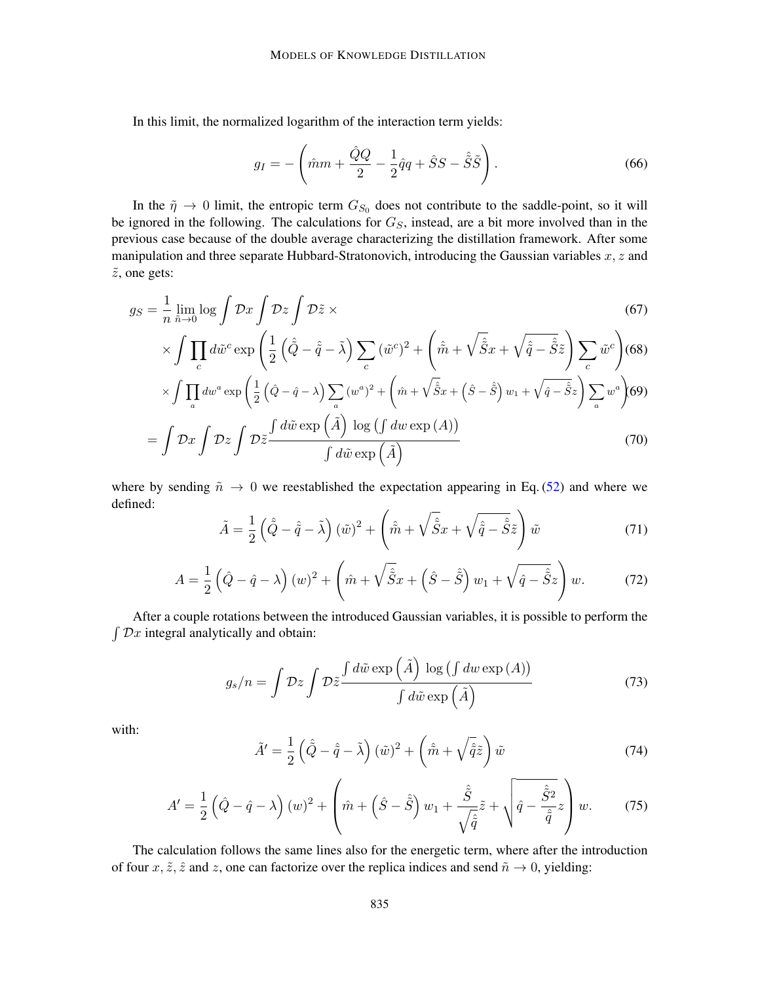In this limit, the normalized logarithm of the interaction term yields:

$$
g_I = -\left(\hat{m}m + \frac{\hat{Q}Q}{2} - \frac{1}{2}\hat{q}q + \hat{S}S - \hat{\tilde{S}}\tilde{S}\right).
$$
\n(66)

In the  $\tilde{\eta} \to 0$  limit, the entropic term  $G_{S_0}$  does not contribute to the saddle-point, so it will be ignored in the following. The calculations for  $G<sub>S</sub>$ , instead, are a bit more involved than in the previous case because of the double average characterizing the distillation framework. After some manipulation and three separate Hubbard-Stratonovich, introducing the Gaussian variables  $x, z$  and  $\tilde{z}$ , one gets:

$$
g_S = \frac{1}{n} \lim_{\tilde{n} \to 0} \log \int \mathcal{D}x \int \mathcal{D}\tilde{z} \times
$$
 (67)

$$
\times \int \prod_c d\tilde{w}^c \exp\left(\frac{1}{2}\left(\hat{\tilde{Q}} - \hat{\tilde{q}} - \tilde{\lambda}\right) \sum_c (\tilde{w}^c)^2 + \left(\hat{\tilde{m}} + \sqrt{\hat{\tilde{S}}x} + \sqrt{\hat{\tilde{q}} - \hat{\tilde{S}}}\tilde{z}\right) \sum_c \tilde{w}^c\right)
$$
(68)

$$
\times \int \prod_{a} dw^{a} \exp \left( \frac{1}{2} \left( \hat{Q} - \hat{q} - \lambda \right) \sum_{a} \left( w^{a} \right)^{2} + \left( \hat{m} + \sqrt{\hat{S}} x + \left( \hat{S} - \hat{\tilde{S}} \right) w_{1} + \sqrt{\hat{q} - \hat{\tilde{S}}} z \right) \sum_{a} w^{a} \right) (69)
$$

$$
= \int \mathcal{D}x \int \mathcal{D}\tilde{z} \frac{\int d\tilde{w} \exp \left( \tilde{A} \right) \log \left( \int dw \exp \left( A \right) \right)}{\int d\tilde{w} \exp \left( \tilde{A} \right)} \tag{70}
$$

where by sending  $\tilde{n} \to 0$  we reestablished the expectation appearing in Eq. [\(52\)](#page-23-0) and where we defined:

$$
\tilde{A} = \frac{1}{2} \left( \hat{\tilde{Q}} - \hat{\tilde{q}} - \tilde{\lambda} \right) (\tilde{w})^2 + \left( \hat{\tilde{m}} + \sqrt{\hat{\tilde{S}}} x + \sqrt{\hat{\tilde{q}} - \hat{\tilde{S}}} \tilde{z} \right) \tilde{w}
$$
\n(71)

$$
A = \frac{1}{2} \left( \hat{Q} - \hat{q} - \lambda \right) (w)^2 + \left( \hat{m} + \sqrt{\hat{\tilde{S}}} x + \left( \hat{S} - \hat{\tilde{S}} \right) w_1 + \sqrt{\hat{q} - \hat{\tilde{S}}} z \right) w. \tag{72}
$$

After a couple rotations between the introduced Gaussian variables, it is possible to perform the  $\int \mathcal{D}x$  integral analytically and obtain:

$$
g_s/n = \int \mathcal{D}z \int \mathcal{D}\tilde{z} \frac{\int d\tilde{w} \exp\left(\tilde{A}\right) \log\left(\int dw \exp\left(A\right)\right)}{\int d\tilde{w} \exp\left(\tilde{A}\right)}
$$
(73)

with:

$$
\tilde{A}' = \frac{1}{2} \left( \hat{\tilde{Q}} - \hat{\tilde{q}} - \tilde{\lambda} \right) (\tilde{w})^2 + \left( \hat{\tilde{m}} + \sqrt{\hat{\tilde{q}}}\tilde{z} \right) \tilde{w}
$$
\n(74)

$$
A' = \frac{1}{2} \left( \hat{Q} - \hat{q} - \lambda \right) (w)^2 + \left( \hat{m} + \left( \hat{S} - \hat{\tilde{S}} \right) w_1 + \frac{\hat{\tilde{S}}}{\sqrt{\hat{q}}} \tilde{z} + \sqrt{\hat{q} - \frac{\hat{\tilde{S}}^2}{\hat{\tilde{q}}} z} \right) w. \tag{75}
$$

The calculation follows the same lines also for the energetic term, where after the introduction of four  $x, \tilde{z}, \hat{z}$  and z, one can factorize over the replica indices and send  $\tilde{n} \to 0$ , yielding: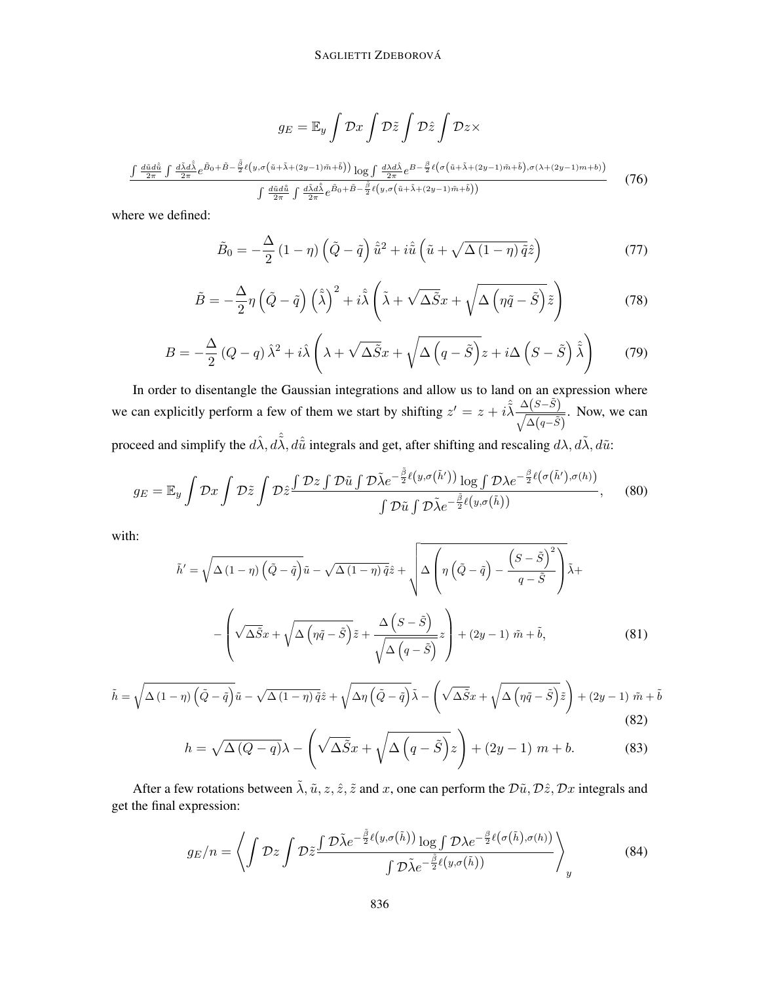$$
g_E = \mathbb{E}_y \int \mathcal{D}x \int \mathcal{D}\tilde{z} \int \mathcal{D}\tilde{z} \int \mathcal{D}z \times
$$

$$
\frac{\int \frac{d\tilde{u}d\hat{u}}{2\pi} \int \frac{d\tilde{\lambda}d\hat{\lambda}}{2\pi} e^{\tilde{B}_0 + \tilde{B} - \frac{\tilde{\beta}}{2}\ell(y, \sigma(\tilde{u} + \tilde{\lambda} + (2y - 1)\tilde{m} + \tilde{b}))} \log \int \frac{d\lambda d\hat{\lambda}}{2\pi} e^{B - \frac{\beta}{2}\ell(\sigma(\tilde{u} + \tilde{\lambda} + (2y - 1)\tilde{m} + \tilde{b}), \sigma(\lambda + (2y - 1)m + b))}{\int \frac{d\tilde{u}d\hat{u}}{2\pi} \int \frac{d\tilde{\lambda}d\hat{\lambda}}{2\pi} e^{\tilde{B}_0 + \tilde{B} - \frac{\tilde{\beta}}{2}\ell(y, \sigma(\tilde{u} + \tilde{\lambda} + (2y - 1)\tilde{m} + \tilde{b}))}
$$
(76)

where we defined:

$$
\tilde{B}_0 = -\frac{\Delta}{2} (1 - \eta) \left( \tilde{Q} - \tilde{q} \right) \hat{\tilde{u}}^2 + i \hat{\tilde{u}} \left( \tilde{u} + \sqrt{\Delta (1 - \eta) \tilde{q}} \hat{z} \right)
$$
\n(77)

$$
\tilde{B} = -\frac{\Delta}{2}\eta \left(\tilde{Q} - \tilde{q}\right) \left(\hat{\tilde{\lambda}}\right)^2 + i\hat{\tilde{\lambda}} \left(\tilde{\lambda} + \sqrt{\Delta \tilde{S}}x + \sqrt{\Delta \left(\eta \tilde{q} - \tilde{S}\right)}\tilde{z}\right)
$$
(78)

$$
B = -\frac{\Delta}{2} (Q - q) \hat{\lambda}^2 + i \hat{\lambda} \left( \lambda + \sqrt{\Delta \tilde{S}} x + \sqrt{\Delta \left( q - \tilde{S} \right)} z + i \Delta \left( S - \tilde{S} \right) \hat{\tilde{\lambda}} \right)
$$
(79)

In order to disentangle the Gaussian integrations and allow us to land on an expression where we can explicitly perform a few of them we start by shifting  $z' = z + i \hat{\lambda} \frac{\Delta(S-\tilde{S})}{\sqrt{1-\tilde{S}} \sqrt{1-\tilde{S}}}$  $\frac{\Delta(\beta-\beta)}{\sqrt{\Delta(q-\tilde{S})}}$ . Now, we can proceed and simplify the  $d\hat{\lambda}$ ,  $d\hat{\lambda}$ ,  $d\hat{\tilde{u}}$  integrals and get, after shifting and rescaling  $d\lambda$ ,  $d\tilde{\lambda}$ ,  $d\tilde{u}$ :

$$
g_E = \mathbb{E}_y \int \mathcal{D}x \int \mathcal{D}\tilde{z} \int \mathcal{D}\tilde{z} \frac{\int \mathcal{D}z \int \mathcal{D}\tilde{u} \int \mathcal{D}\tilde{\lambda} e^{-\frac{\tilde{\beta}}{2}\ell\left(y,\sigma\left(\tilde{h}'\right)\right)} \log \int \mathcal{D}\lambda e^{-\frac{\beta}{2}\ell\left(\sigma\left(\tilde{h}'\right),\sigma\left(h\right)\right)}}{\int \mathcal{D}\tilde{u} \int \mathcal{D}\tilde{\lambda} e^{-\frac{\tilde{\beta}}{2}\ell\left(y,\sigma\left(\tilde{h}\right)\right)}},\tag{80}
$$

with:

$$
\tilde{h}' = \sqrt{\Delta (1 - \eta) \left(\tilde{Q} - \tilde{q}\right)} \tilde{u} - \sqrt{\Delta (1 - \eta) \tilde{q}} \hat{z} + \sqrt{\Delta \left(\eta \left(\tilde{Q} - \tilde{q}\right) - \frac{\left(S - \tilde{S}\right)^2}{q - \tilde{S}}\right)} \tilde{\lambda} + \left(-\sqrt{\Delta \tilde{S}} x + \sqrt{\Delta \left(\eta \tilde{q} - \tilde{S}\right)} \tilde{z} + \frac{\Delta \left(S - \tilde{S}\right)}{\sqrt{\Delta \left(q - \tilde{S}\right)}} z\right) + (2y - 1) \tilde{m} + \tilde{b},\tag{81}
$$

$$
\tilde{h} = \sqrt{\Delta (1 - \eta) \left( \tilde{Q} - \tilde{q} \right)} \tilde{u} - \sqrt{\Delta (1 - \eta) \tilde{q}} \hat{z} + \sqrt{\Delta \eta \left( \tilde{Q} - \tilde{q} \right)} \tilde{\lambda} - \left( \sqrt{\Delta \tilde{S}} x + \sqrt{\Delta \left( \eta \tilde{q} - \tilde{S} \right)} \tilde{z} \right) + (2y - 1) \tilde{m} + \tilde{b}
$$
\n(82)

$$
h = \sqrt{\Delta (Q - q)} \lambda - \left( \sqrt{\Delta \tilde{S}} x + \sqrt{\Delta (q - \tilde{S})} z \right) + (2y - 1) m + b. \tag{83}
$$

After a few rotations between  $\tilde{\lambda}$ ,  $\tilde{u}$ ,  $z$ ,  $\tilde{z}$ , and x, one can perform the  $\tilde{D}\tilde{u}$ ,  $\tilde{D}\tilde{z}$ ,  $\tilde{D}x$  integrals and get the final expression:

$$
g_E/n = \left\langle \int \mathcal{D}z \int \mathcal{D}\tilde{z} \frac{\int \mathcal{D}\tilde{\lambda} e^{-\frac{\tilde{\beta}}{2}\ell\left(y,\sigma(\tilde{h})\right)} \log \int \mathcal{D}\lambda e^{-\frac{\beta}{2}\ell\left(\sigma(\tilde{h}),\sigma(h)\right)}}{\int \mathcal{D}\tilde{\lambda} e^{-\frac{\tilde{\beta}}{2}\ell\left(y,\sigma(\tilde{h})\right)}} \right\rangle_y \tag{84}
$$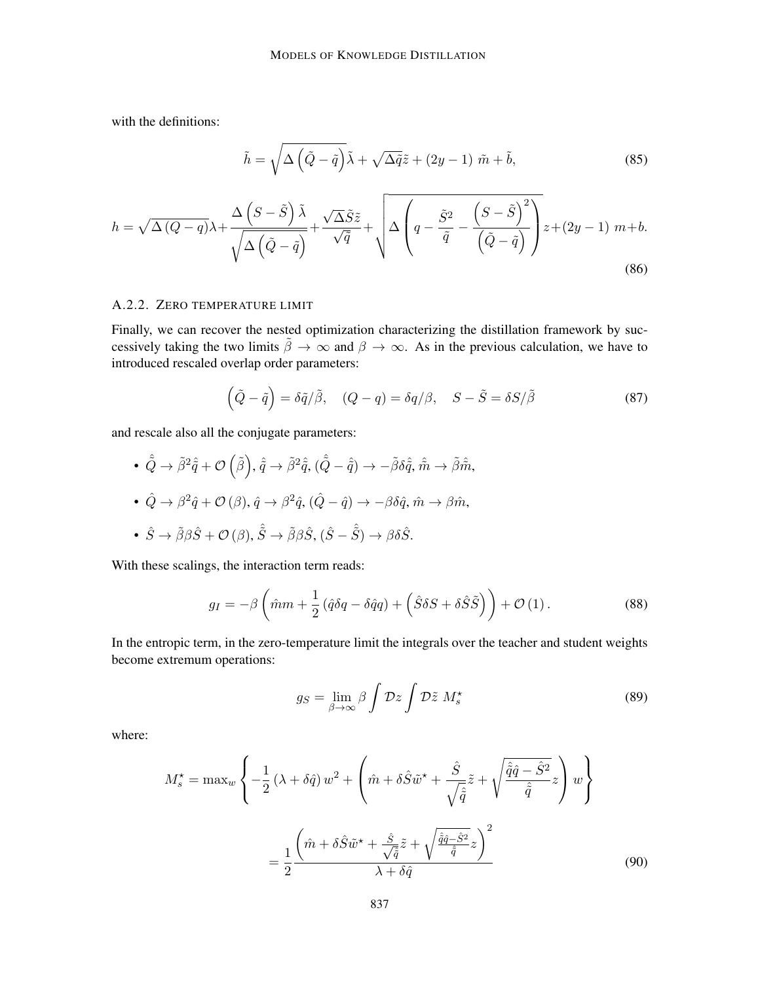with the definitions:

$$
\tilde{h} = \sqrt{\Delta \left(\tilde{Q} - \tilde{q}\right)} \tilde{\lambda} + \sqrt{\Delta \tilde{q}} \tilde{z} + (2y - 1) \tilde{m} + \tilde{b},\tag{85}
$$

$$
h = \sqrt{\Delta (Q - q)} \lambda + \frac{\Delta \left(S - \tilde{S}\right) \tilde{\lambda}}{\sqrt{\Delta \left(\tilde{Q} - \tilde{q}\right)}} + \frac{\sqrt{\Delta \tilde{S}} \tilde{z}}{\sqrt{\tilde{q}}} + \sqrt{\Delta \left(q - \frac{\tilde{S}^2}{\tilde{q}} - \frac{\left(S - \tilde{S}\right)^2}{\left(\tilde{Q} - \tilde{q}\right)}\right)} z + (2y - 1) m + b. \tag{86}
$$

#### A.2.2. ZERO TEMPERATURE LIMIT

Finally, we can recover the nested optimization characterizing the distillation framework by successively taking the two limits  $\tilde{\beta} \to \infty$  and  $\beta \to \infty$ . As in the previous calculation, we have to introduced rescaled overlap order parameters:

$$
\left(\tilde{Q} - \tilde{q}\right) = \delta \tilde{q}/\tilde{\beta}, \quad (Q - q) = \delta q/\beta, \quad S - \tilde{S} = \delta S/\tilde{\beta}
$$
\n(87)

and rescale also all the conjugate parameters:

• 
$$
\hat{Q} \rightarrow \tilde{\beta}^2 \hat{q} + \mathcal{O}(\tilde{\beta}), \hat{q} \rightarrow \tilde{\beta}^2 \hat{q}, (\hat{Q} - \hat{q}) \rightarrow -\tilde{\beta} \delta \hat{q}, \hat{m} \rightarrow \tilde{\beta} \hat{m},
$$
  
\n•  $\hat{Q} \rightarrow \beta^2 \hat{q} + \mathcal{O}(\beta), \hat{q} \rightarrow \beta^2 \hat{q}, (\hat{Q} - \hat{q}) \rightarrow -\beta \delta \hat{q}, \hat{m} \rightarrow \beta \hat{m},$   
\n•  $\hat{S} \rightarrow \tilde{\beta} \beta \hat{S} + \mathcal{O}(\beta), \hat{\tilde{S}} \rightarrow \tilde{\beta} \beta \hat{S}, (\hat{S} - \hat{\tilde{S}}) \rightarrow \beta \delta \hat{S}.$ 

With these scalings, the interaction term reads:

$$
g_I = -\beta \left(\hat{m}m + \frac{1}{2} \left(\hat{q}\delta q - \delta \hat{q}q\right) + \left(\hat{S}\delta S + \delta \hat{S}\tilde{S}\right)\right) + \mathcal{O}\left(1\right). \tag{88}
$$

In the entropic term, in the zero-temperature limit the integrals over the teacher and student weights become extremum operations:

$$
g_S = \lim_{\beta \to \infty} \beta \int \mathcal{D}z \int \mathcal{D}\tilde{z} M_s^{\star}
$$
 (89)

where:

$$
M_s^* = \max_w \left\{ -\frac{1}{2} \left( \lambda + \delta \hat{q} \right) w^2 + \left( \hat{m} + \delta \hat{S} \tilde{w}^* + \frac{\hat{S}}{\sqrt{\hat{\tilde{q}}}} \tilde{z} + \sqrt{\frac{\hat{\tilde{q}} \hat{q} - \hat{S}^2}{\hat{\tilde{q}}}} z \right) w \right\}
$$

$$
= \frac{1}{2} \frac{\left( \hat{m} + \delta \hat{S} \tilde{w}^* + \frac{\hat{S}}{\sqrt{\hat{\tilde{q}}}} \tilde{z} + \sqrt{\frac{\hat{\tilde{q}} \hat{q} - \hat{S}^2}{\hat{\tilde{q}}}} z \right)^2}{\lambda + \delta \hat{q}}
$$
(90)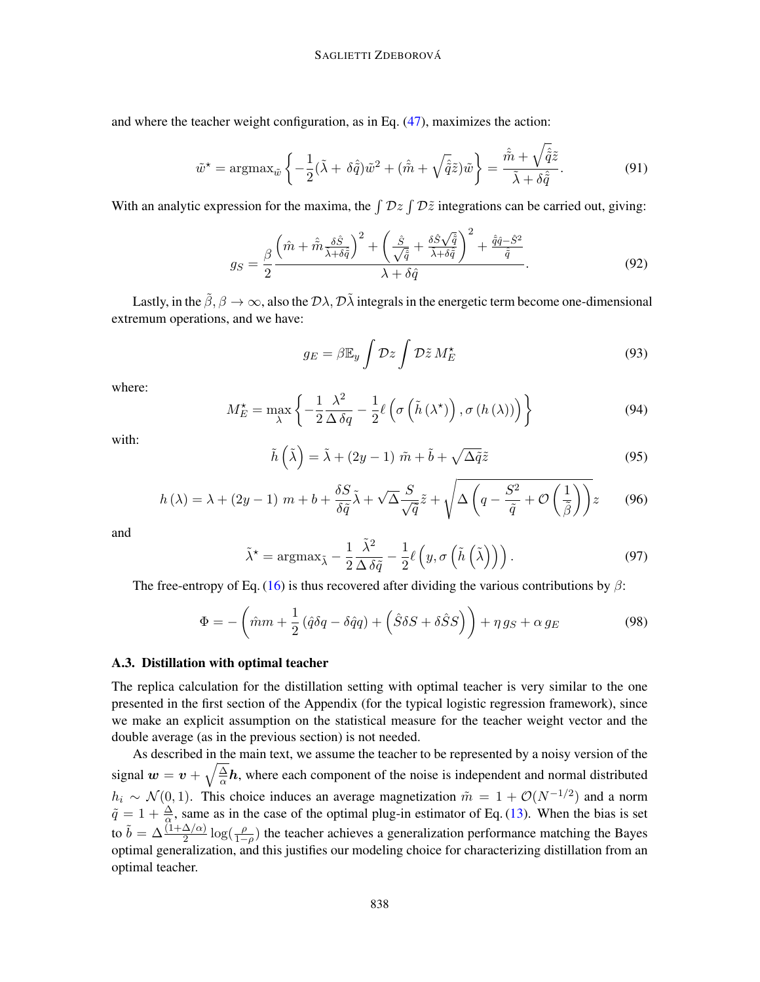and where the teacher weight configuration, as in Eq. [\(47\)](#page-21-0), maximizes the action:

$$
\tilde{w}^* = \operatorname{argmax}_{\tilde{w}} \left\{ -\frac{1}{2} (\tilde{\lambda} + \delta \hat{\tilde{q}}) \tilde{w}^2 + (\hat{\tilde{m}} + \sqrt{\hat{\tilde{q}}}\tilde{z}) \tilde{w} \right\} = \frac{\hat{\tilde{m}} + \sqrt{\hat{\tilde{q}}}\tilde{z}}{\tilde{\lambda} + \delta \hat{\tilde{q}}}.
$$
\n(91)

With an analytic expression for the maxima, the  $\int \mathcal{D}z \int \mathcal{D}\tilde{z}$  integrations can be carried out, giving:

$$
g_S = \frac{\beta}{2} \frac{\left(\hat{m} + \hat{\tilde{m}} \frac{\delta \hat{S}}{\tilde{\lambda} + \delta \hat{\tilde{q}}}\right)^2 + \left(\frac{\hat{S}}{\sqrt{\hat{q}}} + \frac{\delta \hat{S} \sqrt{\hat{q}}}{\tilde{\lambda} + \delta \hat{\tilde{q}}}\right)^2 + \frac{\hat{q}\hat{q} - \hat{S}^2}{\hat{\tilde{q}}}}{\lambda + \delta \hat{q}}.
$$
(92)

Lastly, in the  $\tilde{\beta}$ ,  $\beta \to \infty$ , also the  $\mathcal{D}\lambda$ ,  $\mathcal{D}\lambda$  integrals in the energetic term become one-dimensional extremum operations, and we have:

$$
g_E = \beta \mathbb{E}_y \int \mathcal{D}z \int \mathcal{D}\tilde{z} M_E^{\star}
$$
 (93)

where:

$$
M_{E}^{\star} = \max_{\lambda} \left\{ -\frac{1}{2} \frac{\lambda^{2}}{\Delta \delta q} - \frac{1}{2} \ell \left( \sigma \left( \tilde{h} \left( \lambda^{\star} \right) \right), \sigma \left( h \left( \lambda \right) \right) \right) \right\}
$$
(94)

with:

$$
\tilde{h}(\tilde{\lambda}) = \tilde{\lambda} + (2y - 1)\tilde{m} + \tilde{b} + \sqrt{\Delta \tilde{q}}\tilde{z}
$$
\n(95)

$$
h(\lambda) = \lambda + (2y - 1) \, m + b + \frac{\delta S}{\delta \tilde{q}} \tilde{\lambda} + \sqrt{\Delta} \frac{S}{\sqrt{\tilde{q}}} \tilde{z} + \sqrt{\Delta \left( q - \frac{S^2}{\tilde{q}} + \mathcal{O}\left(\frac{1}{\tilde{\beta}}\right) \right)} z \qquad (96)
$$

and

$$
\tilde{\lambda}^* = \operatorname{argmax}_{\tilde{\lambda}} - \frac{1}{2} \frac{\tilde{\lambda}^2}{\Delta \delta \tilde{q}} - \frac{1}{2} \ell \left( y, \sigma \left( \tilde{h} \left( \tilde{\lambda} \right) \right) \right).
$$
\n(97)

The free-entropy of Eq. [\(16\)](#page-7-1) is thus recovered after dividing the various contributions by  $\beta$ :

$$
\Phi = -\left(\hat{m}m + \frac{1}{2}\left(\hat{q}\delta q - \delta\hat{q}q\right) + \left(\hat{S}\delta S + \delta\hat{S}S\right)\right) + \eta g_S + \alpha g_E\tag{98}
$$

#### A.3. Distillation with optimal teacher

The replica calculation for the distillation setting with optimal teacher is very similar to the one presented in the first section of the Appendix (for the typical logistic regression framework), since we make an explicit assumption on the statistical measure for the teacher weight vector and the double average (as in the previous section) is not needed.

As described in the main text, we assume the teacher to be represented by a noisy version of the signal  $w = v + \sqrt{\frac{\Delta}{\alpha}}$  $\frac{\Delta}{\alpha}h$ , where each component of the noise is independent and normal distributed  $h_i \sim \mathcal{N}(0, 1)$ . This choice induces an average magnetization  $\tilde{m} = 1 + \mathcal{O}(N^{-1/2})$  and a norm  $\tilde{q} = 1 + \frac{\Delta}{\alpha}$ , same as in the case of the optimal plug-in estimator of Eq. [\(13\)](#page-6-1). When the bias is set to  $\tilde{b} = \Delta \frac{(1+\Delta/\alpha)}{2} \log(\frac{\rho}{1-\rho})$  the teacher achieves a generalization performance matching the Bayes optimal generalization, and this justifies our modeling choice for characterizing distillation from an optimal teacher.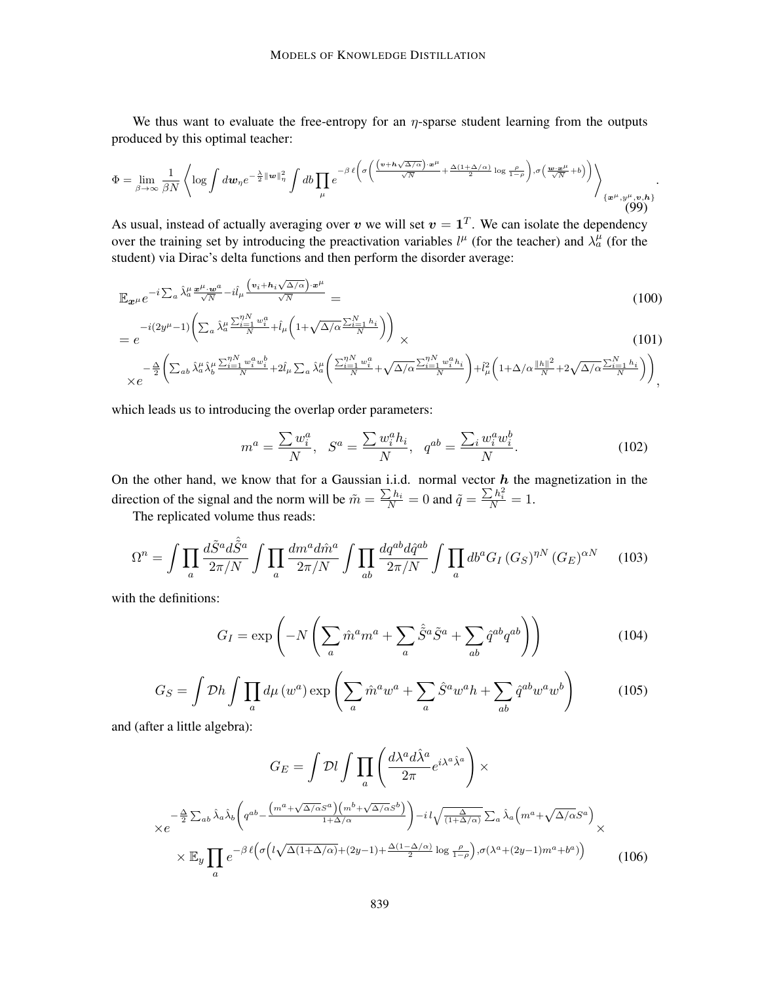We thus want to evaluate the free-entropy for an  $\eta$ -sparse student learning from the outputs produced by this optimal teacher:

$$
\Phi = \lim_{\beta \to \infty} \frac{1}{\beta N} \left\langle \log \int d\boldsymbol{w}_\eta e^{-\frac{\lambda}{2} \|\boldsymbol{w}\|_\eta^2} \int d\boldsymbol{b} \prod_{\mu} e^{-\beta \ell \left( \sigma \left( \frac{(\boldsymbol{v} + \boldsymbol{h}\sqrt{\Delta/\alpha}) \cdot \boldsymbol{x}^{\mu}}{\sqrt{N}} + \frac{\Delta(1+\Delta/\alpha)}{2} \log \frac{\rho}{1-\rho} \right), \sigma \left( \frac{\boldsymbol{w} \cdot \boldsymbol{x}^{\mu}}{\sqrt{N}} + b \right) \right) \right\rangle_{\{\boldsymbol{x}^{\mu}, \boldsymbol{y}^{\mu}, \boldsymbol{v}, \boldsymbol{h}\}}.
$$
\n(99)

As usual, instead of actually averaging over v we will set  $v = 1<sup>T</sup>$ . We can isolate the dependency over the training set by introducing the preactivation variables  $l^{\mu}$  (for the teacher) and  $\lambda_a^{\mu}$  (for the student) via Dirac's delta functions and then perform the disorder average:

$$
\mathbb{E}_{\mathbf{x}^{\mu}} e^{-i \sum_{a} \hat{\lambda}_{a}^{\mu} \frac{\mathbf{x}^{\mu} \cdot \mathbf{w}^{a}}{\sqrt{N}} - i \hat{l}_{\mu} \frac{\left(v_{i} + h_{i} \sqrt{\Delta/\alpha}\right) \cdot \mathbf{x}^{\mu}}{\sqrt{N}}}}{=} \tag{100}
$$

$$
= e^{-i(2y^{\mu}-1)\left(\sum_{a}\hat{\lambda}_{a}^{\mu}\frac{\sum_{i=1}^{N}w_{i}^{a}}{N} + \hat{l}_{\mu}\left(1+\sqrt{\Delta/\alpha}\frac{\sum_{i=1}^{N}h_{i}}{N}\right)\right)} \times
$$
\n(101)

$$
\times e^{-\frac{\Delta}{2}\left(\sum_{ab}\hat{\lambda}^{\mu}_{a}\hat{\lambda}^{\mu}_{b}\frac{\sum_{i=1}^{N}w_{i}^{a}w_{i}^{b}}{N}+2\hat{l}_{\mu}\sum_{a}\hat{\lambda}^{\mu}_{a}\left(\frac{\sum_{i=1}^{N}w_{i}^{a}}{N}+\sqrt{\Delta/\alpha}\frac{\sum_{i=1}^{N}w_{i}^{a}h_{i}}{N}\right)+\hat{l}_{\mu}^{2}\left(1+\Delta/\alpha\frac{\|h\|^{2}}{N}+2\sqrt{\Delta/\alpha}\frac{\sum_{i=1}^{N}h_{i}}{N}\right)\right)},
$$

which leads us to introducing the overlap order parameters:

$$
m^{a} = \frac{\sum w_{i}^{a}}{N}, \quad S^{a} = \frac{\sum w_{i}^{a}h_{i}}{N}, \quad q^{ab} = \frac{\sum_{i} w_{i}^{a}w_{i}^{b}}{N}.
$$
 (102)

On the other hand, we know that for a Gaussian i.i.d. normal vector  $h$  the magnetization in the direction of the signal and the norm will be  $\tilde{m} = \frac{\sum h_i}{N} = 0$  and  $\tilde{q} = \frac{\sum h_i^2}{N} = 1$ .

The replicated volume thus reads:

$$
\Omega^{n} = \int \prod_{a} \frac{d\tilde{S}^{a} d\hat{\tilde{S}}^{a}}{2\pi/N} \int \prod_{a} \frac{dm^{a} d\hat{m}^{a}}{2\pi/N} \int \prod_{ab} \frac{dq^{ab} d\hat{q}^{ab}}{2\pi/N} \int \prod_{a} db^{a} G_{I} (G_{S})^{\eta N} (G_{E})^{\alpha N} \tag{103}
$$

with the definitions:

$$
G_I = \exp\left(-N\left(\sum_a \hat{m}^a m^a + \sum_a \hat{S}^a \tilde{S}^a + \sum_{ab} \hat{q}^{ab} q^{ab}\right)\right) \tag{104}
$$

$$
G_S = \int \mathcal{D}h \int \prod_a d\mu \left( w^a \right) \exp \left( \sum_a \hat{m}^a w^a + \sum_a \hat{S}^a w^a h + \sum_{ab} \hat{q}^{ab} w^a w^b \right) \tag{105}
$$

and (after a little algebra):

$$
G_E = \int \mathcal{D}l \int \prod_a \left( \frac{d\lambda^a d\hat{\lambda}^a}{2\pi} e^{i\lambda^a \hat{\lambda}^a} \right) \times
$$
  

$$
\times e^{-\frac{\Delta}{2} \sum_{ab} \hat{\lambda}_a \hat{\lambda}_b} \left( q^{ab} - \frac{\left( m^a + \sqrt{\Delta/\alpha} S^a \right) \left( m^b + \sqrt{\Delta/\alpha} S^b \right)}{1 + \Delta/\alpha} \right) - i l \sqrt{\frac{\Delta}{(1 + \Delta/\alpha)}} \sum_a \hat{\lambda}_a \left( m^a + \sqrt{\Delta/\alpha} S^a \right) \times
$$
  

$$
\times \mathbb{E}_y \prod_a e^{-\beta \ell \left( \sigma \left( l \sqrt{\Delta(1 + \Delta/\alpha)} + (2y - 1) + \frac{\Delta(1 - \Delta/\alpha)}{2} \log \frac{\rho}{1 - \rho} \right), \sigma(\lambda^a + (2y - 1)m^a + b^a) \right)}
$$
(106)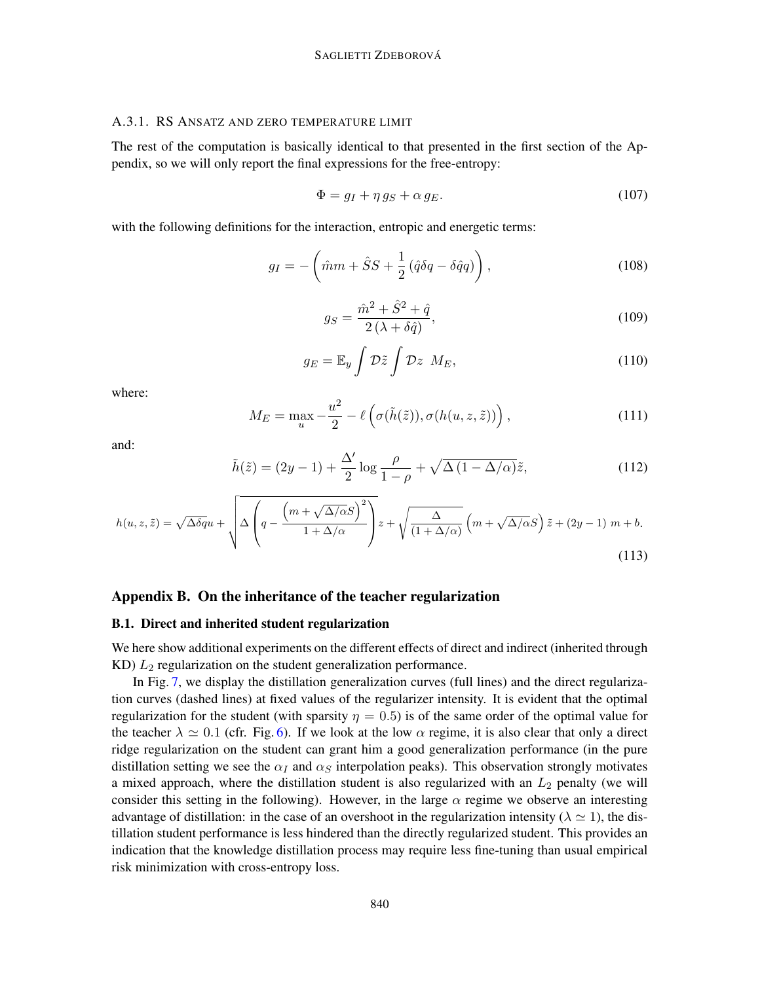#### A.3.1. RS ANSATZ AND ZERO TEMPERATURE LIMIT

The rest of the computation is basically identical to that presented in the first section of the Appendix, so we will only report the final expressions for the free-entropy:

$$
\Phi = g_I + \eta \, g_S + \alpha \, g_E. \tag{107}
$$

with the following definitions for the interaction, entropic and energetic terms:

$$
g_I = -\left(\hat{m}m + \hat{S}S + \frac{1}{2}\left(\hat{q}\delta q - \delta\hat{q}q\right)\right),\tag{108}
$$

$$
g_S = \frac{\hat{m}^2 + \hat{S}^2 + \hat{q}}{2\left(\lambda + \delta\hat{q}\right)},\tag{109}
$$

$$
g_E = \mathbb{E}_y \int \mathcal{D}\tilde{z} \int \mathcal{D}z \ M_E, \qquad (110)
$$

where:

$$
M_E = \max_{u} -\frac{u^2}{2} - \ell\left(\sigma(\tilde{h}(\tilde{z})), \sigma(h(u, z, \tilde{z}))\right),\tag{111}
$$

and:

$$
\tilde{h}(\tilde{z}) = (2y - 1) + \frac{\Delta'}{2} \log \frac{\rho}{1 - \rho} + \sqrt{\Delta (1 - \Delta/\alpha)} \tilde{z},\tag{112}
$$

$$
h(u, z, \tilde{z}) = \sqrt{\Delta \delta q} u + \sqrt{\Delta \left( q - \frac{\left( m + \sqrt{\Delta/\alpha} S \right)^2}{1 + \Delta/\alpha} \right)} z + \sqrt{\frac{\Delta}{\left( 1 + \Delta/\alpha \right)}} \left( m + \sqrt{\Delta/\alpha} S \right) \tilde{z} + \left( 2y - 1 \right) m + b. \tag{113}
$$

# <span id="page-31-0"></span>Appendix B. On the inheritance of the teacher regularization

#### B.1. Direct and inherited student regularization

We here show additional experiments on the different effects of direct and indirect (inherited through KD)  $L_2$  regularization on the student generalization performance.

In Fig. [7,](#page-32-0) we display the distillation generalization curves (full lines) and the direct regularization curves (dashed lines) at fixed values of the regularizer intensity. It is evident that the optimal regularization for the student (with sparsity  $\eta = 0.5$ ) is of the same order of the optimal value for the teacher  $\lambda \simeq 0.1$  (cfr. Fig. [6\)](#page-22-0). If we look at the low  $\alpha$  regime, it is also clear that only a direct ridge regularization on the student can grant him a good generalization performance (in the pure distillation setting we see the  $\alpha_I$  and  $\alpha_S$  interpolation peaks). This observation strongly motivates a mixed approach, where the distillation student is also regularized with an  $L_2$  penalty (we will consider this setting in the following). However, in the large  $\alpha$  regime we observe an interesting advantage of distillation: in the case of an overshoot in the regularization intensity ( $\lambda \approx 1$ ), the distillation student performance is less hindered than the directly regularized student. This provides an indication that the knowledge distillation process may require less fine-tuning than usual empirical risk minimization with cross-entropy loss.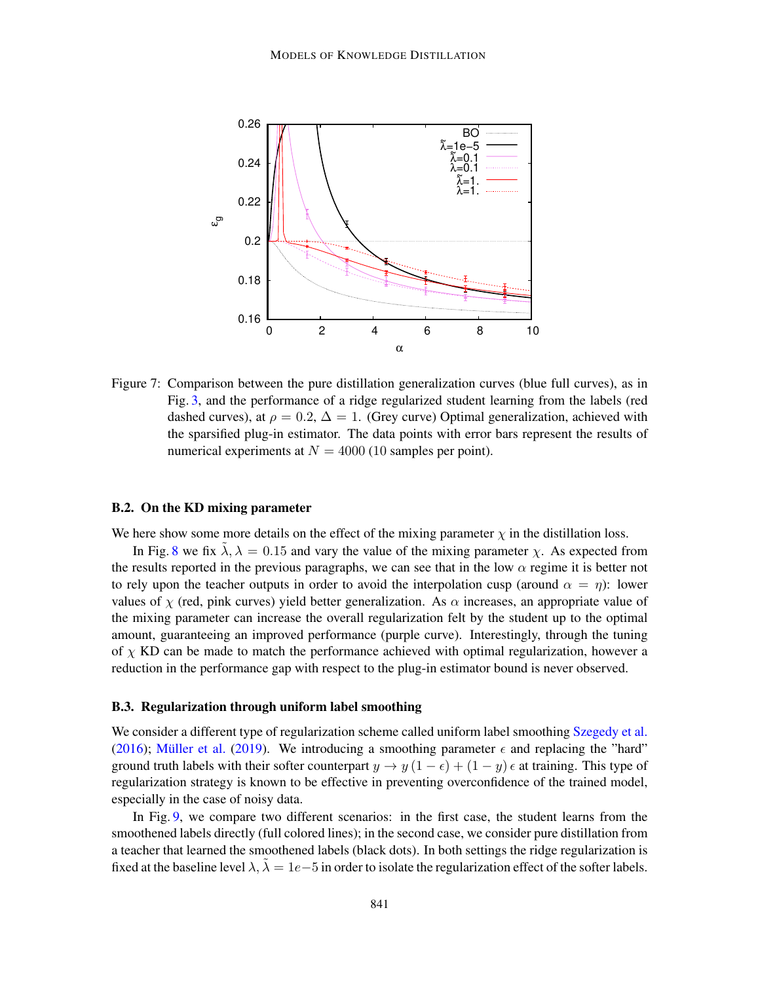<span id="page-32-0"></span>

Figure 7: Comparison between the pure distillation generalization curves (blue full curves), as in Fig. [3,](#page-11-0) and the performance of a ridge regularized student learning from the labels (red dashed curves), at  $\rho = 0.2$ ,  $\Delta = 1$ . (Grey curve) Optimal generalization, achieved with the sparsified plug-in estimator. The data points with error bars represent the results of numerical experiments at  $N = 4000$  (10 samples per point).

#### B.2. On the KD mixing parameter

We here show some more details on the effect of the mixing parameter  $\chi$  in the distillation loss.

In Fig. [8](#page-33-0) we fix  $\lambda$ ,  $\lambda = 0.15$  and vary the value of the mixing parameter  $\chi$ . As expected from the results reported in the previous paragraphs, we can see that in the low  $\alpha$  regime it is better not to rely upon the teacher outputs in order to avoid the interpolation cusp (around  $\alpha = \eta$ ): lower values of  $\chi$  (red, pink curves) yield better generalization. As  $\alpha$  increases, an appropriate value of the mixing parameter can increase the overall regularization felt by the student up to the optimal amount, guaranteeing an improved performance (purple curve). Interestingly, through the tuning of  $\chi$  KD can be made to match the performance achieved with optimal regularization, however a reduction in the performance gap with respect to the plug-in estimator bound is never observed.

#### B.3. Regularization through uniform label smoothing

We consider a different type of regularization scheme called uniform label smoothing [Szegedy et al.](#page-17-11) [\(2016\)](#page-17-11); Müller et al. [\(2019\)](#page-17-12). We introducing a smoothing parameter  $\epsilon$  and replacing the "hard" ground truth labels with their softer counterpart  $y \to y (1 - \epsilon) + (1 - y) \epsilon$  at training. This type of regularization strategy is known to be effective in preventing overconfidence of the trained model, especially in the case of noisy data.

In Fig. [9,](#page-34-1) we compare two different scenarios: in the first case, the student learns from the smoothened labels directly (full colored lines); in the second case, we consider pure distillation from a teacher that learned the smoothened labels (black dots). In both settings the ridge regularization is fixed at the baseline level  $\lambda$ ,  $\tilde{\lambda} = 1e-5$  in order to isolate the regularization effect of the softer labels.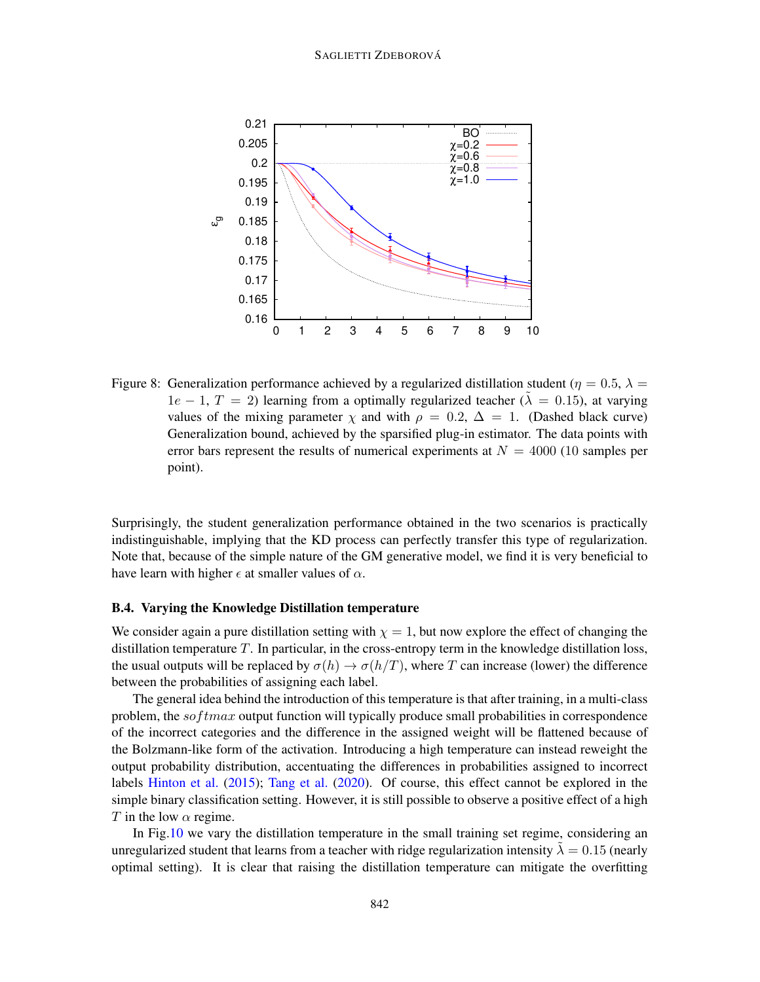#### <span id="page-33-0"></span>SAGLIETTI ZDEBOROVÁ



Figure 8: Generalization performance achieved by a regularized distillation student ( $\eta = 0.5$ ,  $\lambda =$  $1e - 1$ ,  $T = 2$ ) learning from a optimally regularized teacher ( $\lambda = 0.15$ ), at varying values of the mixing parameter  $\chi$  and with  $\rho = 0.2$ ,  $\Delta = 1$ . (Dashed black curve) Generalization bound, achieved by the sparsified plug-in estimator. The data points with error bars represent the results of numerical experiments at  $N = 4000$  (10 samples per point).

Surprisingly, the student generalization performance obtained in the two scenarios is practically indistinguishable, implying that the KD process can perfectly transfer this type of regularization. Note that, because of the simple nature of the GM generative model, we find it is very beneficial to have learn with higher  $\epsilon$  at smaller values of  $\alpha$ .

# B.4. Varying the Knowledge Distillation temperature

We consider again a pure distillation setting with  $\chi = 1$ , but now explore the effect of changing the distillation temperature  $T$ . In particular, in the cross-entropy term in the knowledge distillation loss, the usual outputs will be replaced by  $\sigma(h) \to \sigma(h/T)$ , where T can increase (lower) the difference between the probabilities of assigning each label.

The general idea behind the introduction of this temperature is that after training, in a multi-class problem, the  $softmax$  output function will typically produce small probabilities in correspondence of the incorrect categories and the difference in the assigned weight will be flattened because of the Bolzmann-like form of the activation. Introducing a high temperature can instead reweight the output probability distribution, accentuating the differences in probabilities assigned to incorrect labels [Hinton et al.](#page-16-3) [\(2015\)](#page-16-3); [Tang et al.](#page-18-3) [\(2020\)](#page-18-3). Of course, this effect cannot be explored in the simple binary classification setting. However, it is still possible to observe a positive effect of a high T in the low  $\alpha$  regime.

In Fig[.10](#page-35-0) we vary the distillation temperature in the small training set regime, considering an unregularized student that learns from a teacher with ridge regularization intensity  $\lambda = 0.15$  (nearly optimal setting). It is clear that raising the distillation temperature can mitigate the overfitting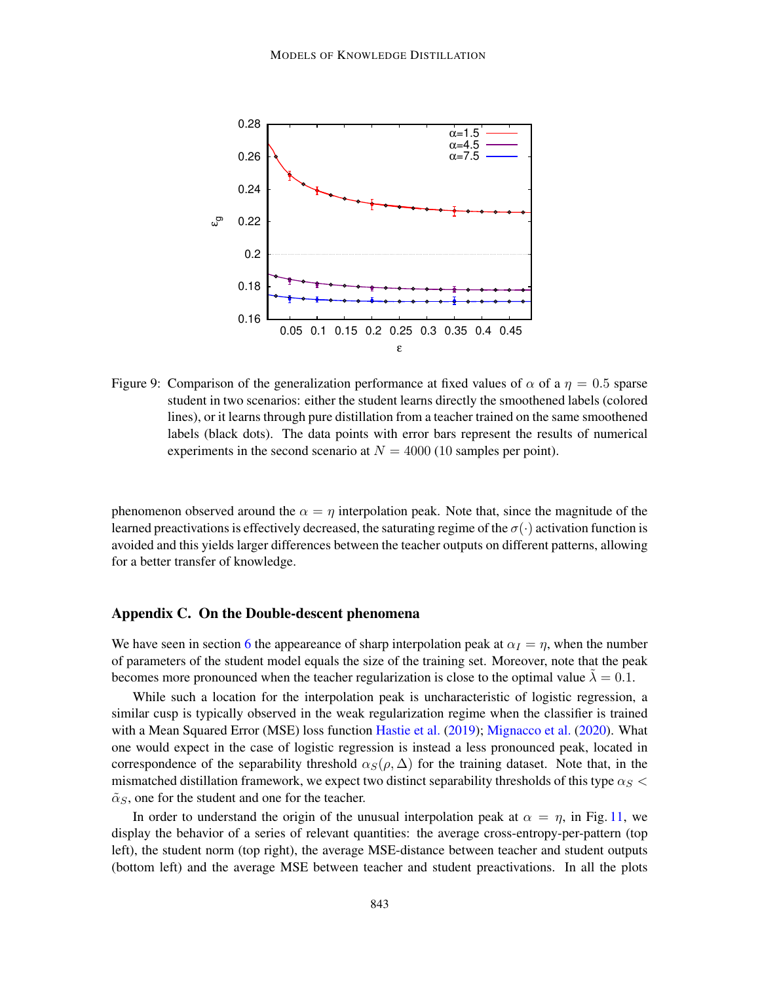<span id="page-34-1"></span>

Figure 9: Comparison of the generalization performance at fixed values of  $\alpha$  of a  $\eta = 0.5$  sparse student in two scenarios: either the student learns directly the smoothened labels (colored lines), or it learns through pure distillation from a teacher trained on the same smoothened labels (black dots). The data points with error bars represent the results of numerical experiments in the second scenario at  $N = 4000$  (10 samples per point).

phenomenon observed around the  $\alpha = \eta$  interpolation peak. Note that, since the magnitude of the learned preactivations is effectively decreased, the saturating regime of the  $\sigma(\cdot)$  activation function is avoided and this yields larger differences between the teacher outputs on different patterns, allowing for a better transfer of knowledge.

# <span id="page-34-0"></span>Appendix C. On the Double-descent phenomena

We have seen in section [6](#page-13-0) the appeareance of sharp interpolation peak at  $\alpha_I = \eta$ , when the number of parameters of the student model equals the size of the training set. Moreover, note that the peak becomes more pronounced when the teacher regularization is close to the optimal value  $\lambda = 0.1$ .

While such a location for the interpolation peak is uncharacteristic of logistic regression, a similar cusp is typically observed in the weak regularization regime when the classifier is trained with a Mean Squared Error (MSE) loss function [Hastie et al.](#page-16-13) [\(2019\)](#page-16-13); [Mignacco et al.](#page-17-7) [\(2020\)](#page-17-7). What one would expect in the case of logistic regression is instead a less pronounced peak, located in correspondence of the separability threshold  $\alpha_S(\rho, \Delta)$  for the training dataset. Note that, in the mismatched distillation framework, we expect two distinct separability thresholds of this type  $\alpha_S$  $\tilde{\alpha}_S$ , one for the student and one for the teacher.

In order to understand the origin of the unusual interpolation peak at  $\alpha = \eta$ , in Fig. [11,](#page-36-0) we display the behavior of a series of relevant quantities: the average cross-entropy-per-pattern (top left), the student norm (top right), the average MSE-distance between teacher and student outputs (bottom left) and the average MSE between teacher and student preactivations. In all the plots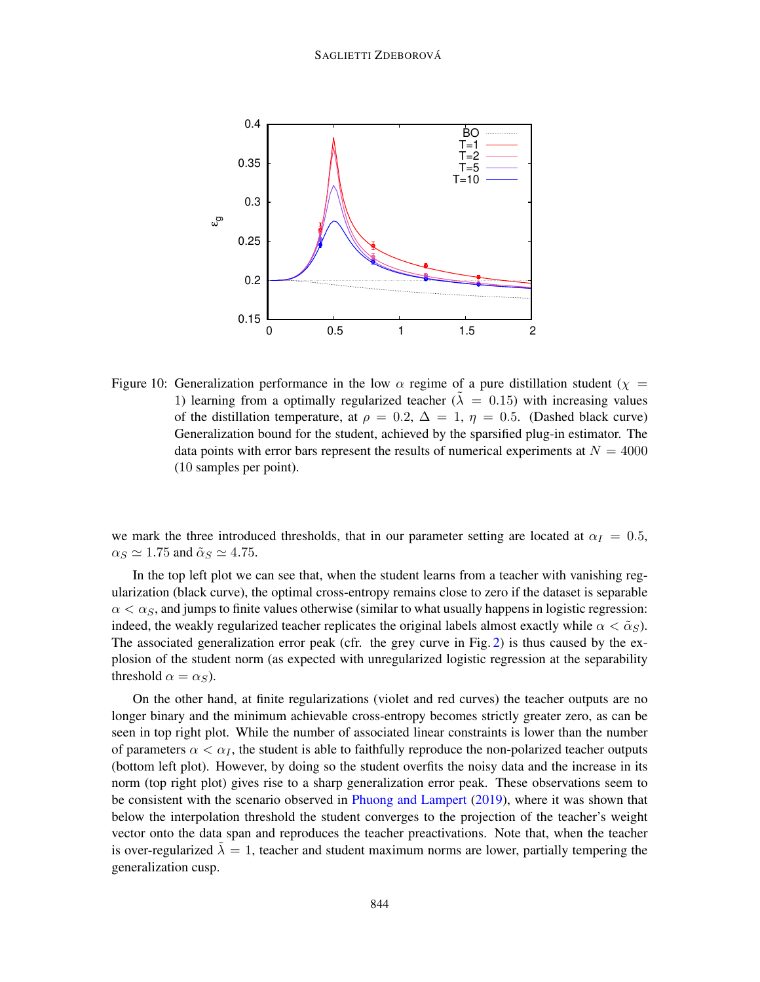<span id="page-35-0"></span>

Figure 10: Generalization performance in the low  $\alpha$  regime of a pure distillation student ( $\chi$  = 1) learning from a optimally regularized teacher ( $\lambda = 0.15$ ) with increasing values of the distillation temperature, at  $\rho = 0.2$ ,  $\Delta = 1$ ,  $\eta = 0.5$ . (Dashed black curve) Generalization bound for the student, achieved by the sparsified plug-in estimator. The data points with error bars represent the results of numerical experiments at  $N = 4000$ (10 samples per point).

we mark the three introduced thresholds, that in our parameter setting are located at  $\alpha_I = 0.5$ ,  $\alpha_S \simeq 1.75$  and  $\tilde{\alpha}_S \simeq 4.75$ .

In the top left plot we can see that, when the student learns from a teacher with vanishing regularization (black curve), the optimal cross-entropy remains close to zero if the dataset is separable  $\alpha < \alpha_S$ , and jumps to finite values otherwise (similar to what usually happens in logistic regression: indeed, the weakly regularized teacher replicates the original labels almost exactly while  $\alpha < \tilde{\alpha}_S$ ). The associated generalization error peak (cfr. the grey curve in Fig. [2\)](#page-9-0) is thus caused by the explosion of the student norm (as expected with unregularized logistic regression at the separability threshold  $\alpha = \alpha_S$ ).

On the other hand, at finite regularizations (violet and red curves) the teacher outputs are no longer binary and the minimum achievable cross-entropy becomes strictly greater zero, as can be seen in top right plot. While the number of associated linear constraints is lower than the number of parameters  $\alpha < \alpha_I$ , the student is able to faithfully reproduce the non-polarized teacher outputs (bottom left plot). However, by doing so the student overfits the noisy data and the increase in its norm (top right plot) gives rise to a sharp generalization error peak. These observations seem to be consistent with the scenario observed in [Phuong and Lampert](#page-17-3) [\(2019\)](#page-17-3), where it was shown that below the interpolation threshold the student converges to the projection of the teacher's weight vector onto the data span and reproduces the teacher preactivations. Note that, when the teacher is over-regularized  $\lambda = 1$ , teacher and student maximum norms are lower, partially tempering the generalization cusp.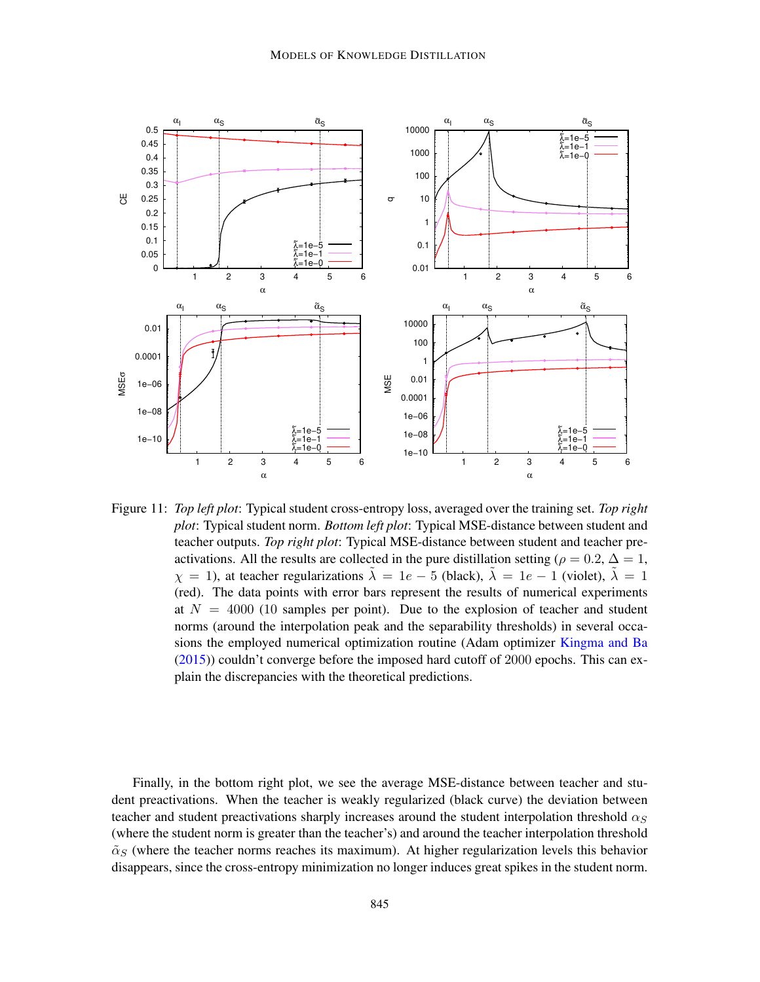

<span id="page-36-0"></span>Figure 11: *Top left plot*: Typical student cross-entropy loss, averaged over the training set. *Top right plot*: Typical student norm. *Bottom left plot*: Typical MSE-distance between student and teacher outputs. *Top right plot*: Typical MSE-distance between student and teacher preactivations. All the results are collected in the pure distillation setting ( $\rho = 0.2$ ,  $\Delta = 1$ ,  $\chi = 1$ ), at teacher regularizations  $\tilde{\lambda} = 1e - 5$  (black),  $\tilde{\lambda} = 1e - 1$  (violet),  $\tilde{\lambda} = 1$ (red). The data points with error bars represent the results of numerical experiments at  $N = 4000$  (10 samples per point). Due to the explosion of teacher and student norms (around the interpolation peak and the separability thresholds) in several occasions the employed numerical optimization routine (Adam optimizer [Kingma and Ba](#page-17-13) [\(2015\)](#page-17-13)) couldn't converge before the imposed hard cutoff of 2000 epochs. This can explain the discrepancies with the theoretical predictions.

Finally, in the bottom right plot, we see the average MSE-distance between teacher and student preactivations. When the teacher is weakly regularized (black curve) the deviation between teacher and student preactivations sharply increases around the student interpolation threshold  $\alpha_S$ (where the student norm is greater than the teacher's) and around the teacher interpolation threshold  $\tilde{\alpha}_S$  (where the teacher norms reaches its maximum). At higher regularization levels this behavior disappears, since the cross-entropy minimization no longer induces great spikes in the student norm.